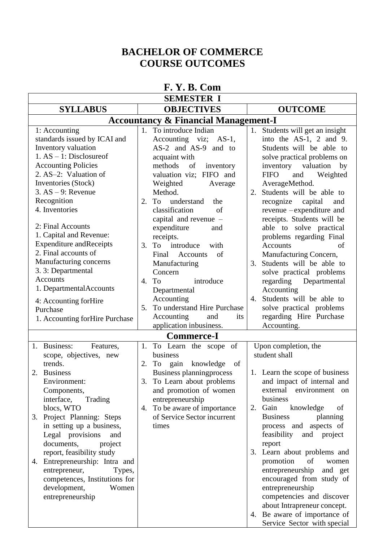### **BACHELOR OF COMMERCE COURSE OUTCOMES**

| <b>SEMESTER I</b><br><b>SYLLABUS</b><br><b>OBJECTIVES</b><br><b>OUTCOME</b><br><b>Accountancy &amp; Financial Management-I</b><br>1. To introduce Indian<br>1. Students will get an insight<br>1: Accounting<br>standards issued by ICAI and<br>Accounting viz; AS-1,<br>into the $AS-1$ , 2 and 9.<br>Inventory valuation<br>AS-2 and AS-9 and to<br>Students will be able to<br>$1. AS - 1: Disclosure of$<br>acquaint with<br>solve practical problems on<br><b>Accounting Policies</b><br>inventory valuation<br>methods<br>of<br>by<br>inventory<br>2. AS-2: Valuation of<br>valuation viz; FIFO and<br><b>FIFO</b><br>and<br>Weighted<br>Inventories (Stock)<br>Weighted<br>AverageMethod.<br>Average<br>$3. AS - 9: Revenue$<br>Method.<br>Students will be able to<br>2.<br>Recognition<br>understand<br>2.<br>To<br>recognize capital<br>the<br>and<br>4. Inventories<br>classification<br>revenue -expenditure and<br>of<br>capital and revenue $-$<br>receipts. Students will be<br>2: Final Accounts<br>able to solve practical<br>expenditure<br>and<br>1. Capital and Revenue:<br>receipts.<br>problems regarding Final<br><b>Expenditure and Receipts</b><br>introduce<br>3. To<br>of<br>with<br><b>Accounts</b><br>2. Final accounts of<br>Manufacturing Concern,<br>Final<br><b>Accounts</b><br>of<br>Manufacturing concerns<br>3. Students will be able to<br>Manufacturing<br>3. 3: Departmental<br>Concern<br>solve practical problems<br><b>Accounts</b><br>regarding Departmental<br>4. To<br>introduce<br>1. DepartmentalAccounts<br>Accounting<br>Departmental<br>Accounting<br>Students will be able to<br>4.<br>4: Accounting forHire<br>To understand Hire Purchase<br>solve practical problems<br>5.<br>Purchase<br>regarding Hire Purchase<br>Accounting<br>and<br>its<br>1. Accounting for Hire Purchase<br>application inbusiness.<br>Accounting.<br><b>Commerce-I</b><br>1. Business:<br>Upon completion, the<br>Features,<br>To Learn the scope of<br>1.<br>student shall<br>business<br>scope, objectives, new<br>trends.<br>2. To gain knowledge<br>of<br>1. Learn the scope of business<br><b>Business planningprocess</b><br>2.<br><b>Business</b><br>and impact of internal and<br>To Learn about problems<br>Environment:<br>3.<br>external environment on<br>and promotion of women<br>Components,<br>interface,<br>entrepreneurship<br>business<br>Trading<br>blocs, WTO<br>To be aware of importance<br>Gain<br>knowledge<br>2.<br>4.<br>of<br>Project Planning: Steps<br>of Service Sector incurrent<br><b>Business</b><br>planning<br>3. |
|--------------------------------------------------------------------------------------------------------------------------------------------------------------------------------------------------------------------------------------------------------------------------------------------------------------------------------------------------------------------------------------------------------------------------------------------------------------------------------------------------------------------------------------------------------------------------------------------------------------------------------------------------------------------------------------------------------------------------------------------------------------------------------------------------------------------------------------------------------------------------------------------------------------------------------------------------------------------------------------------------------------------------------------------------------------------------------------------------------------------------------------------------------------------------------------------------------------------------------------------------------------------------------------------------------------------------------------------------------------------------------------------------------------------------------------------------------------------------------------------------------------------------------------------------------------------------------------------------------------------------------------------------------------------------------------------------------------------------------------------------------------------------------------------------------------------------------------------------------------------------------------------------------------------------------------------------------------------------------------------------------------------------------------------------------------------------------------------------------------------------------------------------------------------------------------------------------------------------------------------------------------------------------------------------------------------------------------------------------------------------------------------------------------------------------------------------------------------------------------------------------------------------------------------------------------------------------------|
|                                                                                                                                                                                                                                                                                                                                                                                                                                                                                                                                                                                                                                                                                                                                                                                                                                                                                                                                                                                                                                                                                                                                                                                                                                                                                                                                                                                                                                                                                                                                                                                                                                                                                                                                                                                                                                                                                                                                                                                                                                                                                                                                                                                                                                                                                                                                                                                                                                                                                                                                                                                      |
|                                                                                                                                                                                                                                                                                                                                                                                                                                                                                                                                                                                                                                                                                                                                                                                                                                                                                                                                                                                                                                                                                                                                                                                                                                                                                                                                                                                                                                                                                                                                                                                                                                                                                                                                                                                                                                                                                                                                                                                                                                                                                                                                                                                                                                                                                                                                                                                                                                                                                                                                                                                      |
|                                                                                                                                                                                                                                                                                                                                                                                                                                                                                                                                                                                                                                                                                                                                                                                                                                                                                                                                                                                                                                                                                                                                                                                                                                                                                                                                                                                                                                                                                                                                                                                                                                                                                                                                                                                                                                                                                                                                                                                                                                                                                                                                                                                                                                                                                                                                                                                                                                                                                                                                                                                      |
|                                                                                                                                                                                                                                                                                                                                                                                                                                                                                                                                                                                                                                                                                                                                                                                                                                                                                                                                                                                                                                                                                                                                                                                                                                                                                                                                                                                                                                                                                                                                                                                                                                                                                                                                                                                                                                                                                                                                                                                                                                                                                                                                                                                                                                                                                                                                                                                                                                                                                                                                                                                      |
|                                                                                                                                                                                                                                                                                                                                                                                                                                                                                                                                                                                                                                                                                                                                                                                                                                                                                                                                                                                                                                                                                                                                                                                                                                                                                                                                                                                                                                                                                                                                                                                                                                                                                                                                                                                                                                                                                                                                                                                                                                                                                                                                                                                                                                                                                                                                                                                                                                                                                                                                                                                      |
|                                                                                                                                                                                                                                                                                                                                                                                                                                                                                                                                                                                                                                                                                                                                                                                                                                                                                                                                                                                                                                                                                                                                                                                                                                                                                                                                                                                                                                                                                                                                                                                                                                                                                                                                                                                                                                                                                                                                                                                                                                                                                                                                                                                                                                                                                                                                                                                                                                                                                                                                                                                      |
|                                                                                                                                                                                                                                                                                                                                                                                                                                                                                                                                                                                                                                                                                                                                                                                                                                                                                                                                                                                                                                                                                                                                                                                                                                                                                                                                                                                                                                                                                                                                                                                                                                                                                                                                                                                                                                                                                                                                                                                                                                                                                                                                                                                                                                                                                                                                                                                                                                                                                                                                                                                      |
|                                                                                                                                                                                                                                                                                                                                                                                                                                                                                                                                                                                                                                                                                                                                                                                                                                                                                                                                                                                                                                                                                                                                                                                                                                                                                                                                                                                                                                                                                                                                                                                                                                                                                                                                                                                                                                                                                                                                                                                                                                                                                                                                                                                                                                                                                                                                                                                                                                                                                                                                                                                      |
|                                                                                                                                                                                                                                                                                                                                                                                                                                                                                                                                                                                                                                                                                                                                                                                                                                                                                                                                                                                                                                                                                                                                                                                                                                                                                                                                                                                                                                                                                                                                                                                                                                                                                                                                                                                                                                                                                                                                                                                                                                                                                                                                                                                                                                                                                                                                                                                                                                                                                                                                                                                      |
|                                                                                                                                                                                                                                                                                                                                                                                                                                                                                                                                                                                                                                                                                                                                                                                                                                                                                                                                                                                                                                                                                                                                                                                                                                                                                                                                                                                                                                                                                                                                                                                                                                                                                                                                                                                                                                                                                                                                                                                                                                                                                                                                                                                                                                                                                                                                                                                                                                                                                                                                                                                      |
|                                                                                                                                                                                                                                                                                                                                                                                                                                                                                                                                                                                                                                                                                                                                                                                                                                                                                                                                                                                                                                                                                                                                                                                                                                                                                                                                                                                                                                                                                                                                                                                                                                                                                                                                                                                                                                                                                                                                                                                                                                                                                                                                                                                                                                                                                                                                                                                                                                                                                                                                                                                      |
|                                                                                                                                                                                                                                                                                                                                                                                                                                                                                                                                                                                                                                                                                                                                                                                                                                                                                                                                                                                                                                                                                                                                                                                                                                                                                                                                                                                                                                                                                                                                                                                                                                                                                                                                                                                                                                                                                                                                                                                                                                                                                                                                                                                                                                                                                                                                                                                                                                                                                                                                                                                      |
|                                                                                                                                                                                                                                                                                                                                                                                                                                                                                                                                                                                                                                                                                                                                                                                                                                                                                                                                                                                                                                                                                                                                                                                                                                                                                                                                                                                                                                                                                                                                                                                                                                                                                                                                                                                                                                                                                                                                                                                                                                                                                                                                                                                                                                                                                                                                                                                                                                                                                                                                                                                      |
|                                                                                                                                                                                                                                                                                                                                                                                                                                                                                                                                                                                                                                                                                                                                                                                                                                                                                                                                                                                                                                                                                                                                                                                                                                                                                                                                                                                                                                                                                                                                                                                                                                                                                                                                                                                                                                                                                                                                                                                                                                                                                                                                                                                                                                                                                                                                                                                                                                                                                                                                                                                      |
|                                                                                                                                                                                                                                                                                                                                                                                                                                                                                                                                                                                                                                                                                                                                                                                                                                                                                                                                                                                                                                                                                                                                                                                                                                                                                                                                                                                                                                                                                                                                                                                                                                                                                                                                                                                                                                                                                                                                                                                                                                                                                                                                                                                                                                                                                                                                                                                                                                                                                                                                                                                      |
|                                                                                                                                                                                                                                                                                                                                                                                                                                                                                                                                                                                                                                                                                                                                                                                                                                                                                                                                                                                                                                                                                                                                                                                                                                                                                                                                                                                                                                                                                                                                                                                                                                                                                                                                                                                                                                                                                                                                                                                                                                                                                                                                                                                                                                                                                                                                                                                                                                                                                                                                                                                      |
|                                                                                                                                                                                                                                                                                                                                                                                                                                                                                                                                                                                                                                                                                                                                                                                                                                                                                                                                                                                                                                                                                                                                                                                                                                                                                                                                                                                                                                                                                                                                                                                                                                                                                                                                                                                                                                                                                                                                                                                                                                                                                                                                                                                                                                                                                                                                                                                                                                                                                                                                                                                      |
|                                                                                                                                                                                                                                                                                                                                                                                                                                                                                                                                                                                                                                                                                                                                                                                                                                                                                                                                                                                                                                                                                                                                                                                                                                                                                                                                                                                                                                                                                                                                                                                                                                                                                                                                                                                                                                                                                                                                                                                                                                                                                                                                                                                                                                                                                                                                                                                                                                                                                                                                                                                      |
|                                                                                                                                                                                                                                                                                                                                                                                                                                                                                                                                                                                                                                                                                                                                                                                                                                                                                                                                                                                                                                                                                                                                                                                                                                                                                                                                                                                                                                                                                                                                                                                                                                                                                                                                                                                                                                                                                                                                                                                                                                                                                                                                                                                                                                                                                                                                                                                                                                                                                                                                                                                      |
|                                                                                                                                                                                                                                                                                                                                                                                                                                                                                                                                                                                                                                                                                                                                                                                                                                                                                                                                                                                                                                                                                                                                                                                                                                                                                                                                                                                                                                                                                                                                                                                                                                                                                                                                                                                                                                                                                                                                                                                                                                                                                                                                                                                                                                                                                                                                                                                                                                                                                                                                                                                      |
|                                                                                                                                                                                                                                                                                                                                                                                                                                                                                                                                                                                                                                                                                                                                                                                                                                                                                                                                                                                                                                                                                                                                                                                                                                                                                                                                                                                                                                                                                                                                                                                                                                                                                                                                                                                                                                                                                                                                                                                                                                                                                                                                                                                                                                                                                                                                                                                                                                                                                                                                                                                      |
|                                                                                                                                                                                                                                                                                                                                                                                                                                                                                                                                                                                                                                                                                                                                                                                                                                                                                                                                                                                                                                                                                                                                                                                                                                                                                                                                                                                                                                                                                                                                                                                                                                                                                                                                                                                                                                                                                                                                                                                                                                                                                                                                                                                                                                                                                                                                                                                                                                                                                                                                                                                      |
|                                                                                                                                                                                                                                                                                                                                                                                                                                                                                                                                                                                                                                                                                                                                                                                                                                                                                                                                                                                                                                                                                                                                                                                                                                                                                                                                                                                                                                                                                                                                                                                                                                                                                                                                                                                                                                                                                                                                                                                                                                                                                                                                                                                                                                                                                                                                                                                                                                                                                                                                                                                      |
|                                                                                                                                                                                                                                                                                                                                                                                                                                                                                                                                                                                                                                                                                                                                                                                                                                                                                                                                                                                                                                                                                                                                                                                                                                                                                                                                                                                                                                                                                                                                                                                                                                                                                                                                                                                                                                                                                                                                                                                                                                                                                                                                                                                                                                                                                                                                                                                                                                                                                                                                                                                      |
|                                                                                                                                                                                                                                                                                                                                                                                                                                                                                                                                                                                                                                                                                                                                                                                                                                                                                                                                                                                                                                                                                                                                                                                                                                                                                                                                                                                                                                                                                                                                                                                                                                                                                                                                                                                                                                                                                                                                                                                                                                                                                                                                                                                                                                                                                                                                                                                                                                                                                                                                                                                      |
|                                                                                                                                                                                                                                                                                                                                                                                                                                                                                                                                                                                                                                                                                                                                                                                                                                                                                                                                                                                                                                                                                                                                                                                                                                                                                                                                                                                                                                                                                                                                                                                                                                                                                                                                                                                                                                                                                                                                                                                                                                                                                                                                                                                                                                                                                                                                                                                                                                                                                                                                                                                      |
|                                                                                                                                                                                                                                                                                                                                                                                                                                                                                                                                                                                                                                                                                                                                                                                                                                                                                                                                                                                                                                                                                                                                                                                                                                                                                                                                                                                                                                                                                                                                                                                                                                                                                                                                                                                                                                                                                                                                                                                                                                                                                                                                                                                                                                                                                                                                                                                                                                                                                                                                                                                      |
|                                                                                                                                                                                                                                                                                                                                                                                                                                                                                                                                                                                                                                                                                                                                                                                                                                                                                                                                                                                                                                                                                                                                                                                                                                                                                                                                                                                                                                                                                                                                                                                                                                                                                                                                                                                                                                                                                                                                                                                                                                                                                                                                                                                                                                                                                                                                                                                                                                                                                                                                                                                      |
|                                                                                                                                                                                                                                                                                                                                                                                                                                                                                                                                                                                                                                                                                                                                                                                                                                                                                                                                                                                                                                                                                                                                                                                                                                                                                                                                                                                                                                                                                                                                                                                                                                                                                                                                                                                                                                                                                                                                                                                                                                                                                                                                                                                                                                                                                                                                                                                                                                                                                                                                                                                      |
|                                                                                                                                                                                                                                                                                                                                                                                                                                                                                                                                                                                                                                                                                                                                                                                                                                                                                                                                                                                                                                                                                                                                                                                                                                                                                                                                                                                                                                                                                                                                                                                                                                                                                                                                                                                                                                                                                                                                                                                                                                                                                                                                                                                                                                                                                                                                                                                                                                                                                                                                                                                      |
|                                                                                                                                                                                                                                                                                                                                                                                                                                                                                                                                                                                                                                                                                                                                                                                                                                                                                                                                                                                                                                                                                                                                                                                                                                                                                                                                                                                                                                                                                                                                                                                                                                                                                                                                                                                                                                                                                                                                                                                                                                                                                                                                                                                                                                                                                                                                                                                                                                                                                                                                                                                      |
|                                                                                                                                                                                                                                                                                                                                                                                                                                                                                                                                                                                                                                                                                                                                                                                                                                                                                                                                                                                                                                                                                                                                                                                                                                                                                                                                                                                                                                                                                                                                                                                                                                                                                                                                                                                                                                                                                                                                                                                                                                                                                                                                                                                                                                                                                                                                                                                                                                                                                                                                                                                      |
|                                                                                                                                                                                                                                                                                                                                                                                                                                                                                                                                                                                                                                                                                                                                                                                                                                                                                                                                                                                                                                                                                                                                                                                                                                                                                                                                                                                                                                                                                                                                                                                                                                                                                                                                                                                                                                                                                                                                                                                                                                                                                                                                                                                                                                                                                                                                                                                                                                                                                                                                                                                      |
|                                                                                                                                                                                                                                                                                                                                                                                                                                                                                                                                                                                                                                                                                                                                                                                                                                                                                                                                                                                                                                                                                                                                                                                                                                                                                                                                                                                                                                                                                                                                                                                                                                                                                                                                                                                                                                                                                                                                                                                                                                                                                                                                                                                                                                                                                                                                                                                                                                                                                                                                                                                      |
|                                                                                                                                                                                                                                                                                                                                                                                                                                                                                                                                                                                                                                                                                                                                                                                                                                                                                                                                                                                                                                                                                                                                                                                                                                                                                                                                                                                                                                                                                                                                                                                                                                                                                                                                                                                                                                                                                                                                                                                                                                                                                                                                                                                                                                                                                                                                                                                                                                                                                                                                                                                      |
|                                                                                                                                                                                                                                                                                                                                                                                                                                                                                                                                                                                                                                                                                                                                                                                                                                                                                                                                                                                                                                                                                                                                                                                                                                                                                                                                                                                                                                                                                                                                                                                                                                                                                                                                                                                                                                                                                                                                                                                                                                                                                                                                                                                                                                                                                                                                                                                                                                                                                                                                                                                      |
| in setting up a business,<br>process and aspects of<br>times                                                                                                                                                                                                                                                                                                                                                                                                                                                                                                                                                                                                                                                                                                                                                                                                                                                                                                                                                                                                                                                                                                                                                                                                                                                                                                                                                                                                                                                                                                                                                                                                                                                                                                                                                                                                                                                                                                                                                                                                                                                                                                                                                                                                                                                                                                                                                                                                                                                                                                                         |
| Legal provisions<br>feasibility<br>and project<br>and                                                                                                                                                                                                                                                                                                                                                                                                                                                                                                                                                                                                                                                                                                                                                                                                                                                                                                                                                                                                                                                                                                                                                                                                                                                                                                                                                                                                                                                                                                                                                                                                                                                                                                                                                                                                                                                                                                                                                                                                                                                                                                                                                                                                                                                                                                                                                                                                                                                                                                                                |
| documents,<br>report<br>project                                                                                                                                                                                                                                                                                                                                                                                                                                                                                                                                                                                                                                                                                                                                                                                                                                                                                                                                                                                                                                                                                                                                                                                                                                                                                                                                                                                                                                                                                                                                                                                                                                                                                                                                                                                                                                                                                                                                                                                                                                                                                                                                                                                                                                                                                                                                                                                                                                                                                                                                                      |
| report, feasibility study<br>3. Learn about problems and                                                                                                                                                                                                                                                                                                                                                                                                                                                                                                                                                                                                                                                                                                                                                                                                                                                                                                                                                                                                                                                                                                                                                                                                                                                                                                                                                                                                                                                                                                                                                                                                                                                                                                                                                                                                                                                                                                                                                                                                                                                                                                                                                                                                                                                                                                                                                                                                                                                                                                                             |
| Entrepreneurship: Intra and<br>promotion<br>of<br>women<br>4.                                                                                                                                                                                                                                                                                                                                                                                                                                                                                                                                                                                                                                                                                                                                                                                                                                                                                                                                                                                                                                                                                                                                                                                                                                                                                                                                                                                                                                                                                                                                                                                                                                                                                                                                                                                                                                                                                                                                                                                                                                                                                                                                                                                                                                                                                                                                                                                                                                                                                                                        |
| entrepreneurship<br>entrepreneur,<br>and get<br>Types,                                                                                                                                                                                                                                                                                                                                                                                                                                                                                                                                                                                                                                                                                                                                                                                                                                                                                                                                                                                                                                                                                                                                                                                                                                                                                                                                                                                                                                                                                                                                                                                                                                                                                                                                                                                                                                                                                                                                                                                                                                                                                                                                                                                                                                                                                                                                                                                                                                                                                                                               |
| competences, Institutions for<br>encouraged from study of                                                                                                                                                                                                                                                                                                                                                                                                                                                                                                                                                                                                                                                                                                                                                                                                                                                                                                                                                                                                                                                                                                                                                                                                                                                                                                                                                                                                                                                                                                                                                                                                                                                                                                                                                                                                                                                                                                                                                                                                                                                                                                                                                                                                                                                                                                                                                                                                                                                                                                                            |
| entrepreneurship<br>development,<br>Women                                                                                                                                                                                                                                                                                                                                                                                                                                                                                                                                                                                                                                                                                                                                                                                                                                                                                                                                                                                                                                                                                                                                                                                                                                                                                                                                                                                                                                                                                                                                                                                                                                                                                                                                                                                                                                                                                                                                                                                                                                                                                                                                                                                                                                                                                                                                                                                                                                                                                                                                            |
| competencies and discover<br>entrepreneurship                                                                                                                                                                                                                                                                                                                                                                                                                                                                                                                                                                                                                                                                                                                                                                                                                                                                                                                                                                                                                                                                                                                                                                                                                                                                                                                                                                                                                                                                                                                                                                                                                                                                                                                                                                                                                                                                                                                                                                                                                                                                                                                                                                                                                                                                                                                                                                                                                                                                                                                                        |
| about Intrapreneur concept.                                                                                                                                                                                                                                                                                                                                                                                                                                                                                                                                                                                                                                                                                                                                                                                                                                                                                                                                                                                                                                                                                                                                                                                                                                                                                                                                                                                                                                                                                                                                                                                                                                                                                                                                                                                                                                                                                                                                                                                                                                                                                                                                                                                                                                                                                                                                                                                                                                                                                                                                                          |
| Be aware of importance of<br>4.                                                                                                                                                                                                                                                                                                                                                                                                                                                                                                                                                                                                                                                                                                                                                                                                                                                                                                                                                                                                                                                                                                                                                                                                                                                                                                                                                                                                                                                                                                                                                                                                                                                                                                                                                                                                                                                                                                                                                                                                                                                                                                                                                                                                                                                                                                                                                                                                                                                                                                                                                      |
| Service Sector with special                                                                                                                                                                                                                                                                                                                                                                                                                                                                                                                                                                                                                                                                                                                                                                                                                                                                                                                                                                                                                                                                                                                                                                                                                                                                                                                                                                                                                                                                                                                                                                                                                                                                                                                                                                                                                                                                                                                                                                                                                                                                                                                                                                                                                                                                                                                                                                                                                                                                                                                                                          |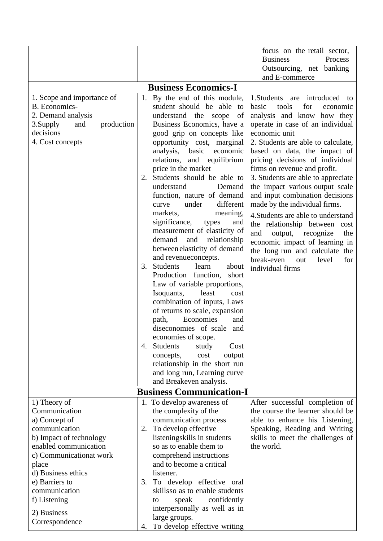|                                                                                                                                                                     |          |                                                                                                                                                                                                                                                                                                                                                                                                                                                                                                                                                                                                                                                                                                                                                                                                                                                                                                                                                                                                     | focus on the retail sector,<br><b>Business</b><br>Process<br>Outsourcing, net banking<br>and E-commerce                                                                                                                                                                                                                                                                                                                                                                                                                                                                                                                                                                               |
|---------------------------------------------------------------------------------------------------------------------------------------------------------------------|----------|-----------------------------------------------------------------------------------------------------------------------------------------------------------------------------------------------------------------------------------------------------------------------------------------------------------------------------------------------------------------------------------------------------------------------------------------------------------------------------------------------------------------------------------------------------------------------------------------------------------------------------------------------------------------------------------------------------------------------------------------------------------------------------------------------------------------------------------------------------------------------------------------------------------------------------------------------------------------------------------------------------|---------------------------------------------------------------------------------------------------------------------------------------------------------------------------------------------------------------------------------------------------------------------------------------------------------------------------------------------------------------------------------------------------------------------------------------------------------------------------------------------------------------------------------------------------------------------------------------------------------------------------------------------------------------------------------------|
|                                                                                                                                                                     |          | <b>Business Economics-I</b>                                                                                                                                                                                                                                                                                                                                                                                                                                                                                                                                                                                                                                                                                                                                                                                                                                                                                                                                                                         |                                                                                                                                                                                                                                                                                                                                                                                                                                                                                                                                                                                                                                                                                       |
| 1. Scope and importance of<br>B. Economics-<br>2. Demand analysis<br>3. Supply<br>and<br>production<br>decisions<br>4. Cost concepts                                | 2.<br>3. | 1. By the end of this module,<br>student should be able to<br>understand the scope of<br>Business Economics, have a<br>good grip on concepts like<br>opportunity cost, marginal<br>basic<br>economic<br>analysis,<br>equilibrium<br>relations, and<br>price in the market<br>Students should be able to<br>understand<br>Demand<br>function, nature of demand<br>different<br>under<br>curve<br>markets,<br>meaning,<br>significance,<br>and<br>types<br>measurement of elasticity of<br>demand<br>and relationship<br>between elasticity of demand<br>and revenue concepts.<br><b>Students</b><br>learn<br>about<br>Production function,<br>short<br>Law of variable proportions,<br>Isoquants,<br>least<br>cost<br>combination of inputs, Laws<br>of returns to scale, expansion<br>Economies<br>path,<br>and<br>diseconomies of scale and<br>economies of scope.<br>4. Students<br>study<br>Cost<br>cost<br>output<br>concepts,<br>relationship in the short run<br>and long run, Learning curve | 1. Students are introduced to<br>basic<br>tools<br>for<br>economic<br>analysis and know how they<br>operate in case of an individual<br>economic unit<br>2. Students are able to calculate,<br>based on data, the impact of<br>pricing decisions of individual<br>firms on revenue and profit.<br>3. Students are able to appreciate<br>the impact various output scale<br>and input combination decisions<br>made by the individual firms.<br>4. Students are able to understand<br>the relationship between cost<br>and<br>output,<br>recognize<br>the<br>economic impact of learning in<br>the long run and calculate the<br>break-even<br>level<br>for<br>out<br>individual firms |
|                                                                                                                                                                     |          | and Breakeven analysis.                                                                                                                                                                                                                                                                                                                                                                                                                                                                                                                                                                                                                                                                                                                                                                                                                                                                                                                                                                             |                                                                                                                                                                                                                                                                                                                                                                                                                                                                                                                                                                                                                                                                                       |
|                                                                                                                                                                     |          | <b>Business Communication-I</b>                                                                                                                                                                                                                                                                                                                                                                                                                                                                                                                                                                                                                                                                                                                                                                                                                                                                                                                                                                     |                                                                                                                                                                                                                                                                                                                                                                                                                                                                                                                                                                                                                                                                                       |
| 1) Theory of<br>Communication<br>a) Concept of<br>communication<br>b) Impact of technology                                                                          |          | 1. To develop awareness of<br>the complexity of the<br>communication process<br>2. To develop effective<br>listeningskills in students                                                                                                                                                                                                                                                                                                                                                                                                                                                                                                                                                                                                                                                                                                                                                                                                                                                              | After successful completion of<br>the course the learner should be<br>able to enhance his Listening,<br>Speaking, Reading and Writing<br>skills to meet the challenges of                                                                                                                                                                                                                                                                                                                                                                                                                                                                                                             |
| enabled communication<br>c) Communicationat work<br>place<br>d) Business ethics<br>e) Barriers to<br>communication<br>f) Listening<br>2) Business<br>Correspondence | 3.<br>4. | so as to enable them to<br>comprehend instructions<br>and to become a critical<br>listener.<br>To develop effective oral<br>skills so as to enable students<br>confidently<br>speak<br>to<br>interpersonally as well as in<br>large groups.<br>To develop effective writing                                                                                                                                                                                                                                                                                                                                                                                                                                                                                                                                                                                                                                                                                                                         | the world.                                                                                                                                                                                                                                                                                                                                                                                                                                                                                                                                                                                                                                                                            |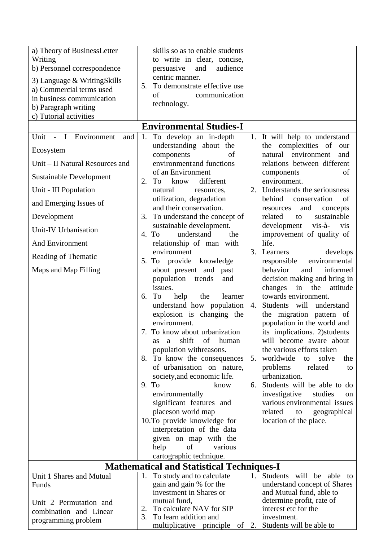| a) Theory of BusinessLetter<br>Writing<br>b) Personnel correspondence<br>3) Language & WritingSkills<br>a) Commercial terms used<br>in business communication | skills so as to enable students<br>to write in clear, concise,<br>audience<br>persuasive<br>and<br>centric manner.<br>5. To demonstrate effective use<br>of<br>communication |                                                                                                 |
|---------------------------------------------------------------------------------------------------------------------------------------------------------------|------------------------------------------------------------------------------------------------------------------------------------------------------------------------------|-------------------------------------------------------------------------------------------------|
| b) Paragraph writing<br>c) Tutorial activities                                                                                                                | technology.                                                                                                                                                                  |                                                                                                 |
|                                                                                                                                                               | <b>Environmental Studies-I</b>                                                                                                                                               |                                                                                                 |
| Unit - I Environment<br>and                                                                                                                                   | To develop an in-depth<br>1.                                                                                                                                                 | 1. It will help to understand                                                                   |
| Ecosystem                                                                                                                                                     | understanding about the<br>components<br>of                                                                                                                                  | the complexities of<br>our<br>natural environment<br>and                                        |
| Unit – II Natural Resources and                                                                                                                               | environment and functions                                                                                                                                                    | relations between different                                                                     |
| Sustainable Development                                                                                                                                       | of an Environment<br>2. To<br>different<br>know                                                                                                                              | of<br>components<br>environment.                                                                |
| Unit - III Population                                                                                                                                         | natural<br>resources,                                                                                                                                                        | 2. Understands the seriousness                                                                  |
| and Emerging Issues of                                                                                                                                        | utilization, degradation<br>and their conservation.                                                                                                                          | behind<br>conservation<br>of<br>and<br>concepts<br>resources                                    |
| Development                                                                                                                                                   | 3. To understand the concept of                                                                                                                                              | sustainable<br>related<br>to                                                                    |
| Unit-IV Urbanisation                                                                                                                                          | sustainable development.<br>understand<br>4. To<br>the                                                                                                                       | development<br>$vis-\hat{a}$ -<br><b>vis</b><br>improvement of quality of                       |
| <b>And Environment</b>                                                                                                                                        | relationship of man with                                                                                                                                                     | life.                                                                                           |
| Reading of Thematic                                                                                                                                           | environment<br>5. To provide knowledge                                                                                                                                       | 3. Learners<br>develops<br>environmental<br>responsible                                         |
| Maps and Map Filling                                                                                                                                          | about present and past<br>population trends<br>and<br>issues.                                                                                                                | behavior<br>informed<br>and<br>decision making and bring in<br>changes<br>in<br>the<br>attitude |
|                                                                                                                                                               | To<br>help<br>the<br>learner<br>6.<br>understand how population                                                                                                              | towards environment.<br>4. Students will understand                                             |
|                                                                                                                                                               | explosion is changing the<br>environment.                                                                                                                                    | the migration pattern of<br>population in the world and                                         |
|                                                                                                                                                               | 7.<br>To know about urbanization<br>shift<br>of<br>human<br><b>as</b><br>a                                                                                                   | its implications. 2) students<br>will become aware about                                        |
|                                                                                                                                                               | population withreasons.<br>8. To know the consequences                                                                                                                       | the various efforts taken<br>worldwide<br>solve<br>the<br>to<br>5.                              |
|                                                                                                                                                               | of urbanisation on nature,<br>society, and economic life.                                                                                                                    | problems<br>related<br>to<br>urbanization.                                                      |
|                                                                                                                                                               | 9. To<br>know                                                                                                                                                                | Students will be able to do<br>6.                                                               |
|                                                                                                                                                               | environmentally                                                                                                                                                              | investigative<br>studies<br>on                                                                  |
|                                                                                                                                                               | significant features and                                                                                                                                                     | various environmental issues                                                                    |
|                                                                                                                                                               | places on world map                                                                                                                                                          | related<br>to<br>geographical                                                                   |
|                                                                                                                                                               | 10. To provide knowledge for<br>interpretation of the data                                                                                                                   | location of the place.                                                                          |
|                                                                                                                                                               | given on map with the                                                                                                                                                        |                                                                                                 |
|                                                                                                                                                               | of<br>help<br>various                                                                                                                                                        |                                                                                                 |
|                                                                                                                                                               | cartographic technique.                                                                                                                                                      |                                                                                                 |
|                                                                                                                                                               | <b>Mathematical and Statistical Techniques-I</b>                                                                                                                             |                                                                                                 |
| Unit 1 Shares and Mutual                                                                                                                                      | 1. To study and to calculate                                                                                                                                                 | 1. Students will be able to                                                                     |
| Funds                                                                                                                                                         | gain and gain % for the<br>investment in Shares or                                                                                                                           | understand concept of Shares<br>and Mutual fund, able to                                        |
| Unit 2 Permutation and                                                                                                                                        | mutual fund,                                                                                                                                                                 | determine profit, rate of                                                                       |
| combination and Linear                                                                                                                                        | To calculate NAV for SIP<br>2.                                                                                                                                               | interest etc for the                                                                            |
| programming problem                                                                                                                                           | 3.<br>To learn addition and<br>multiplicative principle of                                                                                                                   | investment.<br>Students will be able to<br>2.                                                   |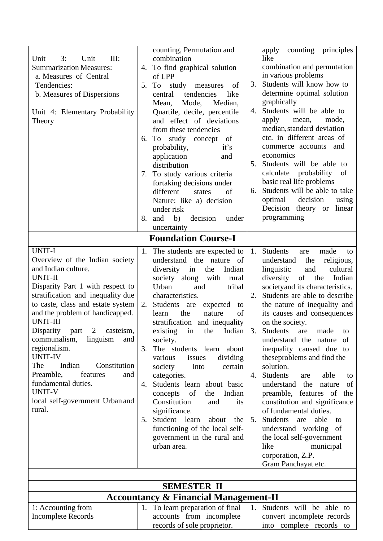|                                                  |    | counting, Permutation and        |    | counting principles<br>apply         |  |  |  |
|--------------------------------------------------|----|----------------------------------|----|--------------------------------------|--|--|--|
| Unit<br>Unit<br>III:<br>3:                       |    | combination                      |    | like                                 |  |  |  |
| <b>Summarization Measures:</b>                   |    | 4. To find graphical solution    |    | combination and permutation          |  |  |  |
| a. Measures of Central                           |    | of LPP                           |    | in various problems                  |  |  |  |
| Tendencies:                                      | 5. | To<br>study<br>measures<br>of    | 3. | Students will know how to            |  |  |  |
| b. Measures of Dispersions                       |    | central<br>tendencies<br>like    |    | determine optimal solution           |  |  |  |
|                                                  |    | Mode,<br>Median,<br>Mean,        |    | graphically                          |  |  |  |
| Unit 4: Elementary Probability                   |    | Quartile, decile, percentile     | 4. | Students will be able to             |  |  |  |
| Theory                                           |    | and effect of deviations         |    | apply<br>mode,<br>mean,              |  |  |  |
|                                                  |    | from these tendencies            |    | median, standard deviation           |  |  |  |
|                                                  | 6. | To<br>study concept<br>of        |    | etc. in different areas of           |  |  |  |
|                                                  |    | probability,<br>it's             |    | commerce accounts and                |  |  |  |
|                                                  |    | application<br>and               |    | economics                            |  |  |  |
|                                                  |    | distribution                     | 5. | Students will be able to             |  |  |  |
|                                                  | 7. | To study various criteria        |    | calculate<br>probability<br>of       |  |  |  |
|                                                  |    | fortaking decisions under        |    | basic real life problems             |  |  |  |
|                                                  |    | different<br>of<br>states        | 6. | Students will be able to take        |  |  |  |
|                                                  |    | Nature: like a) decision         |    | decision<br>optimal<br>using         |  |  |  |
|                                                  |    | under risk                       |    | Decision theory or<br>linear         |  |  |  |
|                                                  | 8. | b)<br>decision<br>and<br>under   |    | programming                          |  |  |  |
|                                                  |    | uncertainty                      |    |                                      |  |  |  |
|                                                  |    |                                  |    |                                      |  |  |  |
|                                                  |    | <b>Foundation Course-I</b>       |    |                                      |  |  |  |
| <b>UNIT-I</b>                                    | 1. | The students are expected to     |    | 1. Students<br>made<br>are<br>to     |  |  |  |
| Overview of the Indian society                   |    | understand the nature of         |    | religious,<br>understand<br>the      |  |  |  |
| and Indian culture.                              |    | Indian<br>diversity<br>in<br>the |    | linguistic<br>and<br>cultural        |  |  |  |
| <b>UNIT-II</b>                                   |    | society along with<br>rural      |    | diversity<br>of<br>the<br>Indian     |  |  |  |
| Disparity Part 1 with respect to                 |    | Urban<br>tribal<br>and           |    | society and its characteristics.     |  |  |  |
| stratification and inequality due                |    | characteristics.                 | 2. | Students are able to describe        |  |  |  |
| to caste, class and estate system                | 2. | Students are<br>expected<br>to   |    | the nature of inequality and         |  |  |  |
| and the problem of handicapped.                  |    | of<br>the<br>nature<br>learn     |    | its causes and consequences          |  |  |  |
| <b>UNIT-III</b>                                  |    | stratification and inequality    |    | on the society.                      |  |  |  |
| $\overline{2}$<br>Disparity<br>casteism,<br>part |    | existing<br>Indian<br>in the     |    | 3. Students<br>are<br>made<br>to     |  |  |  |
| communalism,<br>linguism<br>and                  |    | society.                         |    | understand the nature of             |  |  |  |
| regionalism.                                     | 3. | The students learn about         |    | inequality caused due to             |  |  |  |
| <b>UNIT-IV</b>                                   |    | dividing<br>issues<br>various    |    | these problems and find the          |  |  |  |
| The<br>Indian<br>Constitution                    |    | certain<br>society<br>into       |    | solution.                            |  |  |  |
| Preamble,<br>features<br>and                     |    | categories.                      | 4. | <b>Students</b><br>able<br>are<br>to |  |  |  |
| fundamental duties.                              | 4. | Students learn about basic       |    | understand the<br>of<br>nature       |  |  |  |
| <b>UNIT-V</b>                                    |    | of<br>the<br>Indian<br>concepts  |    | preamble, features of the            |  |  |  |
| local self-government Urban and                  |    | Constitution<br>and<br>its       |    | constitution and significance        |  |  |  |
| rural.                                           |    | significance.                    |    | of fundamental duties.               |  |  |  |
|                                                  | 5. | Student learn<br>about<br>the    | 5. | <b>Students</b><br>able<br>are<br>to |  |  |  |
|                                                  |    | functioning of the local self-   |    | understand working of                |  |  |  |
|                                                  |    | government in the rural and      |    | the local self-government            |  |  |  |
|                                                  |    | urban area.                      |    | like<br>municipal                    |  |  |  |
|                                                  |    |                                  |    | corporation, Z.P.                    |  |  |  |
|                                                  |    |                                  |    | Gram Panchayat etc.                  |  |  |  |
|                                                  |    |                                  |    |                                      |  |  |  |
| <b>SEMESTER II</b>                               |    |                                  |    |                                      |  |  |  |

| <b>Accountancy &amp; Financial Management-II</b> |                                                                      |                            |  |  |  |  |  |
|--------------------------------------------------|----------------------------------------------------------------------|----------------------------|--|--|--|--|--|
| 1: Accounting from                               | 1. To learn preparation of final $\vert$ 1. Students will be able to |                            |  |  |  |  |  |
| Incomplete Records                               | accounts from incomplete                                             | convert incomplete records |  |  |  |  |  |
|                                                  | records of sole proprietor.                                          | into complete records to   |  |  |  |  |  |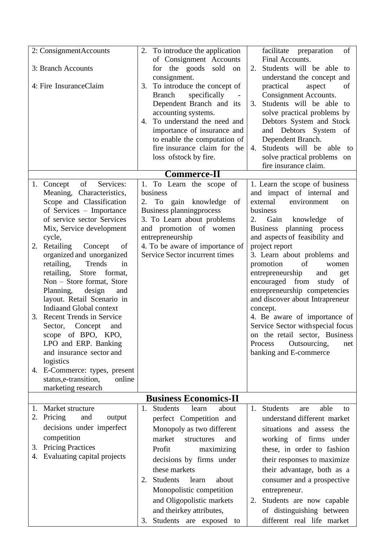| 2: ConsignmentAccounts<br>3: Branch Accounts<br>4: Fire InsuranceClaim                                                                                                                                                                                                                                                                                                                                                                                                                                                                                                                                                                                                 | 2. To introduce the application<br>of Consignment Accounts<br>for the goods sold<br>on<br>consignment.<br>To introduce the concept of<br>3.<br>specifically<br>Branch<br>Dependent Branch and its<br>accounting systems.<br>To understand the need and<br>4. | facilitate preparation<br>of<br>Final Accounts.<br>Students will be able to<br>2.<br>understand the concept and<br>practical<br>aspect<br>of<br>Consignment Accounts.<br>Students will be able to<br>3.<br>solve practical problems by<br>Debtors System and Stock                                                                                                                                                                                                                                                                                                                                         |
|------------------------------------------------------------------------------------------------------------------------------------------------------------------------------------------------------------------------------------------------------------------------------------------------------------------------------------------------------------------------------------------------------------------------------------------------------------------------------------------------------------------------------------------------------------------------------------------------------------------------------------------------------------------------|--------------------------------------------------------------------------------------------------------------------------------------------------------------------------------------------------------------------------------------------------------------|------------------------------------------------------------------------------------------------------------------------------------------------------------------------------------------------------------------------------------------------------------------------------------------------------------------------------------------------------------------------------------------------------------------------------------------------------------------------------------------------------------------------------------------------------------------------------------------------------------|
|                                                                                                                                                                                                                                                                                                                                                                                                                                                                                                                                                                                                                                                                        | importance of insurance and<br>to enable the computation of<br>fire insurance claim for the<br>loss of stock by fire.                                                                                                                                        | and Debtors System of<br>Dependent Branch.<br>Students will be able to<br>4.<br>solve practical problems on<br>fire insurance claim.                                                                                                                                                                                                                                                                                                                                                                                                                                                                       |
|                                                                                                                                                                                                                                                                                                                                                                                                                                                                                                                                                                                                                                                                        | <b>Commerce-II</b>                                                                                                                                                                                                                                           |                                                                                                                                                                                                                                                                                                                                                                                                                                                                                                                                                                                                            |
| of<br>1. Concept<br>Services:<br>Meaning, Characteristics,<br>Scope and Classification<br>of Services – Importance<br>of service sector Services<br>Mix, Service development<br>cycle,<br>Retailing<br>Concept<br>2.<br>of<br>organized and unorganized<br>retailing,<br>Trends<br>in<br>retailing,<br>Store<br>format,<br>Non – Store format, Store<br>Planning, design<br>and<br>layout. Retail Scenario in<br><b>Indiaand Global context</b><br>Recent Trends in Service<br>3.<br>Sector, Concept<br>and<br>scope of BPO, KPO,<br>LPO and ERP. Banking<br>and insurance sector and<br>logistics<br>4. E-Commerce: types, present<br>status, e-transition,<br>online | 1. To Learn the scope of<br>business<br>2.<br>To gain knowledge<br>of<br>Business planningprocess<br>3. To Learn about problems<br>and promotion of women<br>entrepreneurship<br>4. To be aware of importance of<br>Service Sector incurrent times           | 1. Learn the scope of business<br>and impact of internal and<br>external<br>environment<br>on<br>business<br>Gain<br>knowledge<br>2.<br>of<br>Business planning process<br>and aspects of feasibility and<br>project report<br>3. Learn about problems and<br>promotion<br>of<br>women<br>entrepreneurship<br>and<br>get<br>encouraged from<br>study of<br>entrepreneurship competencies<br>and discover about Intrapreneur<br>concept.<br>4. Be aware of importance of<br>Service Sector with special focus<br>on the retail sector, Business<br>Outsourcing,<br>Process<br>net<br>banking and E-commerce |
| marketing research                                                                                                                                                                                                                                                                                                                                                                                                                                                                                                                                                                                                                                                     |                                                                                                                                                                                                                                                              |                                                                                                                                                                                                                                                                                                                                                                                                                                                                                                                                                                                                            |
|                                                                                                                                                                                                                                                                                                                                                                                                                                                                                                                                                                                                                                                                        | <b>Business Economics-II</b>                                                                                                                                                                                                                                 |                                                                                                                                                                                                                                                                                                                                                                                                                                                                                                                                                                                                            |
| Market structure<br>1.<br>2. Pricing<br>and<br>output<br>decisions under imperfect<br>competition<br><b>Pricing Practices</b><br>3.<br>Evaluating capital projects<br>4.                                                                                                                                                                                                                                                                                                                                                                                                                                                                                               | <b>Students</b><br>about<br>1.<br>learn<br>perfect Competition and<br>Monopoly as two different<br>market<br>structures<br>and<br>Profit<br>maximizing<br>decisions by firms under<br>these markets<br><b>Students</b><br>learn<br>about<br>2.               | <b>Students</b><br>able<br>1.<br>are<br>to<br>understand different market<br>situations and assess the<br>working of firms under<br>these, in order to fashion<br>their responses to maximize<br>their advantage, both as a<br>consumer and a prospective                                                                                                                                                                                                                                                                                                                                                  |
|                                                                                                                                                                                                                                                                                                                                                                                                                                                                                                                                                                                                                                                                        | Monopolistic competition<br>and Oligopolistic markets<br>and theirkey attributes,<br>Students are exposed to<br>3.                                                                                                                                           | entrepreneur.<br>Students are now capable<br>2.<br>of distinguishing between<br>different real life market                                                                                                                                                                                                                                                                                                                                                                                                                                                                                                 |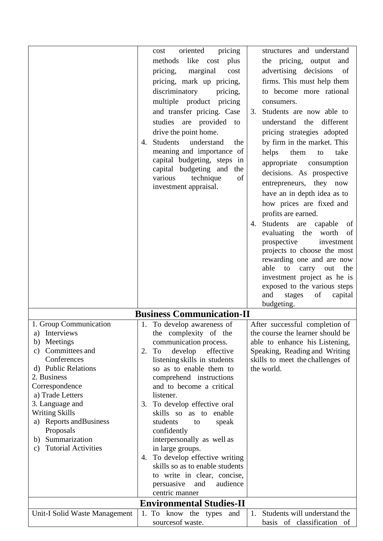|                                                                                                                                                                                                                                                                                                                                           | oriented<br>pricing<br>cost<br>like cost plus<br>methods<br>pricing,<br>marginal<br>cost<br>pricing, mark up pricing,<br>discriminatory<br>pricing,<br>multiple product pricing<br>and transfer pricing. Case<br>studies are provided to<br>drive the point home.<br>Students<br>understand<br>the<br>4.<br>meaning and importance of<br>capital budgeting, steps in<br>capital budgeting and<br>the<br>various<br>technique<br>of<br>investment appraisal.                                                                                                                                       | structures and understand<br>the pricing, output<br>and<br>advertising decisions<br>of<br>firms. This must help them<br>to become more rational<br>consumers.<br>Students are now able to<br>3.<br>understand the different<br>pricing strategies adopted<br>by firm in the market. This<br>helps<br>them<br>take<br>to<br>appropriate<br>consumption<br>decisions. As prospective<br>entrepreneurs, they now<br>have an in depth idea as to<br>how prices are fixed and<br>profits are earned.<br>Students are capable<br>of<br>4.<br>evaluating the worth<br>of<br>prospective<br>investment<br>projects to choose the most<br>rewarding one and are now<br>able to carry<br>out<br>the<br>investment project as he is<br>exposed to the various steps<br>and<br>stages<br>of<br>capital |
|-------------------------------------------------------------------------------------------------------------------------------------------------------------------------------------------------------------------------------------------------------------------------------------------------------------------------------------------|---------------------------------------------------------------------------------------------------------------------------------------------------------------------------------------------------------------------------------------------------------------------------------------------------------------------------------------------------------------------------------------------------------------------------------------------------------------------------------------------------------------------------------------------------------------------------------------------------|--------------------------------------------------------------------------------------------------------------------------------------------------------------------------------------------------------------------------------------------------------------------------------------------------------------------------------------------------------------------------------------------------------------------------------------------------------------------------------------------------------------------------------------------------------------------------------------------------------------------------------------------------------------------------------------------------------------------------------------------------------------------------------------------|
|                                                                                                                                                                                                                                                                                                                                           |                                                                                                                                                                                                                                                                                                                                                                                                                                                                                                                                                                                                   | budgeting.                                                                                                                                                                                                                                                                                                                                                                                                                                                                                                                                                                                                                                                                                                                                                                                 |
|                                                                                                                                                                                                                                                                                                                                           | <b>Business Communication-II</b>                                                                                                                                                                                                                                                                                                                                                                                                                                                                                                                                                                  |                                                                                                                                                                                                                                                                                                                                                                                                                                                                                                                                                                                                                                                                                                                                                                                            |
| 1. Group Communication<br>Interviews<br>a)<br>Meetings<br>b)<br>Committees and<br>C)<br>Conferences<br>d) Public Relations<br>2. Business<br>Correspondence<br>a) Trade Letters<br>3. Language and<br><b>Writing Skills</b><br>a) Reports and Business<br>Proposals<br>Summarization<br>b)<br><b>Tutorial Activities</b><br>$\mathbf{c})$ | 1. To develop awareness of<br>the complexity of the<br>communication process.<br>To<br>develop effective<br>2.<br>listening skills in students<br>so as to enable them to<br>comprehend instructions<br>and to become a critical<br>listener.<br>To develop effective oral<br>3.<br>skills so as to enable<br>students<br>speak<br>to<br>confidently<br>interpersonally as well as<br>in large groups.<br>4. To develop effective writing<br>skills so as to enable students<br>to write in clear, concise,<br>audience<br>persuasive<br>and<br>centric manner<br><b>Environmental Studies-II</b> | After successful completion of<br>the course the learner should be<br>able to enhance his Listening,<br>Speaking, Reading and Writing<br>skills to meet the challenges of<br>the world.                                                                                                                                                                                                                                                                                                                                                                                                                                                                                                                                                                                                    |
| Unit-I Solid Waste Management                                                                                                                                                                                                                                                                                                             | 1. To know the types<br>and                                                                                                                                                                                                                                                                                                                                                                                                                                                                                                                                                                       | Students will understand the<br>1.                                                                                                                                                                                                                                                                                                                                                                                                                                                                                                                                                                                                                                                                                                                                                         |
|                                                                                                                                                                                                                                                                                                                                           | sources of waste.                                                                                                                                                                                                                                                                                                                                                                                                                                                                                                                                                                                 | basis of classification<br>- of                                                                                                                                                                                                                                                                                                                                                                                                                                                                                                                                                                                                                                                                                                                                                            |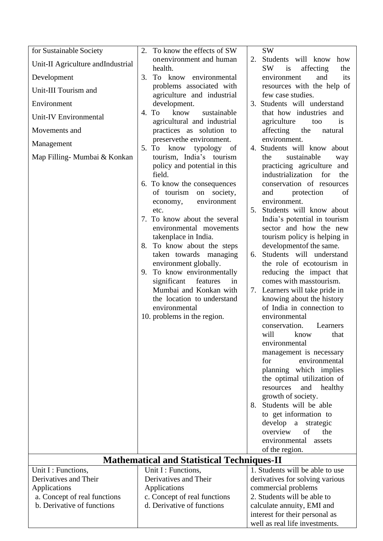| for Sustainable Society                                    | 2.<br>To know the effects of SW                                                                                                                                                                                                                                                                                                                                                                                                                                                                                 | <b>SW</b>                                                                                                                                                                                                                                                                                                                                                                                                                                                                                                                                                                                                                        |
|------------------------------------------------------------|-----------------------------------------------------------------------------------------------------------------------------------------------------------------------------------------------------------------------------------------------------------------------------------------------------------------------------------------------------------------------------------------------------------------------------------------------------------------------------------------------------------------|----------------------------------------------------------------------------------------------------------------------------------------------------------------------------------------------------------------------------------------------------------------------------------------------------------------------------------------------------------------------------------------------------------------------------------------------------------------------------------------------------------------------------------------------------------------------------------------------------------------------------------|
| Unit-II Agriculture and Industrial                         | onenvironment and human<br>health.                                                                                                                                                                                                                                                                                                                                                                                                                                                                              | Students will know<br>2.<br>how<br><b>SW</b><br>is<br>affecting<br>the                                                                                                                                                                                                                                                                                                                                                                                                                                                                                                                                                           |
| Development                                                | 3.<br>To know environmental                                                                                                                                                                                                                                                                                                                                                                                                                                                                                     | and<br>its<br>environment                                                                                                                                                                                                                                                                                                                                                                                                                                                                                                                                                                                                        |
| Unit-III Tourism and                                       | problems associated with                                                                                                                                                                                                                                                                                                                                                                                                                                                                                        | resources with the help of                                                                                                                                                                                                                                                                                                                                                                                                                                                                                                                                                                                                       |
| Environment                                                | agriculture and industrial<br>development.                                                                                                                                                                                                                                                                                                                                                                                                                                                                      | few case studies.<br>3. Students will understand                                                                                                                                                                                                                                                                                                                                                                                                                                                                                                                                                                                 |
| Unit-IV Environmental                                      | know<br>4. To<br>sustainable                                                                                                                                                                                                                                                                                                                                                                                                                                                                                    | that how industries and                                                                                                                                                                                                                                                                                                                                                                                                                                                                                                                                                                                                          |
|                                                            | agricultural and industrial                                                                                                                                                                                                                                                                                                                                                                                                                                                                                     | agriculture<br>too<br><i>is</i>                                                                                                                                                                                                                                                                                                                                                                                                                                                                                                                                                                                                  |
| Movements and                                              | practices as solution to<br>preservethe environment.                                                                                                                                                                                                                                                                                                                                                                                                                                                            | affecting<br>the<br>natural<br>environment.                                                                                                                                                                                                                                                                                                                                                                                                                                                                                                                                                                                      |
| Management                                                 | To know<br>typology of<br>5.                                                                                                                                                                                                                                                                                                                                                                                                                                                                                    | 4. Students will know about                                                                                                                                                                                                                                                                                                                                                                                                                                                                                                                                                                                                      |
| Map Filling- Mumbai & Konkan                               | tourism, India's tourism<br>policy and potential in this<br>field.<br>6. To know the consequences<br>of tourism<br>on society,<br>environment<br>economy,<br>etc.<br>7. To know about the several<br>environmental movements<br>takenplace in India.<br>To know about the steps<br>8.<br>taken towards managing<br>environment globally.<br>9. To know environmentally<br>significant<br>features<br>in<br>Mumbai and Konkan with<br>the location to understand<br>environmental<br>10. problems in the region. | sustainable<br>the<br>way<br>practicing agriculture<br>and<br>industrialization for<br>the<br>conservation of resources<br>protection<br>of<br>and<br>environment.<br>5. Students will know about<br>India's potential in tourism<br>sector and how the new<br>tourism policy is helping in<br>development of the same.<br>Students will understand<br>6.<br>the role of ecotourism in<br>reducing the impact that<br>comes with masstourism.<br>7. Learners will take pride in<br>knowing about the history<br>of India in connection to<br>environmental<br>conservation.<br>Learners<br>will<br>know<br>that<br>environmental |
|                                                            |                                                                                                                                                                                                                                                                                                                                                                                                                                                                                                                 | management is necessary                                                                                                                                                                                                                                                                                                                                                                                                                                                                                                                                                                                                          |
|                                                            |                                                                                                                                                                                                                                                                                                                                                                                                                                                                                                                 | environmental<br>for<br>planning which implies                                                                                                                                                                                                                                                                                                                                                                                                                                                                                                                                                                                   |
|                                                            |                                                                                                                                                                                                                                                                                                                                                                                                                                                                                                                 | the optimal utilization of                                                                                                                                                                                                                                                                                                                                                                                                                                                                                                                                                                                                       |
|                                                            |                                                                                                                                                                                                                                                                                                                                                                                                                                                                                                                 | resources<br>and<br>healthy<br>growth of society.                                                                                                                                                                                                                                                                                                                                                                                                                                                                                                                                                                                |
|                                                            |                                                                                                                                                                                                                                                                                                                                                                                                                                                                                                                 | 8. Students will be able                                                                                                                                                                                                                                                                                                                                                                                                                                                                                                                                                                                                         |
|                                                            |                                                                                                                                                                                                                                                                                                                                                                                                                                                                                                                 | to get information to<br>develop<br>a strategic                                                                                                                                                                                                                                                                                                                                                                                                                                                                                                                                                                                  |
|                                                            |                                                                                                                                                                                                                                                                                                                                                                                                                                                                                                                 | overview<br>of<br>the                                                                                                                                                                                                                                                                                                                                                                                                                                                                                                                                                                                                            |
|                                                            |                                                                                                                                                                                                                                                                                                                                                                                                                                                                                                                 | environmental<br>assets                                                                                                                                                                                                                                                                                                                                                                                                                                                                                                                                                                                                          |
|                                                            | <b>Mathematical and Statistical Techniques-II</b>                                                                                                                                                                                                                                                                                                                                                                                                                                                               | of the region.                                                                                                                                                                                                                                                                                                                                                                                                                                                                                                                                                                                                                   |
| Unit I : Functions,                                        | Unit I : Functions,                                                                                                                                                                                                                                                                                                                                                                                                                                                                                             | 1. Students will be able to use                                                                                                                                                                                                                                                                                                                                                                                                                                                                                                                                                                                                  |
| Derivatives and Their                                      | Derivatives and Their                                                                                                                                                                                                                                                                                                                                                                                                                                                                                           | derivatives for solving various                                                                                                                                                                                                                                                                                                                                                                                                                                                                                                                                                                                                  |
| Applications                                               | Applications                                                                                                                                                                                                                                                                                                                                                                                                                                                                                                    | commercial problems                                                                                                                                                                                                                                                                                                                                                                                                                                                                                                                                                                                                              |
| a. Concept of real functions<br>b. Derivative of functions | c. Concept of real functions<br>d. Derivative of functions                                                                                                                                                                                                                                                                                                                                                                                                                                                      | 2. Students will be able to                                                                                                                                                                                                                                                                                                                                                                                                                                                                                                                                                                                                      |
|                                                            |                                                                                                                                                                                                                                                                                                                                                                                                                                                                                                                 | calculate annuity, EMI and<br>interest for their personal as                                                                                                                                                                                                                                                                                                                                                                                                                                                                                                                                                                     |
|                                                            |                                                                                                                                                                                                                                                                                                                                                                                                                                                                                                                 | well as real life investments.                                                                                                                                                                                                                                                                                                                                                                                                                                                                                                                                                                                                   |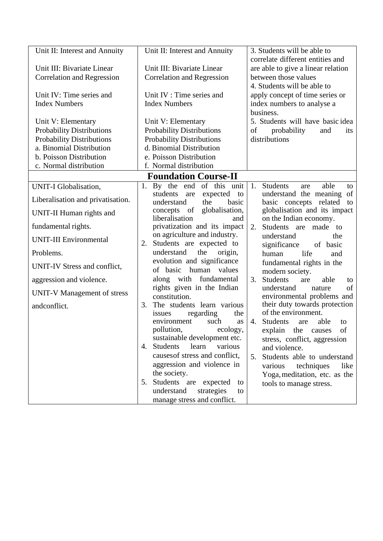| Unit II: Interest and Annuity      | Unit II: Interest and Annuity                                   | 3. Students will be able to                                            |  |  |
|------------------------------------|-----------------------------------------------------------------|------------------------------------------------------------------------|--|--|
| Unit III: Bivariate Linear         | Unit III: Bivariate Linear                                      | correlate different entities and<br>are able to give a linear relation |  |  |
| <b>Correlation and Regression</b>  | <b>Correlation and Regression</b>                               | between those values                                                   |  |  |
|                                    |                                                                 | 4. Students will be able to<br>apply concept of time series or         |  |  |
| Unit IV: Time series and           | Unit IV : Time series and                                       |                                                                        |  |  |
| <b>Index Numbers</b>               | <b>Index Numbers</b>                                            | index numbers to analyse a                                             |  |  |
|                                    |                                                                 | business.                                                              |  |  |
| Unit V: Elementary                 | Unit V: Elementary                                              | 5. Students will have basic idea                                       |  |  |
| <b>Probability Distributions</b>   | <b>Probability Distributions</b>                                | of<br>probability<br>and<br>its                                        |  |  |
| Probability Distributions          | <b>Probability Distributions</b>                                | distributions                                                          |  |  |
| a. Binomial Distribution           | d. Binomial Distribution                                        |                                                                        |  |  |
| b. Poisson Distribution            | e. Poisson Distribution                                         |                                                                        |  |  |
| c. Normal distribution             | f. Normal distribution                                          |                                                                        |  |  |
|                                    | <b>Foundation Course-II</b>                                     |                                                                        |  |  |
| <b>UNIT-I Globalisation,</b>       | 1. By the end of this<br>unit                                   | 1.<br><b>Students</b><br>able<br>are<br>to                             |  |  |
| Liberalisation and privatisation.  | students<br>are<br>expected<br>to<br>understand<br>the<br>basic | understand the meaning of<br>basic concepts related<br>to              |  |  |
|                                    | globalisation,<br>of<br>concepts                                | globalisation and its impact                                           |  |  |
| UNIT-II Human rights and           | liberalisation<br>and                                           | on the Indian economy.                                                 |  |  |
| fundamental rights.                | privatization and its impact                                    | Students are<br>made to<br>2.                                          |  |  |
| <b>UNIT-III Environmental</b>      | on agriculture and industry.<br>Students are expected to<br>2.  | understand<br>the                                                      |  |  |
| Problems.                          | understand<br>the<br>origin,                                    | significance<br>of basic<br>human<br>life<br>and                       |  |  |
|                                    | evolution and significance                                      | fundamental rights in the                                              |  |  |
| UNIT-IV Stress and conflict,       | human<br>values<br>of basic                                     | modern society.                                                        |  |  |
| aggression and violence.           | along with fundamental                                          | <b>Students</b><br>3.<br>able<br>are<br>to                             |  |  |
| <b>UNIT-V Management of stress</b> | rights given in the Indian<br>constitution.                     | understand<br>of<br>nature<br>environmental problems and               |  |  |
| andconflict.                       | 3.<br>The students learn various                                | their duty towards protection                                          |  |  |
|                                    | regarding<br>the<br>issues                                      | of the environment.                                                    |  |  |
|                                    | environment<br>such<br>as                                       | Students<br>able<br>4.<br>are<br>to                                    |  |  |
|                                    | ecology,<br>pollution,                                          | of<br>explain the<br>causes                                            |  |  |
|                                    | sustainable development etc.                                    | stress, conflict, aggression                                           |  |  |
|                                    | Students<br>learn<br>various<br>4.                              | and violence.                                                          |  |  |
|                                    | causes of stress and conflict,                                  | Students able to understand<br>5.                                      |  |  |
|                                    | aggression and violence in                                      | various<br>techniques<br>like                                          |  |  |
|                                    | the society.                                                    | Yoga, meditation, etc. as the                                          |  |  |
|                                    | Students are expected<br>5.<br>to                               | tools to manage stress.                                                |  |  |
|                                    | understand<br>strategies<br>to<br>manage stress and conflict.   |                                                                        |  |  |
|                                    |                                                                 |                                                                        |  |  |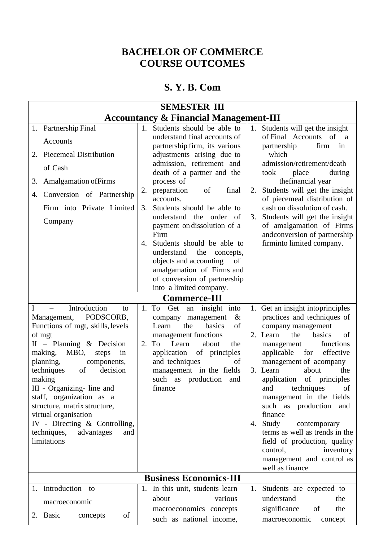### **BACHELOR OF COMMERCE COURSE OUTCOMES**

### **S. Y. B. Com**

| <b>SEMESTER III</b>                                                                                                                                                                                                                                                                                                                                                                                                                                  |                                                                                                                                                                                                                                                                                                                                                                                                                                                                                                                                      |                                                                                                                                                                                                                                                                                                                                                                                                                                                                                                                                                 |  |  |  |  |
|------------------------------------------------------------------------------------------------------------------------------------------------------------------------------------------------------------------------------------------------------------------------------------------------------------------------------------------------------------------------------------------------------------------------------------------------------|--------------------------------------------------------------------------------------------------------------------------------------------------------------------------------------------------------------------------------------------------------------------------------------------------------------------------------------------------------------------------------------------------------------------------------------------------------------------------------------------------------------------------------------|-------------------------------------------------------------------------------------------------------------------------------------------------------------------------------------------------------------------------------------------------------------------------------------------------------------------------------------------------------------------------------------------------------------------------------------------------------------------------------------------------------------------------------------------------|--|--|--|--|
| <b>Accountancy &amp; Financial Management-III</b>                                                                                                                                                                                                                                                                                                                                                                                                    |                                                                                                                                                                                                                                                                                                                                                                                                                                                                                                                                      |                                                                                                                                                                                                                                                                                                                                                                                                                                                                                                                                                 |  |  |  |  |
| 1. Partnership Final<br>Accounts<br>2. Piecemeal Distribution<br>of Cash<br><b>Amalgamation of Firms</b><br>3.<br>Conversion of Partnership<br>4.<br>Firm into Private Limited<br>Company                                                                                                                                                                                                                                                            | 1. Students should be able to<br>understand final accounts of<br>partnership firm, its various<br>adjustments arising due to<br>admission, retirement and<br>death of a partner and the<br>process of<br>preparation<br>final<br>2.<br>of<br>accounts.<br>Students should be able to<br>3.<br>understand the order<br>- of<br>payment on dissolution of a<br>Firm<br>Students should be able to<br>4.<br>the<br>understand<br>concepts,<br>objects and accounting<br>of<br>amalgamation of Firms and<br>of conversion of partnership | 1. Students will get the insight<br>of Final Accounts of<br>$\mathbf{a}$<br>firm<br>partnership<br>in<br>which<br>admission/retirement/death<br>took<br>place<br>during<br>the financial year<br>Students will get the insight<br>2.<br>of piecemeal distribution of<br>cash on dissolution of cash.<br>Students will get the insight<br>3.<br>of amalgamation of Firms<br>andconversion of partnership<br>firminto limited company.                                                                                                            |  |  |  |  |
|                                                                                                                                                                                                                                                                                                                                                                                                                                                      | into a limited company.                                                                                                                                                                                                                                                                                                                                                                                                                                                                                                              |                                                                                                                                                                                                                                                                                                                                                                                                                                                                                                                                                 |  |  |  |  |
|                                                                                                                                                                                                                                                                                                                                                                                                                                                      | <b>Commerce-III</b>                                                                                                                                                                                                                                                                                                                                                                                                                                                                                                                  |                                                                                                                                                                                                                                                                                                                                                                                                                                                                                                                                                 |  |  |  |  |
| Introduction<br>$\equiv$<br>to<br>Management, PODSCORB,<br>Functions of mgt, skills, levels<br>of mgt<br>$II$ – Planning & Decision<br>MBO,<br>making,<br>steps<br>in<br>planning,<br>components,<br>techniques<br>decision<br>of<br>making<br>III - Organizing- line and<br>staff, organization as a<br>structure, matrix structure,<br>virtual organisation<br>IV - Directing $\&$ Controlling,<br>techniques,<br>advantages<br>and<br>limitations | To<br>Get<br>insight into<br>1.<br>an<br>$\&$<br>company<br>management<br>basics<br>the<br>of<br>Learn<br>management functions<br>Learn<br>2. To<br>about<br>the<br>application<br>of principles<br>and techniques<br>of<br>management in the fields<br>such as production<br>and<br>finance                                                                                                                                                                                                                                         | 1. Get an insight into principles<br>practices and techniques of<br>company management<br>2. Learn<br>basics<br>the<br>of<br>functions<br>management<br>applicable<br>effective<br>for<br>management of acompany<br>3. Learn<br>about<br>the<br>application of principles<br>of<br>techniques<br>and<br>management in the fields<br>such as production and<br>finance<br>Study<br>contemporary<br>4.<br>terms as well as trends in the<br>field of production, quality<br>inventory<br>control,<br>management and control as<br>well as finance |  |  |  |  |
|                                                                                                                                                                                                                                                                                                                                                                                                                                                      | <b>Business Economics-III</b>                                                                                                                                                                                                                                                                                                                                                                                                                                                                                                        |                                                                                                                                                                                                                                                                                                                                                                                                                                                                                                                                                 |  |  |  |  |
| 1. Introduction to<br>macroeconomic<br>2. Basic<br>of<br>concepts                                                                                                                                                                                                                                                                                                                                                                                    | 1. In this unit, students learn<br>about<br>various<br>macroeconomics concepts<br>such as national income,                                                                                                                                                                                                                                                                                                                                                                                                                           | 1. Students are expected to<br>understand<br>the<br>significance<br>the<br>of<br>macroeconomic<br>concept                                                                                                                                                                                                                                                                                                                                                                                                                                       |  |  |  |  |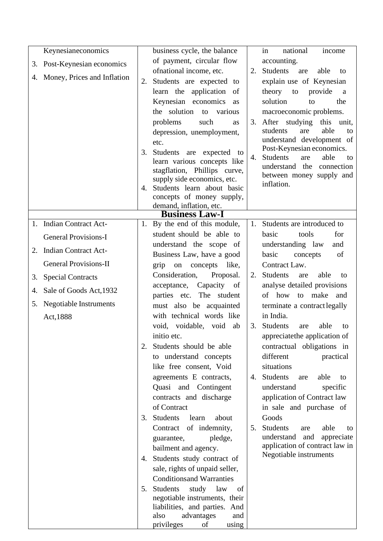|    | Keynesianeconomics             |    | business cycle, the balance                               |    | national<br>income<br>in                                   |
|----|--------------------------------|----|-----------------------------------------------------------|----|------------------------------------------------------------|
|    | 3. Post-Keynesian economics    |    | of payment, circular flow                                 |    | accounting.                                                |
|    |                                |    | ofnational income, etc.                                   | 2. | Students<br>are<br>able<br>to                              |
|    | 4. Money, Prices and Inflation | 2. | Students are expected to                                  |    | explain use of Keynesian                                   |
|    |                                |    | learn the application of                                  |    | theory to<br>provide<br>a                                  |
|    |                                |    | Keynesian economics<br>as                                 |    | solution<br>the<br>to                                      |
|    |                                |    | the solution<br>to various                                |    | macroeconomic problems.                                    |
|    |                                |    | problems<br>such<br>as                                    | 3. | After studying this<br>unit,                               |
|    |                                |    | depression, unemployment,                                 |    | able<br>students<br>are<br>to                              |
|    |                                |    | etc.                                                      |    | understand development of                                  |
|    |                                | 3. | Students are expected to                                  | 4. | Post-Keynesian economics.<br>Students<br>able<br>are<br>to |
|    |                                |    | learn various concepts like                               |    | understand the<br>connection                               |
|    |                                |    | stagflation, Phillips curve,                              |    | between money supply and                                   |
|    |                                | 4. | supply side economics, etc.<br>Students learn about basic |    | inflation.                                                 |
|    |                                |    | concepts of money supply,                                 |    |                                                            |
|    |                                |    | demand, inflation, etc.                                   |    |                                                            |
|    |                                |    | <b>Business Law-I</b>                                     |    |                                                            |
|    | 1. Indian Contract Act-        |    | 1. By the end of this module,                             | 1. | Students are introduced to                                 |
|    | <b>General Provisions-I</b>    |    | student should be able to                                 |    | basic<br>for<br>tools                                      |
| 2. | <b>Indian Contract Act-</b>    |    | understand the scope of                                   |    | understanding law<br>and                                   |
|    |                                |    | Business Law, have a good                                 |    | basic<br>concepts<br>of                                    |
|    | <b>General Provisions-II</b>   |    | on concepts like,<br>grip                                 |    | Contract Law.                                              |
| 3. | <b>Special Contracts</b>       |    | Consideration,<br>Proposal.                               | 2. | Students<br>able<br>are<br>to                              |
| 4. | Sale of Goods Act, 1932        |    | acceptance, Capacity of                                   |    | analyse detailed provisions                                |
| 5. | <b>Negotiable Instruments</b>  |    | parties etc. The student                                  |    | of how to make and                                         |
|    |                                |    | must also be acquainted<br>with technical words like      |    | terminate a contract legally<br>in India.                  |
|    | Act, 1888                      |    | void, voidable, void ab                                   | 3. | <b>Students</b><br>able<br>are<br>to                       |
|    |                                |    | initio etc.                                               |    | appreciate the application of                              |
|    |                                | 2. | Students should be able                                   |    | contractual obligations in                                 |
|    |                                |    | to understand concepts                                    |    | different<br>practical                                     |
|    |                                |    | like free consent, Void                                   |    | situations                                                 |
|    |                                |    | agreements E contracts,                                   |    | 4. Students<br>able<br>are<br>to                           |
|    |                                |    | Quasi and Contingent                                      |    | understand<br>specific                                     |
|    |                                |    | contracts and discharge                                   |    | application of Contract law                                |
|    |                                |    | of Contract                                               |    | in sale and purchase of                                    |
|    |                                | 3. | <b>Students</b><br>learn<br>about                         |    | Goods                                                      |
|    |                                |    | Contract of indemnity,                                    | 5. | Students<br>able<br>are<br>to                              |
|    |                                |    | pledge,<br>guarantee,                                     |    | understand<br>and<br>appreciate                            |
|    |                                |    | bailment and agency.                                      |    | application of contract law in                             |
|    |                                |    | 4. Students study contract of                             |    | Negotiable instruments                                     |
|    |                                |    | sale, rights of unpaid seller,                            |    |                                                            |
|    |                                |    | <b>Conditionsand Warranties</b>                           |    |                                                            |
|    |                                | 5. | Students<br>study<br>law<br>of                            |    |                                                            |
|    |                                |    | negotiable instruments, their                             |    |                                                            |
|    |                                |    | liabilities, and parties. And                             |    |                                                            |
|    |                                |    | advantages<br>also<br>and                                 |    |                                                            |
|    |                                |    | privileges<br>using<br>of                                 |    |                                                            |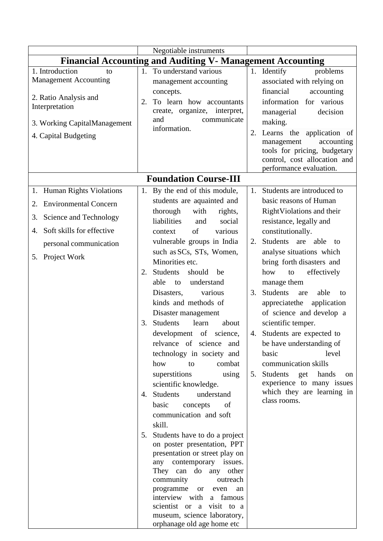|                                                                                                                                                                                  |          | Negotiable instruments                                                                                                                                                                                                                                                                                                                                                                                                                                                                                                                                                                                                                                                                                                                                                                                                                                                                                                                                                                                                |                                     |                                                                                                                                                                                                                                                                                                                                                                                                                                                                                                                                                                                                          |  |
|----------------------------------------------------------------------------------------------------------------------------------------------------------------------------------|----------|-----------------------------------------------------------------------------------------------------------------------------------------------------------------------------------------------------------------------------------------------------------------------------------------------------------------------------------------------------------------------------------------------------------------------------------------------------------------------------------------------------------------------------------------------------------------------------------------------------------------------------------------------------------------------------------------------------------------------------------------------------------------------------------------------------------------------------------------------------------------------------------------------------------------------------------------------------------------------------------------------------------------------|-------------------------------------|----------------------------------------------------------------------------------------------------------------------------------------------------------------------------------------------------------------------------------------------------------------------------------------------------------------------------------------------------------------------------------------------------------------------------------------------------------------------------------------------------------------------------------------------------------------------------------------------------------|--|
| <b>Financial Accounting and Auditing V- Management Accounting</b>                                                                                                                |          |                                                                                                                                                                                                                                                                                                                                                                                                                                                                                                                                                                                                                                                                                                                                                                                                                                                                                                                                                                                                                       |                                     |                                                                                                                                                                                                                                                                                                                                                                                                                                                                                                                                                                                                          |  |
| 1. Introduction<br>to<br><b>Management Accounting</b><br>2. Ratio Analysis and<br>Interpretation<br>3. Working CapitalManagement<br>4. Capital Budgeting                         | 2.       | 1. To understand various<br>management accounting<br>concepts.<br>To learn how accountants<br>create, organize, interpret,<br>communicate<br>and<br>information.                                                                                                                                                                                                                                                                                                                                                                                                                                                                                                                                                                                                                                                                                                                                                                                                                                                      | 2.                                  | 1. Identify<br>problems<br>associated with relying on<br>financial<br>accounting<br>information for various<br>decision<br>managerial<br>making.<br>Learns the application of<br>management<br>accounting<br>tools for pricing, budgetary<br>control, cost allocation and<br>performance evaluation.                                                                                                                                                                                                                                                                                                     |  |
|                                                                                                                                                                                  |          | <b>Foundation Course-III</b>                                                                                                                                                                                                                                                                                                                                                                                                                                                                                                                                                                                                                                                                                                                                                                                                                                                                                                                                                                                          |                                     |                                                                                                                                                                                                                                                                                                                                                                                                                                                                                                                                                                                                          |  |
| 1. Human Rights Violations<br><b>Environmental Concern</b><br>2.<br>Science and Technology<br>3.<br>Soft skills for effective<br>4.<br>personal communication<br>5. Project Work | 3.<br>5. | 1. By the end of this module,<br>students are aquainted and<br>thorough<br>with<br>rights,<br>liabilities<br>social<br>and<br>of<br>various<br>context<br>vulnerable groups in India<br>such as SCs, STs, Women,<br>Minorities etc.<br>2. Students<br>should<br>be<br>able to<br>understand<br>Disasters,<br>various<br>kinds and methods of<br>Disaster management<br><b>Students</b><br>learn<br>about<br>development of science,<br>relyance of science and<br>technology in society and<br>how<br>to<br>combat<br>superstitions<br>using<br>scientific knowledge.<br>4. Students<br>understand<br>basic<br>concepts<br>of<br>communication and soft<br>skill.<br>Students have to do a project<br>on poster presentation, PPT<br>presentation or street play on<br>any contemporary issues.<br>They can do any other<br>community<br>outreach<br>programme<br><sub>or</sub><br>even<br>an<br>interview with<br>a famous<br>scientist or a visit to a<br>museum, science laboratory,<br>orphanage old age home etc | $1_{\cdot}$<br>2.<br>3.<br>4.<br>5. | Students are introduced to<br>basic reasons of Human<br>RightViolations and their<br>resistance, legally and<br>constitutionally.<br>Students are able to<br>analyse situations which<br>bring forth disasters and<br>effectively<br>how<br>to<br>manage them<br>Students<br>able<br>are<br>to<br>appreciate the application<br>of science and develop a<br>scientific temper.<br>Students are expected to<br>be have understanding of<br>level<br>basic<br>communication skills<br>Students<br>get<br>hands<br><sub>on</sub><br>experience to many issues<br>which they are learning in<br>class rooms. |  |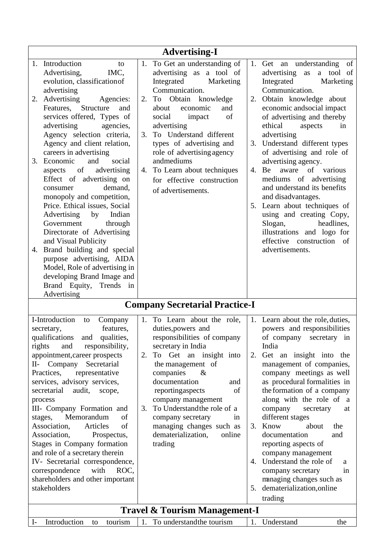|                                                                                                                                                                                                                                                                                                                                                                                                                                                                                                                                                                                                                                                                                                                                                                                                                                                                                                                                                                                                                                                                                                                                                                                                                                                                                                                                                                                                                                                                                                                                                                                                                                               | <b>Advertising-I</b>                                                                                                                                                                                                                                                                                                                                                                                           |                                                                                                                                                                                                                                                                                                                                                                                                                                                                                                                                                                                                                         |  |  |  |  |  |
|-----------------------------------------------------------------------------------------------------------------------------------------------------------------------------------------------------------------------------------------------------------------------------------------------------------------------------------------------------------------------------------------------------------------------------------------------------------------------------------------------------------------------------------------------------------------------------------------------------------------------------------------------------------------------------------------------------------------------------------------------------------------------------------------------------------------------------------------------------------------------------------------------------------------------------------------------------------------------------------------------------------------------------------------------------------------------------------------------------------------------------------------------------------------------------------------------------------------------------------------------------------------------------------------------------------------------------------------------------------------------------------------------------------------------------------------------------------------------------------------------------------------------------------------------------------------------------------------------------------------------------------------------|----------------------------------------------------------------------------------------------------------------------------------------------------------------------------------------------------------------------------------------------------------------------------------------------------------------------------------------------------------------------------------------------------------------|-------------------------------------------------------------------------------------------------------------------------------------------------------------------------------------------------------------------------------------------------------------------------------------------------------------------------------------------------------------------------------------------------------------------------------------------------------------------------------------------------------------------------------------------------------------------------------------------------------------------------|--|--|--|--|--|
| 1. Introduction<br>to<br>Advertising,<br>IMC,<br>evolution, classification of<br>advertising<br>Advertising<br>2.<br>Agencies:<br>Structure<br>Features,<br>and<br>services offered, Types of<br>advertising<br>agencies,<br>Agency selection criteria,<br>Agency and client relation,<br>careers in advertising<br>Economic<br>and<br>social<br>3.<br>of<br>advertising<br>aspects<br>Effect of advertising on<br>demand.<br>consumer<br>monopoly and competition,<br>Price. Ethical issues, Social<br>Advertising<br>Indian<br>by<br>Government<br>through<br>Directorate of Advertising<br>and Visual Publicity<br>Brand building and special<br>4.<br>purpose advertising, AIDA<br>Model, Role of advertising in<br>developing Brand Image and<br>Brand Equity, Trends in                                                                                                                                                                                                                                                                                                                                                                                                                                                                                                                                                                                                                                                                                                                                                                                                                                                                 | To Get an understanding of<br>1.<br>advertising as a tool of<br>Integrated<br>Marketing<br>Communication.<br>Obtain<br>2.<br>knowledge<br>To<br>economic<br>about<br>and<br>of<br>social<br>impact<br>advertising<br>To Understand different<br>3.<br>types of advertising and<br>role of advertising agency<br>andmediums<br>4. To Learn about techniques<br>for effective construction<br>of advertisements. | 1. Get an understanding<br>of<br>advertising<br>a tool of<br>as<br>Integrated<br>Marketing<br>Communication.<br>2. Obtain knowledge about<br>economic andsocial impact<br>of advertising and thereby<br>ethical<br>aspects<br>in<br>advertising<br>3. Understand different types<br>of advertising and role of<br>advertising agency.<br>of various<br>4. Be<br>aware<br>mediums of advertising<br>and understand its benefits<br>and disadvantages.<br>5. Learn about techniques of<br>using and creating Copy,<br>headlines,<br>Slogan,<br>illustrations and logo for<br>effective construction of<br>advertisements. |  |  |  |  |  |
| Advertising                                                                                                                                                                                                                                                                                                                                                                                                                                                                                                                                                                                                                                                                                                                                                                                                                                                                                                                                                                                                                                                                                                                                                                                                                                                                                                                                                                                                                                                                                                                                                                                                                                   | <b>Company Secretarial Practice-I</b>                                                                                                                                                                                                                                                                                                                                                                          |                                                                                                                                                                                                                                                                                                                                                                                                                                                                                                                                                                                                                         |  |  |  |  |  |
| I-Introduction<br>To Learn about the role,<br>1. Learn about the role, duties,<br>1.<br>Company<br>to<br>features,<br>powers and responsibilities<br>duties, powers and<br>secretary,<br>responsibilities of company<br>qualifications<br>and qualities,<br>of company<br>secretary in<br>India<br>and<br>responsibility,<br>secretary in India<br>rights<br>To Get an insight into<br>appointment, career prospects<br>Get an insight into the<br>2.<br>2.<br>Company<br>Secretarial<br>the management of<br>management of companies,<br>$II-$<br>companies<br>company meetings as well<br>Practices,<br>representative<br>$\&$<br>documentation<br>services, advisory services,<br>as procedural formalities in<br>and<br>reportingaspects<br>of<br>the formation of a company<br>secretarial<br>audit,<br>scope,<br>company management<br>along with the role of a<br>process<br>To Understand the role of a<br>III- Company Formation and<br>3.<br>company<br>secretary<br>at<br>Memorandum<br>of<br>different stages<br>stages,<br>company secretary<br>1n<br>of<br>Association,<br>Articles<br>managing changes such as<br>Know<br>about<br>3.<br>the<br>Association,<br>dematerialization,<br>online<br>documentation<br>Prospectus,<br>and<br>Stages in Company formation<br>reporting aspects of<br>trading<br>and role of a secretary therein<br>company management<br>IV- Secretarial correspondence,<br>Understand the role of<br>4.<br>a<br>with<br>correspondence<br>ROC,<br>company secretary<br>in<br>shareholders and other important<br>managing changes such as<br>stakeholders<br>5. dematerialization, online<br>trading |                                                                                                                                                                                                                                                                                                                                                                                                                |                                                                                                                                                                                                                                                                                                                                                                                                                                                                                                                                                                                                                         |  |  |  |  |  |
| <b>Travel &amp; Tourism Management-I</b><br>Introduction<br>tourism<br>1. To understand the tourism<br>1.<br>Understand<br>the<br>$I-$<br>to                                                                                                                                                                                                                                                                                                                                                                                                                                                                                                                                                                                                                                                                                                                                                                                                                                                                                                                                                                                                                                                                                                                                                                                                                                                                                                                                                                                                                                                                                                  |                                                                                                                                                                                                                                                                                                                                                                                                                |                                                                                                                                                                                                                                                                                                                                                                                                                                                                                                                                                                                                                         |  |  |  |  |  |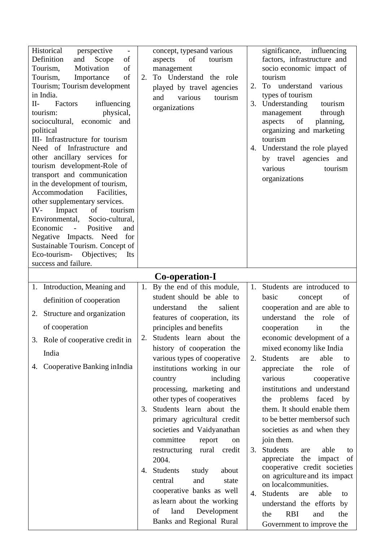| Historical<br>perspective<br>$\overline{\phantom{a}}$<br>Definition<br>Scope<br>and<br>of<br>Motivation<br>of<br>Tourism,<br>of<br>Tourism,<br>Importance<br>Tourism; Tourism development<br>in India.<br>Factors<br>П-<br>influencing<br>physical,<br>tourism:<br>sociocultural, economic<br>and<br>political<br>III- Infrastructure for tourism<br>Need of Infrastructure and<br>other ancillary services for<br>tourism development-Role of<br>transport and communication<br>in the development of tourism,<br>Accommodation<br>Facilities,<br>other supplementary services.<br>IV-<br>Impact<br>of<br>tourism<br>Environmental,<br>Socio-cultural,<br>Economic<br>$\sim 10^{-1}$<br>Positive<br>and<br>Negative Impacts. Need for<br>Sustainable Tourism. Concept of<br>Eco-tourism-<br>Objectives;<br>Its<br>success and failure. | concept, typesand various<br>of<br>aspects<br>tourism<br>management<br>To Understand the role<br>2.<br>played by travel agencies<br>various<br>and<br>tourism<br>organizations | significance, influencing<br>factors, infrastructure and<br>socio economic impact of<br>tourism<br>To understand<br>various<br>2.<br>types of tourism<br>Understanding<br>3.<br>tourism<br>through<br>management<br>of<br>aspects<br>planning,<br>organizing and marketing<br>tourism<br>4. Understand the role played<br>by travel agencies and<br>tourism<br>various<br>organizations |
|-----------------------------------------------------------------------------------------------------------------------------------------------------------------------------------------------------------------------------------------------------------------------------------------------------------------------------------------------------------------------------------------------------------------------------------------------------------------------------------------------------------------------------------------------------------------------------------------------------------------------------------------------------------------------------------------------------------------------------------------------------------------------------------------------------------------------------------------|--------------------------------------------------------------------------------------------------------------------------------------------------------------------------------|-----------------------------------------------------------------------------------------------------------------------------------------------------------------------------------------------------------------------------------------------------------------------------------------------------------------------------------------------------------------------------------------|
|                                                                                                                                                                                                                                                                                                                                                                                                                                                                                                                                                                                                                                                                                                                                                                                                                                         | Co-operation-I                                                                                                                                                                 |                                                                                                                                                                                                                                                                                                                                                                                         |
| 1. Introduction, Meaning and                                                                                                                                                                                                                                                                                                                                                                                                                                                                                                                                                                                                                                                                                                                                                                                                            | By the end of this module,<br>1.                                                                                                                                               | Students are introduced to<br>1.                                                                                                                                                                                                                                                                                                                                                        |
| definition of cooperation                                                                                                                                                                                                                                                                                                                                                                                                                                                                                                                                                                                                                                                                                                                                                                                                               | student should be able to<br>salient<br>understand<br>the                                                                                                                      | basic<br>concept<br>of<br>cooperation and are able to                                                                                                                                                                                                                                                                                                                                   |
| 2. Structure and organization                                                                                                                                                                                                                                                                                                                                                                                                                                                                                                                                                                                                                                                                                                                                                                                                           | features of cooperation, its                                                                                                                                                   | understand the role<br>of                                                                                                                                                                                                                                                                                                                                                               |
| of cooperation                                                                                                                                                                                                                                                                                                                                                                                                                                                                                                                                                                                                                                                                                                                                                                                                                          | principles and benefits                                                                                                                                                        | cooperation<br>the<br>in                                                                                                                                                                                                                                                                                                                                                                |
| 3. Role of cooperative credit in                                                                                                                                                                                                                                                                                                                                                                                                                                                                                                                                                                                                                                                                                                                                                                                                        | Students learn about the<br>2.                                                                                                                                                 | economic development of a                                                                                                                                                                                                                                                                                                                                                               |
|                                                                                                                                                                                                                                                                                                                                                                                                                                                                                                                                                                                                                                                                                                                                                                                                                                         | history of cooperation the                                                                                                                                                     | mixed economy like India                                                                                                                                                                                                                                                                                                                                                                |
| India                                                                                                                                                                                                                                                                                                                                                                                                                                                                                                                                                                                                                                                                                                                                                                                                                                   | various types of cooperative                                                                                                                                                   | Students<br>able<br>are<br>2.<br>to                                                                                                                                                                                                                                                                                                                                                     |
| 4. Cooperative Banking in India                                                                                                                                                                                                                                                                                                                                                                                                                                                                                                                                                                                                                                                                                                                                                                                                         | institutions working in our                                                                                                                                                    | appreciate<br>role<br>of<br>the                                                                                                                                                                                                                                                                                                                                                         |
|                                                                                                                                                                                                                                                                                                                                                                                                                                                                                                                                                                                                                                                                                                                                                                                                                                         | including<br>country                                                                                                                                                           | various<br>cooperative                                                                                                                                                                                                                                                                                                                                                                  |
|                                                                                                                                                                                                                                                                                                                                                                                                                                                                                                                                                                                                                                                                                                                                                                                                                                         | processing, marketing and                                                                                                                                                      | institutions and understand                                                                                                                                                                                                                                                                                                                                                             |
|                                                                                                                                                                                                                                                                                                                                                                                                                                                                                                                                                                                                                                                                                                                                                                                                                                         | other types of cooperatives                                                                                                                                                    | the problems faced by                                                                                                                                                                                                                                                                                                                                                                   |
|                                                                                                                                                                                                                                                                                                                                                                                                                                                                                                                                                                                                                                                                                                                                                                                                                                         | Students learn about the<br>3.                                                                                                                                                 | them. It should enable them                                                                                                                                                                                                                                                                                                                                                             |
|                                                                                                                                                                                                                                                                                                                                                                                                                                                                                                                                                                                                                                                                                                                                                                                                                                         | primary agricultural credit                                                                                                                                                    | to be better members f such                                                                                                                                                                                                                                                                                                                                                             |
|                                                                                                                                                                                                                                                                                                                                                                                                                                                                                                                                                                                                                                                                                                                                                                                                                                         | societies and Vaidyanathan<br>committee<br>report                                                                                                                              | societies as and when they<br>join them.                                                                                                                                                                                                                                                                                                                                                |
|                                                                                                                                                                                                                                                                                                                                                                                                                                                                                                                                                                                                                                                                                                                                                                                                                                         | on<br>rural credit<br>restructuring                                                                                                                                            | <b>Students</b><br>able<br>3.<br>are<br>to                                                                                                                                                                                                                                                                                                                                              |
|                                                                                                                                                                                                                                                                                                                                                                                                                                                                                                                                                                                                                                                                                                                                                                                                                                         | 2004.                                                                                                                                                                          | the<br>impact of<br>appreciate                                                                                                                                                                                                                                                                                                                                                          |
|                                                                                                                                                                                                                                                                                                                                                                                                                                                                                                                                                                                                                                                                                                                                                                                                                                         | Students<br>about<br>study<br>4.                                                                                                                                               | cooperative credit societies                                                                                                                                                                                                                                                                                                                                                            |
|                                                                                                                                                                                                                                                                                                                                                                                                                                                                                                                                                                                                                                                                                                                                                                                                                                         | and<br>central<br>state                                                                                                                                                        | on agriculture and its impact<br>on localcommunities.                                                                                                                                                                                                                                                                                                                                   |
|                                                                                                                                                                                                                                                                                                                                                                                                                                                                                                                                                                                                                                                                                                                                                                                                                                         | cooperative banks as well                                                                                                                                                      | Students<br>able<br>4.<br>are<br>to                                                                                                                                                                                                                                                                                                                                                     |
|                                                                                                                                                                                                                                                                                                                                                                                                                                                                                                                                                                                                                                                                                                                                                                                                                                         | as learn about the working                                                                                                                                                     | understand the efforts by                                                                                                                                                                                                                                                                                                                                                               |
|                                                                                                                                                                                                                                                                                                                                                                                                                                                                                                                                                                                                                                                                                                                                                                                                                                         | of<br>land<br>Development                                                                                                                                                      | <b>RBI</b><br>the<br>and<br>the                                                                                                                                                                                                                                                                                                                                                         |
|                                                                                                                                                                                                                                                                                                                                                                                                                                                                                                                                                                                                                                                                                                                                                                                                                                         | Banks and Regional Rural                                                                                                                                                       | Government to improve the                                                                                                                                                                                                                                                                                                                                                               |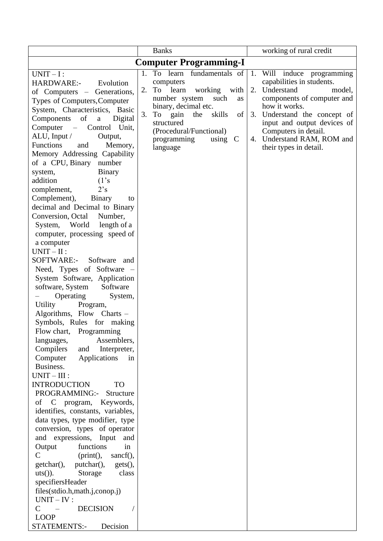|                                                               | <b>Banks</b>                                       | working of rural credit                                     |  |  |  |  |
|---------------------------------------------------------------|----------------------------------------------------|-------------------------------------------------------------|--|--|--|--|
| <b>Computer Programming-I</b>                                 |                                                    |                                                             |  |  |  |  |
| $UNIT-I$ :                                                    | 1. To learn fundamentals of                        | Will induce programming<br>1.                               |  |  |  |  |
| <b>HARDWARE:-</b><br>Evolution                                | computers                                          | capabilities in students.                                   |  |  |  |  |
| of Computers – Generations,                                   | 2.<br>To learn<br>working with                     | 2. Understand<br>model,                                     |  |  |  |  |
| Types of Computers, Computer                                  | number system<br>such<br>as                        | components of computer and                                  |  |  |  |  |
| System, Characteristics, Basic                                | binary, decimal etc.                               | how it works.                                               |  |  |  |  |
| of<br>Components<br>$\mathbf{a}$<br>Digital                   | 3.<br>To gain<br>skills<br>the<br>of<br>structured | 3. Understand the concept of<br>input and output devices of |  |  |  |  |
| $Computer -$<br>Control Unit,                                 | (Procedural/Functional)                            | Computers in detail.                                        |  |  |  |  |
| ALU, Input $\sqrt{ }$<br>Output,                              | programming<br>$\mathcal{C}$<br>using              | 4. Understand RAM, ROM and                                  |  |  |  |  |
| <b>Functions</b><br>and<br>Memory,                            | language                                           | their types in detail.                                      |  |  |  |  |
| Memory Addressing Capability                                  |                                                    |                                                             |  |  |  |  |
| of a CPU, Binary number                                       |                                                    |                                                             |  |  |  |  |
| <b>Binary</b><br>system,                                      |                                                    |                                                             |  |  |  |  |
| (1's<br>addition                                              |                                                    |                                                             |  |  |  |  |
| 2's<br>complement,                                            |                                                    |                                                             |  |  |  |  |
| Complement),<br>Binary<br>to                                  |                                                    |                                                             |  |  |  |  |
| decimal and Decimal to Binary<br>Conversion, Octal<br>Number, |                                                    |                                                             |  |  |  |  |
| System, World length of a                                     |                                                    |                                                             |  |  |  |  |
| computer, processing speed of                                 |                                                    |                                                             |  |  |  |  |
| a computer                                                    |                                                    |                                                             |  |  |  |  |
| $UNIT-II$ :                                                   |                                                    |                                                             |  |  |  |  |
| SOFTWARE:-<br>Software<br>and                                 |                                                    |                                                             |  |  |  |  |
| Need, Types of Software -                                     |                                                    |                                                             |  |  |  |  |
| System Software, Application                                  |                                                    |                                                             |  |  |  |  |
| Software<br>software, System                                  |                                                    |                                                             |  |  |  |  |
| Operating<br>System,                                          |                                                    |                                                             |  |  |  |  |
| Utility<br>Program,                                           |                                                    |                                                             |  |  |  |  |
| Algorithms, Flow Charts -                                     |                                                    |                                                             |  |  |  |  |
| Symbols, Rules for making                                     |                                                    |                                                             |  |  |  |  |
| Flow chart, Programming                                       |                                                    |                                                             |  |  |  |  |
| Assemblers,<br>languages,                                     |                                                    |                                                             |  |  |  |  |
| Compilers<br>and Interpreter,                                 |                                                    |                                                             |  |  |  |  |
| Computer<br>Applications<br>in                                |                                                    |                                                             |  |  |  |  |
| Business.                                                     |                                                    |                                                             |  |  |  |  |
| $UNIT - III$ :                                                |                                                    |                                                             |  |  |  |  |
| <b>INTRODUCTION</b><br><b>TO</b><br>PROGRAMMING:-             |                                                    |                                                             |  |  |  |  |
| Structure<br>of C program, Keywords,                          |                                                    |                                                             |  |  |  |  |
| identifies, constants, variables,                             |                                                    |                                                             |  |  |  |  |
| data types, type modifier, type                               |                                                    |                                                             |  |  |  |  |
| conversion, types of operator                                 |                                                    |                                                             |  |  |  |  |
| and expressions, Input<br>and                                 |                                                    |                                                             |  |  |  |  |
| Output<br>functions<br>in                                     |                                                    |                                                             |  |  |  |  |
| $\mathsf{C}$<br>(print(),<br>sancf(),                         |                                                    |                                                             |  |  |  |  |
| putchar(), gets(),<br>$getchar()$ ,                           |                                                    |                                                             |  |  |  |  |
| $uts()$ ).<br>Storage<br>class                                |                                                    |                                                             |  |  |  |  |
| specifiersHeader                                              |                                                    |                                                             |  |  |  |  |
| files(stdio.h,math.j,conop.j)                                 |                                                    |                                                             |  |  |  |  |
| $UNIT - IV:$                                                  |                                                    |                                                             |  |  |  |  |
| <b>DECISION</b><br>$\mathsf{C}$<br>$\sim$ $-$                 |                                                    |                                                             |  |  |  |  |
| <b>LOOP</b>                                                   |                                                    |                                                             |  |  |  |  |
| STATEMENTS:-<br>Decision                                      |                                                    |                                                             |  |  |  |  |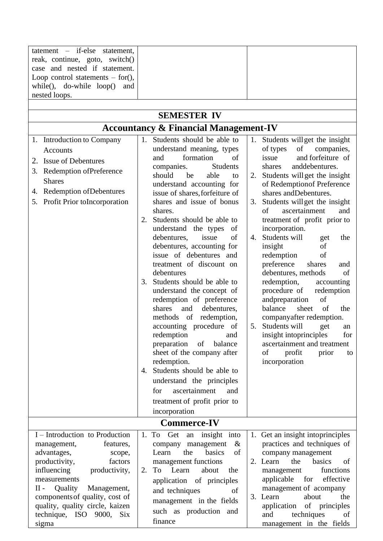| tatement – if-else statement,      |                                                             |                                     |  |
|------------------------------------|-------------------------------------------------------------|-------------------------------------|--|
| reak, continue, goto, switch()     |                                                             |                                     |  |
| case and nested if statement.      |                                                             |                                     |  |
| Loop control statements $-$ for(), |                                                             |                                     |  |
|                                    |                                                             |                                     |  |
| while(), do-while $loop()$<br>and  |                                                             |                                     |  |
| nested loops.                      |                                                             |                                     |  |
|                                    | <b>SEMESTER IV</b>                                          |                                     |  |
|                                    |                                                             |                                     |  |
|                                    | <b>Accountancy &amp; Financial Management-IV</b>            |                                     |  |
| 1. Introduction to Company         | Students should be able to<br>1.                            | Students will get the insight<br>1. |  |
| Accounts                           | understand meaning, types                                   | of<br>of types<br>companies,        |  |
| <b>Issue of Debentures</b><br>2.   | formation<br>οf<br>and                                      | and forfeiture of<br>issue          |  |
| Redemption of Preference<br>3.     | companies.<br>Students                                      | anddebentures.<br>shares            |  |
| <b>Shares</b>                      | should<br>be<br>able<br>to                                  | 2. Students will get the insight    |  |
|                                    | understand accounting for                                   | of Redemption of Preference         |  |
| 4. Redemption of Debentures        | issue of shares, forfeiture of                              | shares and Debentures.              |  |
| Profit Prior toIncorporation<br>5. | shares and issue of bonus                                   | Students will get the insight<br>3. |  |
|                                    | shares.                                                     | ascertainment<br>of<br>and          |  |
|                                    | Students should be able to<br>2.                            | treatment of profit prior to        |  |
|                                    | understand the types<br>of                                  | incorporation.                      |  |
|                                    | debentures,<br>of<br>issue                                  | 4. Students will<br>the<br>get      |  |
|                                    | debentures, accounting for                                  | insight<br>of                       |  |
|                                    | issue of debentures and                                     | redemption<br>of                    |  |
|                                    | treatment of discount on                                    | preference<br>shares<br>and         |  |
|                                    | debentures                                                  | debentures, methods<br>of           |  |
|                                    | Students should be able to<br>3.                            | redemption,<br>accounting           |  |
|                                    | understand the concept of                                   | procedure of<br>redemption          |  |
|                                    | redemption of preference                                    | andpreparation<br>of                |  |
|                                    | shares<br>debentures,<br>and                                | sheet<br>of<br>balance<br>the       |  |
|                                    | methods of redemption,                                      | companyafter redemption.            |  |
|                                    | accounting procedure of                                     | 5. Students will<br>get<br>an       |  |
|                                    | redemption<br>and                                           | insight intoprinciples<br>for       |  |
|                                    | ascertainment and treatment<br>preparation<br>of<br>balance |                                     |  |
|                                    | sheet of the company after<br>of<br>profit<br>prior         |                                     |  |
|                                    | redemption.<br>Students should be able to                   | incorporation                       |  |
|                                    | 4.                                                          |                                     |  |
|                                    | understand the principles                                   |                                     |  |
|                                    | ascertainment<br>and<br>for                                 |                                     |  |
|                                    | treatment of profit prior to                                |                                     |  |
|                                    | incorporation                                               |                                     |  |
|                                    | <b>Commerce-IV</b>                                          |                                     |  |
| I – Introduction to Production     | 1. To<br>Get<br>insight into<br>an                          | 1. Get an insight intoprinciples    |  |
| management,<br>features,           | company management<br>$\&$                                  | practices and techniques of         |  |
| advantages,<br>scope,              | basics<br>of<br>the<br>Learn                                | company management                  |  |
| productivity,<br>factors           | management functions                                        | 2. Learn<br>basics<br>the<br>of     |  |
| influencing<br>productivity,       | To Learn<br>about<br>2.<br>the                              | functions<br>management             |  |
| measurements                       | application of principles                                   | applicable<br>for<br>effective      |  |
| Quality<br>П -<br>Management,      | and techniques<br>of                                        | management of acompany              |  |
| components of quality, cost of     | management in the fields                                    | 3. Learn<br>about<br>the            |  |
| quality, quality circle, kaizen    | such as production and                                      | of principles<br>application<br>of  |  |
| technique, ISO 9000, Six           | techniques<br>and                                           |                                     |  |
| sigma                              | finance                                                     | management in the fields            |  |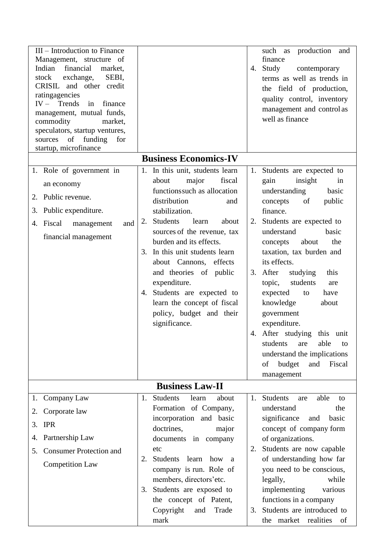| III - Introduction to Finance<br>Management, structure of<br>financial<br>Indian<br>market,<br>stock<br>exchange,<br>SEBI,<br>CRISIL and other credit<br>ratingagencies<br>$IV -$ Trends<br>in finance<br>management, mutual funds,<br>commodity<br>market,<br>speculators, startup ventures,<br>sources of funding<br>for<br>startup, microfinance |                                                                                                                                                                                                                                                                                                                                                                                                                                                               | such as production<br>and<br>finance<br>4. Study<br>contemporary<br>terms as well as trends in<br>the field of production,<br>quality control, inventory<br>management and control as<br>well as finance                                                                                                                                                                                                                                                                                                                                            |
|-----------------------------------------------------------------------------------------------------------------------------------------------------------------------------------------------------------------------------------------------------------------------------------------------------------------------------------------------------|---------------------------------------------------------------------------------------------------------------------------------------------------------------------------------------------------------------------------------------------------------------------------------------------------------------------------------------------------------------------------------------------------------------------------------------------------------------|-----------------------------------------------------------------------------------------------------------------------------------------------------------------------------------------------------------------------------------------------------------------------------------------------------------------------------------------------------------------------------------------------------------------------------------------------------------------------------------------------------------------------------------------------------|
|                                                                                                                                                                                                                                                                                                                                                     | <b>Business Economics-IV</b>                                                                                                                                                                                                                                                                                                                                                                                                                                  |                                                                                                                                                                                                                                                                                                                                                                                                                                                                                                                                                     |
| 1. Role of government in<br>an economy<br>2. Public revenue.<br>3. Public expenditure.<br>4. Fiscal<br>management<br>and<br>financial management                                                                                                                                                                                                    | 1. In this unit, students learn<br>major<br>fiscal<br>about<br>functions such as allocation<br>distribution<br>and<br>stabilization.<br><b>Students</b><br>learn<br>2.<br>about<br>sources of the revenue, tax<br>burden and its effects.<br>In this unit students learn<br>3.<br>about Cannons, effects<br>and theories of public<br>expenditure.<br>4. Students are expected to<br>learn the concept of fiscal<br>policy, budget and their<br>significance. | 1. Students are expected to<br>insight<br>gain<br>in<br>understanding<br>basic<br>of<br>public<br>concepts<br>finance.<br>2. Students are expected to<br>basic<br>understand<br>the<br>about<br>concepts<br>taxation, tax burden and<br>its effects.<br>3. After<br>studying<br>this<br>students<br>topic,<br>are<br>expected<br>have<br>to<br>knowledge<br>about<br>government<br>expenditure.<br>4. After studying<br>this<br>unit<br>able<br>students<br>are<br>to<br>understand the implications<br>budget<br>Fiscal<br>of<br>and<br>management |
|                                                                                                                                                                                                                                                                                                                                                     | <b>Business Law-II</b>                                                                                                                                                                                                                                                                                                                                                                                                                                        |                                                                                                                                                                                                                                                                                                                                                                                                                                                                                                                                                     |
| 1. Company Law                                                                                                                                                                                                                                                                                                                                      | Students<br>learn<br>about<br>1.                                                                                                                                                                                                                                                                                                                                                                                                                              | 1. Students<br>able<br>are<br>to                                                                                                                                                                                                                                                                                                                                                                                                                                                                                                                    |
| Corporate law<br>2.<br><b>IPR</b><br>3.                                                                                                                                                                                                                                                                                                             | Formation of Company,<br>incorporation and basic                                                                                                                                                                                                                                                                                                                                                                                                              | understand<br>the<br>significance<br>basic<br>and                                                                                                                                                                                                                                                                                                                                                                                                                                                                                                   |
| Partnership Law<br>4.                                                                                                                                                                                                                                                                                                                               | doctrines,<br>major<br>documents in company                                                                                                                                                                                                                                                                                                                                                                                                                   | concept of company form<br>of organizations.                                                                                                                                                                                                                                                                                                                                                                                                                                                                                                        |
| <b>Consumer Protection and</b><br>5.                                                                                                                                                                                                                                                                                                                | etc                                                                                                                                                                                                                                                                                                                                                                                                                                                           | Students are now capable<br>2.                                                                                                                                                                                                                                                                                                                                                                                                                                                                                                                      |
| <b>Competition Law</b>                                                                                                                                                                                                                                                                                                                              | Students learn<br>how a<br>2.<br>company is run. Role of<br>members, directors'etc.                                                                                                                                                                                                                                                                                                                                                                           | of understanding how far<br>you need to be conscious,<br>legally,<br>while                                                                                                                                                                                                                                                                                                                                                                                                                                                                          |
|                                                                                                                                                                                                                                                                                                                                                     | Students are exposed to<br>3.<br>the concept of Patent,<br>Copyright<br>Trade<br>and<br>mark                                                                                                                                                                                                                                                                                                                                                                  | implementing<br>various<br>functions in a company<br>3. Students are introduced to<br>the market realities<br>- of                                                                                                                                                                                                                                                                                                                                                                                                                                  |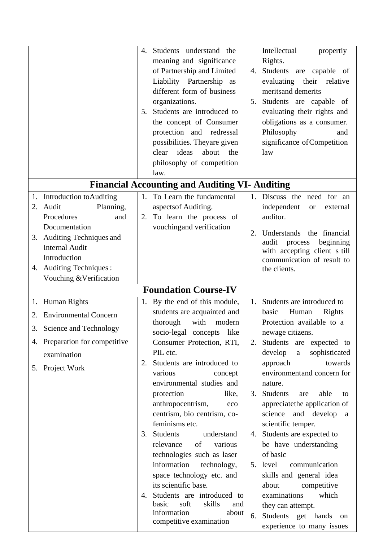|                                                                                                                                                        | Students understand the<br>4.<br>meaning and significance<br>of Partnership and Limited<br>Liability Partnership as<br>different form of business<br>organizations.<br>Students are introduced to<br>5.<br>the concept of Consumer<br>protection and redressal<br>possibilities. Theyare given<br>ideas<br>about<br>clear<br>the<br>philosophy of competition<br>law.                                                                                                                                                                                                                                                                                               | Intellectual<br>propertiy<br>Rights.<br>4. Students are capable of<br>evaluating their relative<br>merits and demerits<br>5. Students are capable of<br>evaluating their rights and<br>obligations as a consumer.<br>Philosophy<br>and<br>significance of Competition<br>law                                                                                                                                                                                                                                                                                                                                                                                  |
|--------------------------------------------------------------------------------------------------------------------------------------------------------|---------------------------------------------------------------------------------------------------------------------------------------------------------------------------------------------------------------------------------------------------------------------------------------------------------------------------------------------------------------------------------------------------------------------------------------------------------------------------------------------------------------------------------------------------------------------------------------------------------------------------------------------------------------------|---------------------------------------------------------------------------------------------------------------------------------------------------------------------------------------------------------------------------------------------------------------------------------------------------------------------------------------------------------------------------------------------------------------------------------------------------------------------------------------------------------------------------------------------------------------------------------------------------------------------------------------------------------------|
|                                                                                                                                                        | <b>Financial Accounting and Auditing VI- Auditing</b>                                                                                                                                                                                                                                                                                                                                                                                                                                                                                                                                                                                                               |                                                                                                                                                                                                                                                                                                                                                                                                                                                                                                                                                                                                                                                               |
| 1. Introduction to Auditing<br>Audit<br>Planning,<br>2.<br>Procedures<br>and<br>Documentation                                                          | 1. To Learn the fundamental<br>aspects of Auditing.<br>To learn the process of<br>2.<br>vouching and verification                                                                                                                                                                                                                                                                                                                                                                                                                                                                                                                                                   | 1. Discuss the need for an<br>independent<br>external<br><b>or</b><br>auditor.<br>Understands<br>the financial<br>2.                                                                                                                                                                                                                                                                                                                                                                                                                                                                                                                                          |
| 3. Auditing Techniques and<br><b>Internal Audit</b><br>Introduction<br>4. Auditing Techniques:<br>Vouching & Verification                              |                                                                                                                                                                                                                                                                                                                                                                                                                                                                                                                                                                                                                                                                     | audit<br>beginning<br>process<br>with accepting client s till<br>communication of result to<br>the clients.                                                                                                                                                                                                                                                                                                                                                                                                                                                                                                                                                   |
|                                                                                                                                                        | <b>Foundation Course-IV</b>                                                                                                                                                                                                                                                                                                                                                                                                                                                                                                                                                                                                                                         |                                                                                                                                                                                                                                                                                                                                                                                                                                                                                                                                                                                                                                                               |
| 1. Human Rights<br><b>Environmental Concern</b><br>2.<br>3. Science and Technology<br>4. Preparation for competitive<br>examination<br>5. Project Work | By the end of this module,<br>1.<br>students are acquainted and<br>with<br>thorough<br>modern<br>socio-legal concepts like<br>Consumer Protection, RTI,<br>PIL etc.<br>Students are introduced to<br>2.<br>various<br>concept<br>environmental studies and<br>protection<br>like,<br>anthropocentrism,<br>eco<br>centrism, bio centrism, co-<br>feminisms etc.<br>3. Students<br>understand<br>of<br>relevance<br>various<br>technologies such as laser<br>information<br>technology,<br>space technology etc. and<br>its scientific base.<br>Students are introduced to<br>4.<br>skills<br>basic<br>soft<br>and<br>information<br>about<br>competitive examination | 1. Students are introduced to<br>Human<br>basic<br>Rights<br>Protection available to a<br>newage citizens.<br>Students are expected to<br>2.<br>develop<br>sophisticated<br>$\mathbf{a}$<br>towards<br>approach<br>environmentand concern for<br>nature.<br><b>Students</b><br>able<br>3.<br>are<br>to<br>appreciate the application of<br>and develop<br>science<br>a<br>scientific temper.<br>4. Students are expected to<br>be have understanding<br>of basic<br>5. level<br>communication<br>skills and general idea<br>about<br>competitive<br>which<br>examinations<br>they can attempt.<br>Students get hands<br>6.<br>on<br>experience to many issues |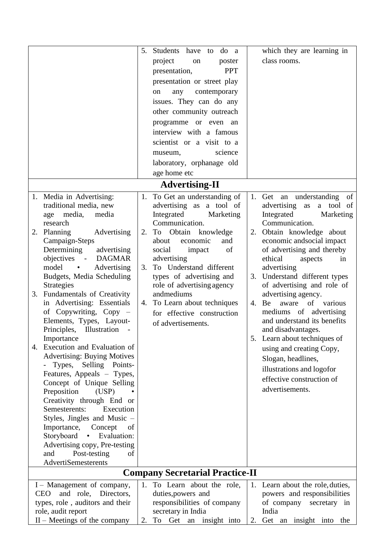|                                                      | 5. Students have to do a        | which they are learning in                         |  |  |  |  |
|------------------------------------------------------|---------------------------------|----------------------------------------------------|--|--|--|--|
|                                                      | project<br>poster<br>on         | class rooms.                                       |  |  |  |  |
|                                                      | <b>PPT</b><br>presentation,     |                                                    |  |  |  |  |
|                                                      | presentation or street play     |                                                    |  |  |  |  |
|                                                      |                                 |                                                    |  |  |  |  |
|                                                      | contemporary<br>any<br>on       |                                                    |  |  |  |  |
|                                                      | issues. They can do any         |                                                    |  |  |  |  |
|                                                      | other community outreach        |                                                    |  |  |  |  |
|                                                      | programme or even an            |                                                    |  |  |  |  |
|                                                      | interview with a famous         |                                                    |  |  |  |  |
|                                                      | scientist or a visit to a       |                                                    |  |  |  |  |
|                                                      | science<br>museum,              |                                                    |  |  |  |  |
|                                                      | laboratory, orphanage old       |                                                    |  |  |  |  |
|                                                      | age home etc                    |                                                    |  |  |  |  |
|                                                      | <b>Advertising-II</b>           |                                                    |  |  |  |  |
| 1. Media in Advertising:                             | 1. To Get an understanding of   | 1. Get an understanding of                         |  |  |  |  |
| traditional media, new                               | advertising as a tool of        | advertising as<br>a tool of                        |  |  |  |  |
| age media,<br>media                                  | Integrated<br>Marketing         | Integrated<br>Marketing                            |  |  |  |  |
| research                                             | Communication.                  | Communication.                                     |  |  |  |  |
| 2. Planning<br>Advertising                           | Obtain knowledge<br>2.<br>To    | 2. Obtain knowledge about                          |  |  |  |  |
| Campaign-Steps                                       | economic<br>about<br>and        | economic and social impact                         |  |  |  |  |
| Determining<br>advertising                           | of<br>social<br>impact          | of advertising and thereby                         |  |  |  |  |
| objectives -<br><b>DAGMAR</b>                        | advertising                     | ethical<br>aspects<br>in                           |  |  |  |  |
| model<br>Advertising<br>$\bullet$                    | To Understand different<br>3.   | advertising                                        |  |  |  |  |
| Budgets, Media Scheduling                            | types of advertising and        | 3. Understand different types                      |  |  |  |  |
| <b>Strategies</b>                                    | role of advertising agency      | of advertising and role of                         |  |  |  |  |
| 3. Fundamentals of Creativity                        | andmediums                      | advertising agency.                                |  |  |  |  |
| in Advertising: Essentials                           | 4. To Learn about techniques    | of various<br>4. Be<br>aware                       |  |  |  |  |
| of Copywriting, Copy $-$                             | for effective construction      | mediums of advertising                             |  |  |  |  |
| Elements, Types, Layout-<br>Principles, Illustration | of advertisements.              | and understand its benefits                        |  |  |  |  |
| Importance                                           |                                 | and disadvantages.<br>5. Learn about techniques of |  |  |  |  |
| Execution and Evaluation of<br>4.                    |                                 |                                                    |  |  |  |  |
| <b>Advertising: Buying Motives</b>                   |                                 | using and creating Copy,                           |  |  |  |  |
| Types,<br>Selling Points-                            |                                 | Slogan, headlines,                                 |  |  |  |  |
| Features, Appeals - Types,                           |                                 | illustrations and logofor                          |  |  |  |  |
| Concept of Unique Selling                            |                                 | effective construction of                          |  |  |  |  |
| Preposition<br>(USP)                                 |                                 | advertisements.                                    |  |  |  |  |
| Creativity through End or                            |                                 |                                                    |  |  |  |  |
| Semesterents:<br>Execution                           |                                 |                                                    |  |  |  |  |
| Styles, Jingles and Music -                          |                                 |                                                    |  |  |  |  |
| Importance,<br>Concept<br>of                         |                                 |                                                    |  |  |  |  |
| Storyboard<br>Evaluation:<br>$\bullet$               |                                 |                                                    |  |  |  |  |
| Advertising copy, Pre-testing                        |                                 |                                                    |  |  |  |  |
| Post-testing<br>and<br>of                            |                                 |                                                    |  |  |  |  |
| AdvertiSemesterents                                  |                                 |                                                    |  |  |  |  |
| <b>Company Secretarial Practice-II</b>               |                                 |                                                    |  |  |  |  |
| I – Management of company,                           | 1.<br>To Learn about the role,  | 1. Learn about the role, duties,                   |  |  |  |  |
| and role, Directors,<br><b>CEO</b>                   | duties, powers and              | powers and responsibilities                        |  |  |  |  |
| types, role, auditors and their                      | responsibilities of company     | of company<br>secretary in                         |  |  |  |  |
| role, audit report                                   | secretary in India              | India                                              |  |  |  |  |
| $II$ – Meetings of the company                       | 2.<br>Get an insight into<br>To | Get an insight into<br>2.<br>the                   |  |  |  |  |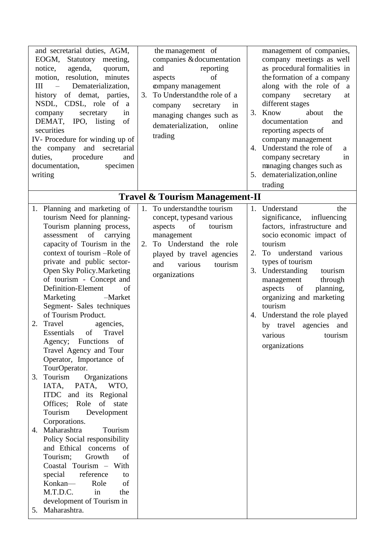| <b>Travel &amp; Tourism Management-II</b><br>To understand the tourism<br>1. Planning and marketing of<br>Understand<br>1.<br>1.<br>the<br>tourism Need for planning-<br>concept, typesand various<br>Tourism planning process,<br>of<br>aspects<br>tourism<br>assessment of carrying<br>management<br>capacity of Tourism in the<br>To Understand the role<br>tourism<br>2.<br>context of tourism -Role of<br>To understand<br>various<br>2.<br>played by travel agencies<br>private and public sector-<br>types of tourism<br>and<br>various<br>tourism<br>Open Sky Policy. Marketing<br>3. Understanding<br>tourism<br>organizations<br>of tourism - Concept and<br>management<br>through<br>Definition-Element<br>of<br>of<br>planning,<br>aspects<br>Marketing<br>-Market<br>organizing and marketing<br>Segment- Sales techniques<br>tourism<br>of Tourism Product.<br>Travel agencies,<br>2.<br>Essentials of Travel<br>Agency; Functions of<br>organizations<br>Travel Agency and Tour<br>Operator, Importance of<br>TourOperator.<br>Tourism<br>Organizations<br>3.<br>IATA,<br>PATA,<br>WTO,<br>ITDC and its Regional<br>Offices; Role of state<br>Tourism<br>Development<br>Corporations.<br>Maharashtra<br>Tourism<br>4.<br>Policy Social responsibility<br>and Ethical concerns<br>of<br>Growth<br>of<br>Tourism;<br>Coastal Tourism - With<br>reference<br>special<br>to<br>Konkan-<br>Role<br>of<br>in<br>M.T.D.C.<br>the | and secretarial duties, AGM,<br>EOGM, Statutory meeting,<br>agenda, quorum,<br>notice,<br>motion, resolution, minutes<br>Dematerialization,<br>III<br>$\sim$ $-$<br>history of demat, parties,<br>NSDL, CDSL, role of<br><sub>a</sub><br>company<br>in<br>secretary<br>DEMAT, IPO, listing<br>of<br>securities<br>IV- Procedure for winding up of<br>the company and secretarial<br>duties, procedure<br>and<br>documentation,<br>specimen<br>writing | the management of<br>companies & documentation<br>reporting<br>and<br>of<br>aspects<br>company management<br>To Understand the role of a<br>3.<br>company<br>secretary<br>in<br>managing changes such as<br>dematerialization,<br>online<br>trading | management of companies,<br>company meetings as well<br>as procedural formalities in<br>the formation of a company<br>along with the role of a<br>company<br>secretary<br>at<br>different stages<br>3. Know<br>about<br>the<br>documentation<br>and<br>reporting aspects of<br>company management<br>4. Understand the role of<br>a<br>company secretary<br>in<br>managing changes such as<br>5. dematerialization, online<br>trading |
|------------------------------------------------------------------------------------------------------------------------------------------------------------------------------------------------------------------------------------------------------------------------------------------------------------------------------------------------------------------------------------------------------------------------------------------------------------------------------------------------------------------------------------------------------------------------------------------------------------------------------------------------------------------------------------------------------------------------------------------------------------------------------------------------------------------------------------------------------------------------------------------------------------------------------------------------------------------------------------------------------------------------------------------------------------------------------------------------------------------------------------------------------------------------------------------------------------------------------------------------------------------------------------------------------------------------------------------------------------------------------------------------------------------------------------------|-------------------------------------------------------------------------------------------------------------------------------------------------------------------------------------------------------------------------------------------------------------------------------------------------------------------------------------------------------------------------------------------------------------------------------------------------------|-----------------------------------------------------------------------------------------------------------------------------------------------------------------------------------------------------------------------------------------------------|---------------------------------------------------------------------------------------------------------------------------------------------------------------------------------------------------------------------------------------------------------------------------------------------------------------------------------------------------------------------------------------------------------------------------------------|
|                                                                                                                                                                                                                                                                                                                                                                                                                                                                                                                                                                                                                                                                                                                                                                                                                                                                                                                                                                                                                                                                                                                                                                                                                                                                                                                                                                                                                                          |                                                                                                                                                                                                                                                                                                                                                                                                                                                       |                                                                                                                                                                                                                                                     |                                                                                                                                                                                                                                                                                                                                                                                                                                       |
| 5. Maharashtra.                                                                                                                                                                                                                                                                                                                                                                                                                                                                                                                                                                                                                                                                                                                                                                                                                                                                                                                                                                                                                                                                                                                                                                                                                                                                                                                                                                                                                          | development of Tourism in                                                                                                                                                                                                                                                                                                                                                                                                                             |                                                                                                                                                                                                                                                     | significance, influencing<br>factors, infrastructure and<br>socio economic impact of<br>4. Understand the role played<br>by travel agencies and<br>various tourism                                                                                                                                                                                                                                                                    |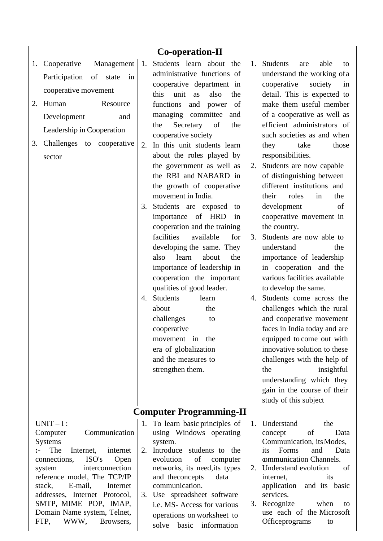| Co-operation-II                                                                                                                                                                                                                                                                                   |                                                                                                                                                                                                                                                                                                                                                                                                                                                                                                                                                                                                                                                                                                                                                                                                                                                                                             |                                                                                                                                                                                                                                                                                                                                                                                                                                                                                                                                                                                                                                                                                                                                                                                                                                                                                                                                                                                                                 |  |  |  |
|---------------------------------------------------------------------------------------------------------------------------------------------------------------------------------------------------------------------------------------------------------------------------------------------------|---------------------------------------------------------------------------------------------------------------------------------------------------------------------------------------------------------------------------------------------------------------------------------------------------------------------------------------------------------------------------------------------------------------------------------------------------------------------------------------------------------------------------------------------------------------------------------------------------------------------------------------------------------------------------------------------------------------------------------------------------------------------------------------------------------------------------------------------------------------------------------------------|-----------------------------------------------------------------------------------------------------------------------------------------------------------------------------------------------------------------------------------------------------------------------------------------------------------------------------------------------------------------------------------------------------------------------------------------------------------------------------------------------------------------------------------------------------------------------------------------------------------------------------------------------------------------------------------------------------------------------------------------------------------------------------------------------------------------------------------------------------------------------------------------------------------------------------------------------------------------------------------------------------------------|--|--|--|
| 1. Cooperative<br>Management<br>Participation of<br>state<br>in<br>cooperative movement<br>2. Human<br>Resource<br>Development<br>and<br>Leadership in Cooperation<br>3. Challenges to cooperative<br>sector                                                                                      | 1.<br>Students learn about<br>the<br>administrative functions of<br>cooperative department in<br>unit<br>this<br>as<br>the<br>also<br>functions<br>of<br>and power<br>managing committee<br>and<br>Secretary<br>of<br>the<br>the<br>cooperative society<br>In this unit students learn<br>2.<br>about the roles played by<br>the government as well as<br>the RBI and NABARD in<br>the growth of cooperative<br>movement in India.<br>Students are exposed to<br>3.<br>importance of HRD<br>in<br>cooperation and the training<br>facilities<br>available<br>for<br>developing the same. They<br>learn<br>about<br>the<br>also<br>importance of leadership in<br>cooperation the important<br>qualities of good leader.<br>Students<br>learn<br>4.<br>the<br>about<br>challenges<br>to<br>cooperative<br>movement in the<br>era of globalization<br>and the measures to<br>strengthen them. | <b>Students</b><br>able<br>1.<br>are<br>to<br>understand the working of a<br>cooperative<br>society<br>in<br>detail. This is expected to<br>make them useful member<br>of a cooperative as well as<br>efficient administrators of<br>such societies as and when<br>they<br>take<br>those<br>responsibilities.<br>Students are now capable<br>2.<br>of distinguishing between<br>different institutions and<br>their<br>roles<br>in<br>the<br>development<br>of<br>cooperative movement in<br>the country.<br>Students are now able to<br>3.<br>understand<br>the<br>importance of leadership<br>in cooperation and the<br>various facilities available<br>to develop the same.<br>Students come across the<br>4.<br>challenges which the rural<br>and cooperative movement<br>faces in India today and are<br>equipped to come out with<br>innovative solution to these<br>challenges with the help of<br>insightful<br>the<br>understanding which they<br>gain in the course of their<br>study of this subject |  |  |  |
|                                                                                                                                                                                                                                                                                                   | <b>Computer Programming-II</b>                                                                                                                                                                                                                                                                                                                                                                                                                                                                                                                                                                                                                                                                                                                                                                                                                                                              |                                                                                                                                                                                                                                                                                                                                                                                                                                                                                                                                                                                                                                                                                                                                                                                                                                                                                                                                                                                                                 |  |  |  |
| $UNIT-I$ :<br>Communication<br>Computer<br><b>Systems</b><br>The<br>Internet,<br>internet<br>$\mathbf{L}$<br>ISO's<br>connections,<br>Open<br>interconnection<br>system<br>reference model, The TCP/IP<br>E-mail,<br>stack,<br>Internet<br>addresses, Internet Protocol,<br>SMTP, MIME POP, IMAP, | 1. To learn basic principles of<br>using Windows operating<br>system.<br>Introduce students to the<br>2.<br>evolution<br>of<br>computer<br>networks, its need, its types<br>and the concepts<br>data<br>communication.<br>3. Use spreadsheet software<br>i.e. MS- Access for various                                                                                                                                                                                                                                                                                                                                                                                                                                                                                                                                                                                                        | 1. Understand<br>the<br>of<br>Data<br>concept<br>Communication, its Modes,<br>Forms<br>and<br>Data<br>its<br>communication Channels.<br>2. Understand evolution<br>of<br>internet,<br>its<br>application and its basic<br>services.<br>3. Recognize<br>when<br>to                                                                                                                                                                                                                                                                                                                                                                                                                                                                                                                                                                                                                                                                                                                                               |  |  |  |
| Domain Name system, Telnet,<br>WWW,<br>FTP,<br>Browsers,                                                                                                                                                                                                                                          | operations on worksheet to<br>information<br>solve<br>basic                                                                                                                                                                                                                                                                                                                                                                                                                                                                                                                                                                                                                                                                                                                                                                                                                                 | use each of the Microsoft<br>Officeprograms<br>to                                                                                                                                                                                                                                                                                                                                                                                                                                                                                                                                                                                                                                                                                                                                                                                                                                                                                                                                                               |  |  |  |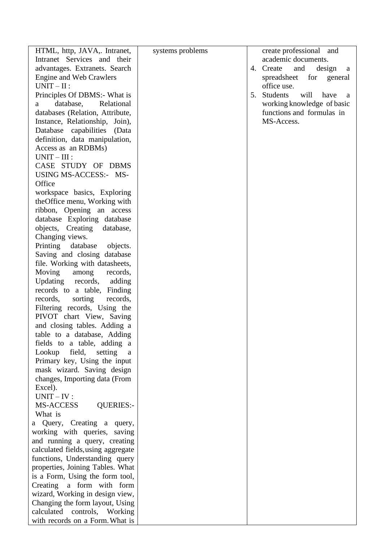| HTML, http, JAVA,. Intranet,       | systems problems | create professional and             |
|------------------------------------|------------------|-------------------------------------|
| Intranet Services and their        |                  | academic documents.                 |
| advantages. Extranets. Search      |                  | 4. Create and design<br>a           |
| <b>Engine and Web Crawlers</b>     |                  | spreadsheet for<br>general          |
| $UNIT-II$ :                        |                  | office use.                         |
| Principles Of DBMS:- What is       |                  | Students<br>will<br>5.<br>have<br>a |
| database,<br>Relational<br>a a     |                  | working knowledge of basic          |
| databases (Relation, Attribute,    |                  | functions and formulas in           |
| Instance, Relationship, Join),     |                  | MS-Access.                          |
| Database capabilities (Data        |                  |                                     |
| definition, data manipulation,     |                  |                                     |
| Access as an RDBMs)                |                  |                                     |
| $UNIT - III$ :                     |                  |                                     |
| CASE STUDY OF DBMS                 |                  |                                     |
|                                    |                  |                                     |
| USING MS-ACCESS:- MS-              |                  |                                     |
| Office                             |                  |                                     |
| workspace basics, Exploring        |                  |                                     |
| the Office menu, Working with      |                  |                                     |
| ribbon, Opening an access          |                  |                                     |
| database Exploring database        |                  |                                     |
| objects, Creating database,        |                  |                                     |
| Changing views.                    |                  |                                     |
| Printing database<br>objects.      |                  |                                     |
| Saving and closing database        |                  |                                     |
| file. Working with datasheets,     |                  |                                     |
| Moving<br>among<br>records,        |                  |                                     |
| Updating records, adding           |                  |                                     |
| records to a table, Finding        |                  |                                     |
| sorting<br>records,<br>records,    |                  |                                     |
| Filtering records, Using the       |                  |                                     |
| PIVOT chart View, Saving           |                  |                                     |
| and closing tables. Adding a       |                  |                                     |
| table to a database, Adding        |                  |                                     |
| fields to a table, adding a        |                  |                                     |
| Lookup<br>field,<br>setting<br>a   |                  |                                     |
| Primary key, Using the input       |                  |                                     |
| mask wizard. Saving design         |                  |                                     |
| changes, Importing data (From      |                  |                                     |
| Excel).                            |                  |                                     |
| $UNIT - IV:$                       |                  |                                     |
| MS-ACCESS<br><b>QUERIES:-</b>      |                  |                                     |
| What is                            |                  |                                     |
| a Query, Creating a query,         |                  |                                     |
| working with queries, saving       |                  |                                     |
| and running a query, creating      |                  |                                     |
| calculated fields, using aggregate |                  |                                     |
| functions, Understanding query     |                  |                                     |
| properties, Joining Tables. What   |                  |                                     |
| is a Form, Using the form tool,    |                  |                                     |
|                                    |                  |                                     |
| Creating a form with form          |                  |                                     |
| wizard, Working in design view,    |                  |                                     |
| Changing the form layout, Using    |                  |                                     |
| calculated controls, Working       |                  |                                     |
| with records on a Form. What is    |                  |                                     |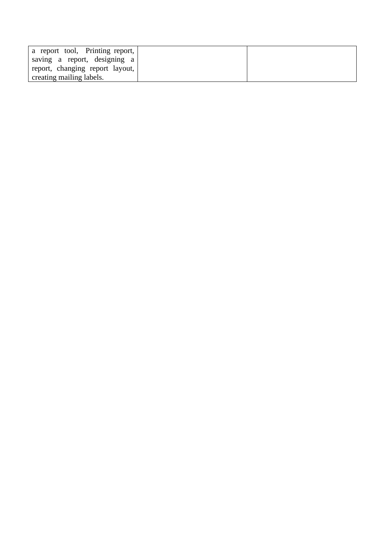| a report tool, Printing report, |  |
|---------------------------------|--|
| saving a report, designing a    |  |
| report, changing report layout, |  |
| creating mailing labels.        |  |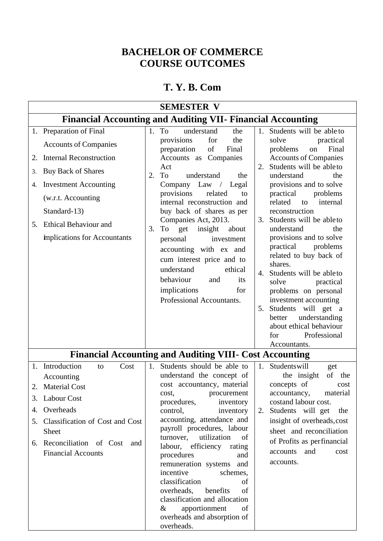### **BACHELOR OF COMMERCE COURSE OUTCOMES**

## **T. Y. B. Com**

|                | <b>SEMESTER V</b>                                                                                                                                                                                                                                        |                |                                                                                                                                                                                                                                                                                                                                                                                                                                                                                                                             |          |                                                                                                                                                                                                                                                                                                                                                                                                                                                                                       |  |
|----------------|----------------------------------------------------------------------------------------------------------------------------------------------------------------------------------------------------------------------------------------------------------|----------------|-----------------------------------------------------------------------------------------------------------------------------------------------------------------------------------------------------------------------------------------------------------------------------------------------------------------------------------------------------------------------------------------------------------------------------------------------------------------------------------------------------------------------------|----------|---------------------------------------------------------------------------------------------------------------------------------------------------------------------------------------------------------------------------------------------------------------------------------------------------------------------------------------------------------------------------------------------------------------------------------------------------------------------------------------|--|
|                | <b>Financial Accounting and Auditing VII- Financial Accounting</b>                                                                                                                                                                                       |                |                                                                                                                                                                                                                                                                                                                                                                                                                                                                                                                             |          |                                                                                                                                                                                                                                                                                                                                                                                                                                                                                       |  |
| 2.<br>3.<br>4. | 1. Preparation of Final<br><b>Accounts of Companies</b><br><b>Internal Reconstruction</b><br><b>Buy Back of Shares</b><br><b>Investment Accounting</b><br>(w.r.t. Accounting<br>Standard-13)<br>5. Ethical Behaviour and<br>implications for Accountants | 2.<br>3.       | 1. To<br>understand<br>the<br>provisions<br>the<br>for<br>preparation<br>of<br>Final<br>Accounts as Companies<br>Act<br>To<br>understand<br>the<br>Company Law / Legal<br>provisions<br>related<br>to<br>internal reconstruction and<br>buy back of shares as per<br>Companies Act, 2013.<br>To<br>get<br>insight<br>about<br>personal<br>investment<br>accounting with ex and<br>cum interest price and to<br>understand<br>ethical<br>behaviour<br>and<br>its<br>implications<br>for                                      | 2.<br>4. | 1. Students will be able to<br>solve<br>practical<br>Final<br>problems<br>on<br><b>Accounts of Companies</b><br>Students will be ableto<br>understand<br>the<br>provisions and to solve<br>practical<br>problems<br>related<br>to<br>internal<br>reconstruction<br>3. Students will be able to<br>understand<br>the<br>provisions and to solve<br>practical<br>problems<br>related to buy back of<br>shares.<br>Students will be ableto<br>practical<br>solve<br>problems on personal |  |
|                |                                                                                                                                                                                                                                                          |                | Professional Accountants.                                                                                                                                                                                                                                                                                                                                                                                                                                                                                                   | 5.       | investment accounting<br>Students will get a<br>understanding<br>better<br>about ethical behaviour<br>Professional<br>for<br>Accountants.                                                                                                                                                                                                                                                                                                                                             |  |
|                |                                                                                                                                                                                                                                                          |                | <b>Financial Accounting and Auditing VIII- Cost Accounting</b>                                                                                                                                                                                                                                                                                                                                                                                                                                                              |          |                                                                                                                                                                                                                                                                                                                                                                                                                                                                                       |  |
|                | 1. Introduction<br>Cost<br>to<br>Accounting<br>2. Material Cost<br>3. Labour Cost<br>4. Overheads<br>5. Classification of Cost and Cost<br>Sheet<br>6. Reconciliation of Cost<br>and<br><b>Financial Accounts</b>                                        | 1 <sub>1</sub> | Students should be able to<br>understand the concept of<br>cost accountancy, material<br>procurement<br>cost,<br>procedures,<br>inventory<br>control,<br>inventory<br>accounting, attendance and<br>payroll procedures, labour<br>turnover,<br>utilization<br>of<br>labour, efficiency rating<br>procedures<br>and<br>remuneration systems and<br>incentive<br>schemes,<br>classification<br>of<br>overheads, benefits<br>of<br>classification and allocation<br>apportionment<br>of<br>$\&$<br>overheads and absorption of |          | 1. Studentswill<br>get<br>of<br>the insight<br>the<br>concepts of<br>cost<br>accountancy, material<br>costand labour cost.<br>2. Students will get<br>the<br>insight of overheads, cost<br>sheet and reconciliation<br>of Profits as perfinancial<br>accounts and<br>cost<br>accounts.                                                                                                                                                                                                |  |

overheads.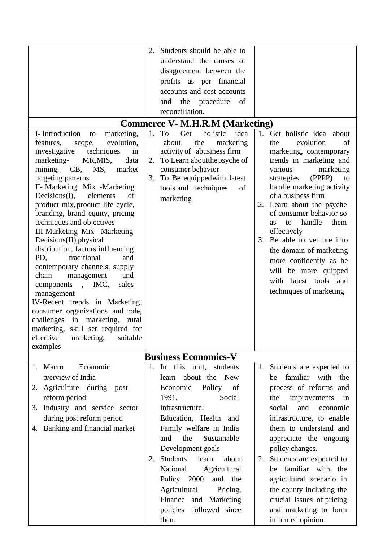| I-Introduction<br>marketing,<br>to<br>evolution,<br>features,<br>scope,<br>investigative techniques<br>in<br>marketing- MR,MIS,<br>data<br>mining, CB, MS,<br>market                                                                                                                                                                                                                                                                                                                                                                                                                                                             | 2. Students should be able to<br>understand the causes of<br>disagreement between the<br>profits as per financial<br>accounts and cost accounts<br>the procedure of<br>and<br>reconciliation.<br><b>Commerce V- M.H.R.M (Marketing)</b><br>1.<br>holistic<br>idea<br>To<br>Get<br>the<br>about<br>marketing<br>activity of abusiness firm<br>To Learn about the psyche of<br>2.<br>consumer behavior                     | Get holistic idea about<br>$1_{-}$<br>evolution<br>the<br>of<br>marketing, contemporary<br>trends in marketing and<br>various<br>marketing                                                                                                                                                                                                                                                                                                          |
|----------------------------------------------------------------------------------------------------------------------------------------------------------------------------------------------------------------------------------------------------------------------------------------------------------------------------------------------------------------------------------------------------------------------------------------------------------------------------------------------------------------------------------------------------------------------------------------------------------------------------------|--------------------------------------------------------------------------------------------------------------------------------------------------------------------------------------------------------------------------------------------------------------------------------------------------------------------------------------------------------------------------------------------------------------------------|-----------------------------------------------------------------------------------------------------------------------------------------------------------------------------------------------------------------------------------------------------------------------------------------------------------------------------------------------------------------------------------------------------------------------------------------------------|
| targeting patterns<br>II- Marketing Mix -Marketing<br>Decisions(I),<br>elements<br>οf<br>product mix, product life cycle,<br>branding, brand equity, pricing<br>techniques and objectives<br>III-Marketing Mix -Marketing<br>Decisions(II), physical<br>distribution, factors influencing<br>traditional<br>PD,<br>and<br>contemporary channels, supply<br>chain<br>and<br>management<br>components, IMC,<br>sales<br>management<br>IV-Recent trends in Marketing,<br>consumer organizations and role,<br>challenges in marketing, rural<br>marketing, skill set required for<br>effective<br>suitable<br>marketing,<br>examples | To Be equippedwith latest<br>3.<br>tools and techniques<br>of<br>marketing                                                                                                                                                                                                                                                                                                                                               | (PPPP)<br>to<br>strategies<br>handle marketing activity<br>of a business firm<br>2. Learn about the psyche<br>of consumer behavior so<br>handle<br>them<br>to<br><b>as</b><br>effectively<br>3. Be able to venture into<br>the domain of marketing<br>more confidently as he<br>will be more quipped<br>with latest tools and<br>techniques of marketing                                                                                            |
|                                                                                                                                                                                                                                                                                                                                                                                                                                                                                                                                                                                                                                  | <b>Business Economics-V</b>                                                                                                                                                                                                                                                                                                                                                                                              |                                                                                                                                                                                                                                                                                                                                                                                                                                                     |
| 1. Macro<br>Economic<br>overview of India<br>Agriculture during post<br>2.<br>reform period<br>3. Industry and service sector<br>during post reform period<br>4. Banking and financial market                                                                                                                                                                                                                                                                                                                                                                                                                                    | 1. In this unit,<br>students<br>about the<br><b>New</b><br>learn<br>Economic<br>Policy of<br>1991,<br>Social<br>infrastructure:<br>Education, Health and<br>Family welfare in India<br>and<br>the<br>Sustainable<br>Development goals<br>Students<br>learn<br>about<br>2.<br>National<br>Agricultural<br>Policy 2000<br>and the<br>Agricultural<br>Pricing,<br>Finance and Marketing<br>policies followed since<br>then. | Students are expected to<br>1.<br>familiar with<br>the<br>be<br>process of reforms and<br>improvements<br>the<br>in<br>social<br>and<br>economic<br>infrastructure, to enable<br>them to understand and<br>appreciate the ongoing<br>policy changes.<br>Students are expected to<br>2.<br>familiar with the<br>be<br>agricultural scenario in<br>the county including the<br>crucial issues of pricing<br>and marketing to form<br>informed opinion |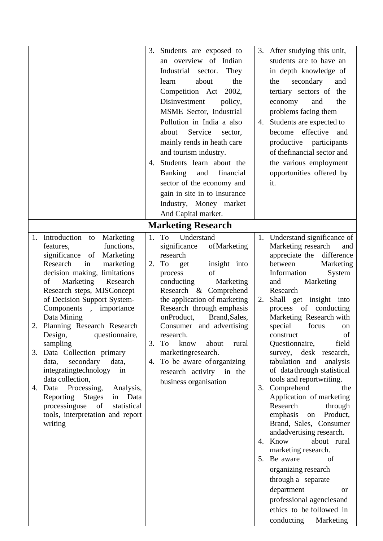|                                                                                                                                                                                                                                                                                                                                                                                                                                                                                                                                                                                                    | 3.<br>4.       | Students are exposed to<br>an overview of Indian<br>Industrial sector.<br>They<br>the<br>about<br>learn<br>Competition Act<br>2002,<br>Disinvestment<br>policy,<br>MSME Sector, Industrial<br>Pollution in India a also<br>Service<br>about<br>sector,<br>mainly rends in heath care<br>and tourism industry.<br>Students learn about the<br>Banking<br>financial<br>and<br>sector of the economy and<br>gain in site in to Insurance<br>Industry, Money market<br>And Capital market.<br><b>Marketing Research</b> | 4. | 3. After studying this unit,<br>students are to have an<br>in depth knowledge of<br>secondary<br>the<br>and<br>tertiary sectors of<br>the<br>the<br>and<br>economy<br>problems facing them<br>Students are expected to<br>effective<br>become<br>and<br>productive participants<br>of the financial sector and<br>the various employment<br>opportunities offered by<br>it.                                                                                                                                                                                                                                                                                                                                                                                                   |
|----------------------------------------------------------------------------------------------------------------------------------------------------------------------------------------------------------------------------------------------------------------------------------------------------------------------------------------------------------------------------------------------------------------------------------------------------------------------------------------------------------------------------------------------------------------------------------------------------|----------------|---------------------------------------------------------------------------------------------------------------------------------------------------------------------------------------------------------------------------------------------------------------------------------------------------------------------------------------------------------------------------------------------------------------------------------------------------------------------------------------------------------------------|----|-------------------------------------------------------------------------------------------------------------------------------------------------------------------------------------------------------------------------------------------------------------------------------------------------------------------------------------------------------------------------------------------------------------------------------------------------------------------------------------------------------------------------------------------------------------------------------------------------------------------------------------------------------------------------------------------------------------------------------------------------------------------------------|
| Introduction to<br>Marketing<br>1.<br>functions,<br>features,                                                                                                                                                                                                                                                                                                                                                                                                                                                                                                                                      |                | 1. To<br>Understand<br>significance<br>of Marketing                                                                                                                                                                                                                                                                                                                                                                                                                                                                 |    | 1. Understand significance of<br>Marketing research<br>and                                                                                                                                                                                                                                                                                                                                                                                                                                                                                                                                                                                                                                                                                                                    |
| significance<br>Marketing<br>of<br>Research<br>in<br>marketing<br>decision making, limitations<br>Marketing<br>Research<br>of<br>Research steps, MISConcept<br>of Decision Support System-<br>Components, importance<br>Data Mining<br>2. Planning Research Research<br>Design,<br>questionnaire,<br>sampling<br>3. Data Collection primary<br>secondary<br>data,<br>data,<br>integratingtechnology<br>in<br>data collection,<br>4. Data Processing,<br>Analysis,<br>Reporting<br><b>Stages</b><br>Data<br>in<br>processinguse<br>statistical<br>of<br>tools, interpretation and report<br>writing | 2.<br>3.<br>4. | research<br>To<br>insight into<br>get<br>of<br>process<br>conducting<br>Marketing<br>Research & Comprehend<br>the application of marketing<br>Research through emphasis<br>onProduct,<br>Brand, Sales,<br>Consumer and advertising<br>research.<br>To<br>know<br>about<br>rural<br>marketingresearch.<br>To be aware of organizing<br>research activity in the<br>business organisation                                                                                                                             | 2. | appreciate the<br>difference<br>between<br>Marketing<br>Information<br>System<br>Marketing<br>and<br>Research<br>Shall get insight into<br>process of conducting<br>Marketing Research with<br>focus<br>special<br>on<br>of<br>construct<br>Questionnaire,<br>field<br>survey, desk research,<br>tabulation and<br>analysis<br>of data through statistical<br>tools and reportwriting.<br>3. Comprehend<br>the<br>Application of marketing<br>Research<br>through<br>emphasis<br>on Product,<br>Brand, Sales, Consumer<br>andadvertising research.<br>about rural<br>4. Know<br>marketing research.<br>5. Be aware<br>of<br>organizing research<br>through a separate<br>department<br>or<br>professional agencies and<br>ethics to be followed in<br>conducting<br>Marketing |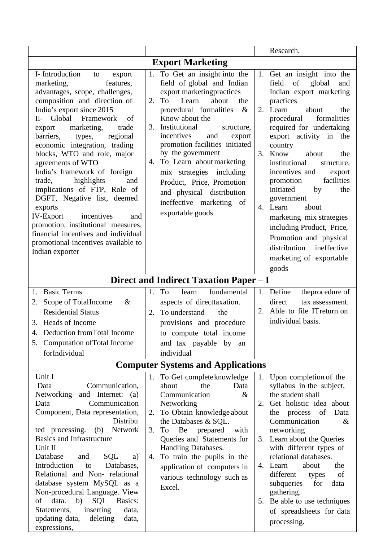|                                                                                                                                                                                                                                                                                                                                                                                                                                                                                                                                                                                                                                                                          |                                                                                                                                                                                                                                                                                                                                                                                                                                                                                      | Research.                                                                                                                                                                                                                                                                                                                                                                                                                                                                                                                                                        |  |  |  |  |
|--------------------------------------------------------------------------------------------------------------------------------------------------------------------------------------------------------------------------------------------------------------------------------------------------------------------------------------------------------------------------------------------------------------------------------------------------------------------------------------------------------------------------------------------------------------------------------------------------------------------------------------------------------------------------|--------------------------------------------------------------------------------------------------------------------------------------------------------------------------------------------------------------------------------------------------------------------------------------------------------------------------------------------------------------------------------------------------------------------------------------------------------------------------------------|------------------------------------------------------------------------------------------------------------------------------------------------------------------------------------------------------------------------------------------------------------------------------------------------------------------------------------------------------------------------------------------------------------------------------------------------------------------------------------------------------------------------------------------------------------------|--|--|--|--|
| <b>Export Marketing</b>                                                                                                                                                                                                                                                                                                                                                                                                                                                                                                                                                                                                                                                  |                                                                                                                                                                                                                                                                                                                                                                                                                                                                                      |                                                                                                                                                                                                                                                                                                                                                                                                                                                                                                                                                                  |  |  |  |  |
| I-Introduction<br>to<br>export<br>marketing,<br>features,<br>advantages, scope, challenges,<br>composition and direction of<br>India's export since 2015<br>II- Global Framework<br>of<br>marketing,<br>trade<br>export<br>barriers,<br>regional<br>types,<br>economic integration, trading<br>blocks, WTO and role, major<br>agreements of WTO<br>India's framework of foreign<br>highlights<br>trade,<br>and<br>implications of FTP, Role of<br>DGFT, Negative list, deemed<br>exports<br><b>IV-Export</b><br>incentives<br>and<br>promotion, institutional measures,<br>financial incentives and individual<br>promotional incentives available to<br>Indian exporter | To Get an insight into the<br>1.<br>field of global and Indian<br>export marketingpractices<br>about<br>Learn<br>To<br>the<br>2.<br>procedural formalities<br>$\&$<br>Know about the<br>3. Institutional<br>structure,<br>incentives<br>and<br>export<br>promotion facilities initiated<br>by the government<br>To Learn about marketing<br>4.<br>mix strategies including<br>Product, Price, Promotion<br>and physical distribution<br>ineffective marketing of<br>exportable goods | Get an insight into the<br>1.<br>of<br>field<br>global<br>and<br>Indian export marketing<br>practices<br>2. Learn<br>about<br>the<br>procedural<br>formalities<br>required for undertaking<br>export activity in the<br>country<br>3. Know<br>about<br>the<br>institutional<br>structure,<br>incentives and<br>export<br>facilities<br>promotion<br>initiated<br>the<br>by<br>government<br>4. Learn<br>about<br>marketing mix strategies<br>including Product, Price,<br>Promotion and physical<br>distribution ineffective<br>marketing of exportable<br>goods |  |  |  |  |
|                                                                                                                                                                                                                                                                                                                                                                                                                                                                                                                                                                                                                                                                          | Direct and Indirect Taxation Paper - I                                                                                                                                                                                                                                                                                                                                                                                                                                               |                                                                                                                                                                                                                                                                                                                                                                                                                                                                                                                                                                  |  |  |  |  |
| <b>Basic Terms</b><br>1.<br>Scope of TotalIncome<br>$\&$<br>2.<br><b>Residential Status</b><br>3. Heads of Income<br>Deduction from Total Income<br>4.<br>Computation of Total Income<br>5.<br>forIndividual                                                                                                                                                                                                                                                                                                                                                                                                                                                             | To<br>fundamental<br>1.<br>learn<br>aspects of directtaxation.<br>To understand<br>2.<br>the<br>provisions and procedure<br>to compute total income<br>and tax payable by<br>an<br>individual                                                                                                                                                                                                                                                                                        | 1. Define<br>theprocedure of<br>direct<br>tax assessment.<br>2. Able to file IT return on<br>individual basis.                                                                                                                                                                                                                                                                                                                                                                                                                                                   |  |  |  |  |
|                                                                                                                                                                                                                                                                                                                                                                                                                                                                                                                                                                                                                                                                          | <b>Computer Systems and Applications</b>                                                                                                                                                                                                                                                                                                                                                                                                                                             |                                                                                                                                                                                                                                                                                                                                                                                                                                                                                                                                                                  |  |  |  |  |
| Unit I<br>Data<br>Communication,<br>Networking<br>and Internet:<br>(a)<br>Communication<br>Data<br>Component, Data representation,<br>Distribu<br>ted processing. (b)<br>Network<br><b>Basics and Infrastructure</b><br>Unit II<br>Database<br>and<br>SQL<br>a)<br>Introduction<br>Databases,<br>to<br>Relational and Non-relational<br>database system MySQL as a<br>Non-procedural Language. View<br>data.<br>b)<br><b>SQL</b><br>Basics:<br>of<br>Statements,<br>inserting<br>data,<br>updating data,<br>deleting<br>data,<br>expressions,                                                                                                                            | 1. To Get complete knowledge<br>the<br>about<br>Data<br>Communication<br>$\&$<br>Networking<br>To Obtain knowledge about<br>2.<br>the Databases & SQL.<br>Be<br>prepared<br>with<br>3.<br>To<br>Queries and Statements for<br>Handling Databases.<br>To train the pupils in the<br>4.<br>application of computers in<br>various technology such as<br>Excel.                                                                                                                         | 1. Upon completion of the<br>syllabus in the subject,<br>the student shall<br>Get holistic idea about<br>2.<br>Data<br>the process of<br>Communication<br>$\&$<br>networking<br>3. Learn about the Queries<br>with different types of<br>relational databases.<br>4. Learn<br>the<br>about<br>different<br>of<br>types<br>subqueries<br>data<br>for<br>gathering.<br>5. Be able to use techniques<br>of spreadsheets for data<br>processing.                                                                                                                     |  |  |  |  |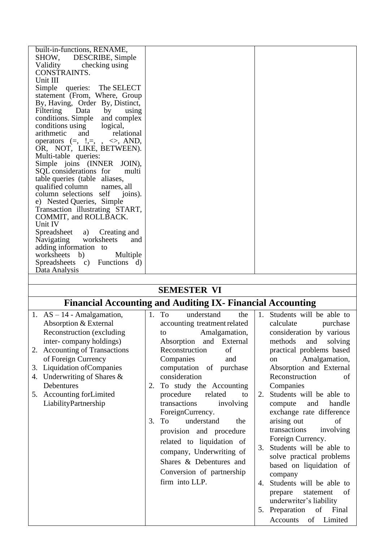| SHOW, DESCRIBE, Simple<br>checking using<br>Validity<br>CONSTRAINTS.<br>Unit III<br>Simple queries: The SELECT<br>statement (From, Where, Group<br>By, Having, Order By, Distinct,<br>Filtering Data<br>by<br>using<br>conditions. Simple<br>and complex<br>conditions using logical,<br>arithmetic<br>and<br>relational<br>operators $(=, ',=, ', <\rangle$ , AND,<br>OR, NOT, LIKE, BETWEEN).<br>Multi-table queries:<br>Simple joins (INNER JOIN),<br>SQL considerations for<br>multi<br>table queries (table aliases,<br>qualified column<br>names, all<br>column selections self<br>joins).<br>e) Nested Queries, Simple<br>Transaction illustrating START,<br>COMMIT, and ROLLBACK.<br>Unit IV<br>Spreadsheet<br>a)<br>Creating and<br>Navigating worksheets<br>and<br>adding information to<br>worksheets b)<br>Multiple<br>Spreadsheets c) Functions d)<br>Data Analysis | built-in-functions, RENAME, |  |
|----------------------------------------------------------------------------------------------------------------------------------------------------------------------------------------------------------------------------------------------------------------------------------------------------------------------------------------------------------------------------------------------------------------------------------------------------------------------------------------------------------------------------------------------------------------------------------------------------------------------------------------------------------------------------------------------------------------------------------------------------------------------------------------------------------------------------------------------------------------------------------|-----------------------------|--|
|                                                                                                                                                                                                                                                                                                                                                                                                                                                                                                                                                                                                                                                                                                                                                                                                                                                                                  |                             |  |
|                                                                                                                                                                                                                                                                                                                                                                                                                                                                                                                                                                                                                                                                                                                                                                                                                                                                                  |                             |  |
|                                                                                                                                                                                                                                                                                                                                                                                                                                                                                                                                                                                                                                                                                                                                                                                                                                                                                  |                             |  |
|                                                                                                                                                                                                                                                                                                                                                                                                                                                                                                                                                                                                                                                                                                                                                                                                                                                                                  |                             |  |
|                                                                                                                                                                                                                                                                                                                                                                                                                                                                                                                                                                                                                                                                                                                                                                                                                                                                                  |                             |  |
|                                                                                                                                                                                                                                                                                                                                                                                                                                                                                                                                                                                                                                                                                                                                                                                                                                                                                  |                             |  |
|                                                                                                                                                                                                                                                                                                                                                                                                                                                                                                                                                                                                                                                                                                                                                                                                                                                                                  |                             |  |
|                                                                                                                                                                                                                                                                                                                                                                                                                                                                                                                                                                                                                                                                                                                                                                                                                                                                                  |                             |  |
|                                                                                                                                                                                                                                                                                                                                                                                                                                                                                                                                                                                                                                                                                                                                                                                                                                                                                  |                             |  |
|                                                                                                                                                                                                                                                                                                                                                                                                                                                                                                                                                                                                                                                                                                                                                                                                                                                                                  |                             |  |
|                                                                                                                                                                                                                                                                                                                                                                                                                                                                                                                                                                                                                                                                                                                                                                                                                                                                                  |                             |  |
|                                                                                                                                                                                                                                                                                                                                                                                                                                                                                                                                                                                                                                                                                                                                                                                                                                                                                  |                             |  |
|                                                                                                                                                                                                                                                                                                                                                                                                                                                                                                                                                                                                                                                                                                                                                                                                                                                                                  |                             |  |
|                                                                                                                                                                                                                                                                                                                                                                                                                                                                                                                                                                                                                                                                                                                                                                                                                                                                                  |                             |  |
|                                                                                                                                                                                                                                                                                                                                                                                                                                                                                                                                                                                                                                                                                                                                                                                                                                                                                  |                             |  |
|                                                                                                                                                                                                                                                                                                                                                                                                                                                                                                                                                                                                                                                                                                                                                                                                                                                                                  |                             |  |
|                                                                                                                                                                                                                                                                                                                                                                                                                                                                                                                                                                                                                                                                                                                                                                                                                                                                                  |                             |  |
|                                                                                                                                                                                                                                                                                                                                                                                                                                                                                                                                                                                                                                                                                                                                                                                                                                                                                  |                             |  |
|                                                                                                                                                                                                                                                                                                                                                                                                                                                                                                                                                                                                                                                                                                                                                                                                                                                                                  |                             |  |
|                                                                                                                                                                                                                                                                                                                                                                                                                                                                                                                                                                                                                                                                                                                                                                                                                                                                                  |                             |  |
|                                                                                                                                                                                                                                                                                                                                                                                                                                                                                                                                                                                                                                                                                                                                                                                                                                                                                  |                             |  |
|                                                                                                                                                                                                                                                                                                                                                                                                                                                                                                                                                                                                                                                                                                                                                                                                                                                                                  |                             |  |
|                                                                                                                                                                                                                                                                                                                                                                                                                                                                                                                                                                                                                                                                                                                                                                                                                                                                                  |                             |  |
|                                                                                                                                                                                                                                                                                                                                                                                                                                                                                                                                                                                                                                                                                                                                                                                                                                                                                  |                             |  |
|                                                                                                                                                                                                                                                                                                                                                                                                                                                                                                                                                                                                                                                                                                                                                                                                                                                                                  |                             |  |
|                                                                                                                                                                                                                                                                                                                                                                                                                                                                                                                                                                                                                                                                                                                                                                                                                                                                                  |                             |  |
|                                                                                                                                                                                                                                                                                                                                                                                                                                                                                                                                                                                                                                                                                                                                                                                                                                                                                  |                             |  |
|                                                                                                                                                                                                                                                                                                                                                                                                                                                                                                                                                                                                                                                                                                                                                                                                                                                                                  |                             |  |
|                                                                                                                                                                                                                                                                                                                                                                                                                                                                                                                                                                                                                                                                                                                                                                                                                                                                                  |                             |  |

### **SEMESTER VI**

# **Financial Accounting and Auditing IX- Financial Accounting**

| 1. $AS - 14$ - Amalgamation,<br>Absorption & External                                         | 1.<br>To<br>understand<br>the<br>accounting treatment related                                                                                                                                                                                                              | Students will be able to<br>1.<br>calculate<br>purchase                                                                                                                                                                                                                                                                                                                                                                    |
|-----------------------------------------------------------------------------------------------|----------------------------------------------------------------------------------------------------------------------------------------------------------------------------------------------------------------------------------------------------------------------------|----------------------------------------------------------------------------------------------------------------------------------------------------------------------------------------------------------------------------------------------------------------------------------------------------------------------------------------------------------------------------------------------------------------------------|
| Reconstruction (excluding<br>inter-company holdings)                                          | Amalgamation,<br>to<br>Absorption and External                                                                                                                                                                                                                             | consideration by various<br>methods<br>and<br>solving                                                                                                                                                                                                                                                                                                                                                                      |
| 2. Accounting of Transactions<br>of Foreign Currency<br><b>Liquidation of Companies</b><br>3. | Reconstruction<br>of<br>Companies<br>and<br>computation of purchase                                                                                                                                                                                                        | practical problems based<br>Amalgamation,<br><sub>on</sub><br>Absorption and External                                                                                                                                                                                                                                                                                                                                      |
| Underwriting of Shares $\&$<br>4.<br>Debentures                                               | consideration<br>To study the Accounting<br>2.                                                                                                                                                                                                                             | Reconstruction<br>of<br>Companies                                                                                                                                                                                                                                                                                                                                                                                          |
| 5. Accounting for Limited<br>LiabilityPartnership                                             | procedure<br>related<br>to<br>transactions<br>involving<br>ForeignCurrency.<br>understand<br>3.<br>To<br>the<br>provision and procedure<br>related to liquidation of<br>company, Underwriting of<br>Shares & Debentures and<br>Conversion of partnership<br>firm into LLP. | Students will be able to<br>2.<br>and<br>handle<br>compute<br>exchange rate difference<br>arising out<br>of<br>transactions<br>involving<br>Foreign Currency.<br>Students will be able to<br>3.<br>solve practical problems<br>based on liquidation of<br>company<br>Students will be able to<br>4.<br>statement<br>of<br>prepare<br>underwriter's liability<br>5. Preparation<br>of<br>Final<br>Accounts<br>Limited<br>of |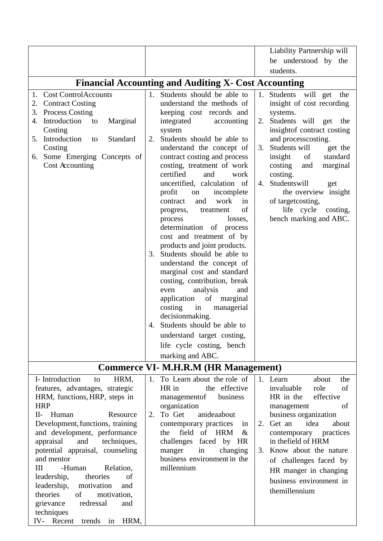|                                               |                                                             | Liability Partnership will                      |
|-----------------------------------------------|-------------------------------------------------------------|-------------------------------------------------|
|                                               |                                                             | be understood by the                            |
|                                               |                                                             | students.                                       |
|                                               | <b>Financial Accounting and Auditing X- Cost Accounting</b> |                                                 |
| <b>Cost ControlAccounts</b><br>1.             | Students should be able to<br>1.                            | Students will get<br>the<br>1.                  |
| 2. Contract Costing                           | understand the methods of                                   | insight of cost recording                       |
| <b>Process Costing</b><br>3.                  | keeping cost records and                                    | systems.                                        |
| Introduction<br>Marginal<br>to<br>4.          | integrated<br>accounting                                    | 2. Students will get the                        |
| Costing                                       | system                                                      | insight of contract costing                     |
| 5. Introduction<br>Standard<br>to             | Students should be able to<br>2.                            | and processcosting.                             |
| Costing                                       | understand the concept of                                   | 3. Students will<br>get the                     |
| 6. Some Emerging Concepts of                  | contract costing and process                                | insight<br>standard<br>of                       |
| Cost Accounting                               | costing, treatment of work<br>certified<br>and<br>work      | costing<br>and<br>marginal<br>costing.          |
|                                               | uncertified, calculation of                                 | Studentswill<br>4.<br>get                       |
|                                               | profit<br>incomplete<br>on                                  | the overview insight                            |
|                                               | and<br>work<br>contract<br>in                               | of target costing,                              |
|                                               | of<br>treatment<br>progress,                                | life cycle<br>costing,                          |
|                                               | losses,<br>process                                          | bench marking and ABC.                          |
|                                               | determination of process                                    |                                                 |
|                                               | cost and treatment of by<br>products and joint products.    |                                                 |
|                                               | Students should be able to<br>3.                            |                                                 |
|                                               | understand the concept of                                   |                                                 |
|                                               | marginal cost and standard                                  |                                                 |
|                                               | costing, contribution, break                                |                                                 |
|                                               | analysis<br>even<br>and                                     |                                                 |
|                                               | of<br>application<br>marginal                               |                                                 |
|                                               | costing<br>managerial<br>in                                 |                                                 |
|                                               | decisionmaking.<br>Students should be able to<br>4.         |                                                 |
|                                               | understand target costing,                                  |                                                 |
|                                               | life cycle costing, bench                                   |                                                 |
|                                               | marking and ABC.                                            |                                                 |
|                                               | <b>Commerce VI- M.H.R.M (HR Management)</b>                 |                                                 |
| I- Introduction<br>HRM,<br>to                 | 1. To Learn about the role of                               | 1. Learn<br>about<br>the                        |
| features, advantages, strategic               | the effective<br>HR in                                      | invaluable<br>role<br>of                        |
| HRM, functions, HRP, steps in                 | business<br>management of                                   | HR in the<br>effective                          |
| <b>HRP</b>                                    | organization                                                | of<br>management                                |
| II- Human<br>Resource                         | To Get<br>anideaabout<br>2.                                 | business organization                           |
| Development, functions, training              | contemporary practices<br>in                                | Get an<br>idea<br>2.<br>about                   |
| and development, performance                  | field of HRM<br>$\&$<br>the                                 | contemporary<br>practices                       |
| techniques,<br>appraisal<br>and               | challenges faced by HR<br>in                                | in the field of HRM<br>3. Know about the nature |
| potential appraisal, counseling<br>and mentor | changing<br>manger<br>business environment in the           |                                                 |
| Ш<br>-Human<br>Relation,                      | millennium                                                  | of challenges faced by                          |
| leadership,<br>theories<br>of                 |                                                             | HR manger in changing                           |
| motivation<br>leadership,<br>and              |                                                             | business environment in                         |
| theories<br>of<br>motivation,                 |                                                             | themillennium                                   |
| grievance<br>redressal<br>and                 |                                                             |                                                 |
| techniques                                    |                                                             |                                                 |
| IV- Recent<br>HRM,<br>trends in               |                                                             |                                                 |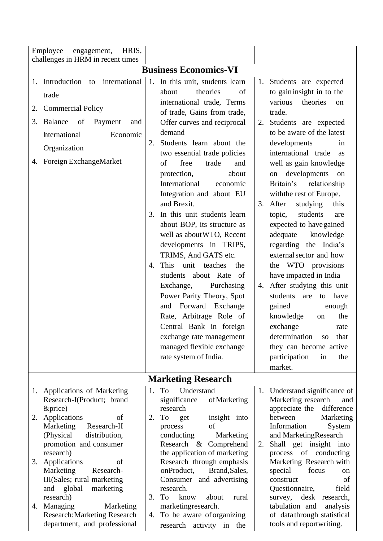|                              | HRIS,<br>Employee<br>engagement,<br>challenges in HRM in recent times                                                                                                                                                                                                                 |                |                                                                                                                                                                                                                                                                                                                                                                                                                                                                                                                                                                                                                                                                                                                                                                                                     |                      |                                                                                                                                                                                                                                                                                                                                                                                                                                                                                                                                                                                                                                                                                                                                                                     |  |
|------------------------------|---------------------------------------------------------------------------------------------------------------------------------------------------------------------------------------------------------------------------------------------------------------------------------------|----------------|-----------------------------------------------------------------------------------------------------------------------------------------------------------------------------------------------------------------------------------------------------------------------------------------------------------------------------------------------------------------------------------------------------------------------------------------------------------------------------------------------------------------------------------------------------------------------------------------------------------------------------------------------------------------------------------------------------------------------------------------------------------------------------------------------------|----------------------|---------------------------------------------------------------------------------------------------------------------------------------------------------------------------------------------------------------------------------------------------------------------------------------------------------------------------------------------------------------------------------------------------------------------------------------------------------------------------------------------------------------------------------------------------------------------------------------------------------------------------------------------------------------------------------------------------------------------------------------------------------------------|--|
| <b>Business Economics-VI</b> |                                                                                                                                                                                                                                                                                       |                |                                                                                                                                                                                                                                                                                                                                                                                                                                                                                                                                                                                                                                                                                                                                                                                                     |                      |                                                                                                                                                                                                                                                                                                                                                                                                                                                                                                                                                                                                                                                                                                                                                                     |  |
| 1.<br>2.<br>3.               | international<br>Introduction<br>to<br>trade<br><b>Commercial Policy</b><br><b>Balance</b><br>of<br>Payment<br>and<br>hternational<br>Economic<br>Organization<br>4. Foreign ExchangeMarket                                                                                           | 2.<br>3.<br>4. | 1. In this unit, students learn<br>theories<br>of<br>about<br>international trade, Terms<br>of trade, Gains from trade,<br>Offer curves and reciprocal<br>demand<br>Students learn about the<br>two essential trade policies<br>free<br>trade<br>of<br>and<br>protection,<br>about<br>International<br>economic<br>Integration and about EU<br>and Brexit.<br>In this unit students learn<br>about BOP, its structure as<br>well as about WTO, Recent<br>developments in TRIPS,<br>TRIMS, And GATS etc.<br>This<br>unit teaches<br>the<br>students about Rate<br>- of<br>Exchange,<br>Purchasing<br>Power Parity Theory, Spot<br>Forward<br>Exchange<br>and<br>Rate, Arbitrage Role of<br>Central Bank in foreign<br>exchange rate management<br>managed flexible exchange<br>rate system of India. | 1.<br>2.<br>3.<br>4. | Students are expected<br>to gain insight in to the<br>various<br>theories<br>on<br>trade.<br>Students are expected<br>to be aware of the latest<br>developments<br>in<br>international trade<br>as<br>well as gain knowledge<br>developments<br>on<br>on<br>Britain's<br>relationship<br>with the rest of Europe.<br>After<br>studying<br>this<br>students<br>topic,<br>are<br>expected to have gained<br>adequate<br>knowledge<br>regarding the India's<br>external sector and how<br>the WTO provisions<br>have impacted in India<br>After studying this unit<br>students<br>to have<br>are<br>gained<br>enough<br>knowledge<br>the<br>on<br>exchange<br>rate<br>determination<br>that<br>SO <sub>1</sub><br>they can become active<br>participation<br>the<br>in |  |
|                              |                                                                                                                                                                                                                                                                                       |                |                                                                                                                                                                                                                                                                                                                                                                                                                                                                                                                                                                                                                                                                                                                                                                                                     |                      | market.                                                                                                                                                                                                                                                                                                                                                                                                                                                                                                                                                                                                                                                                                                                                                             |  |
|                              | 1. Applications of Marketing                                                                                                                                                                                                                                                          | 1.             | <b>Marketing Research</b><br>To<br>Understand                                                                                                                                                                                                                                                                                                                                                                                                                                                                                                                                                                                                                                                                                                                                                       |                      | 1. Understand significance of                                                                                                                                                                                                                                                                                                                                                                                                                                                                                                                                                                                                                                                                                                                                       |  |
| 2.                           | Research-I(Product; brand<br>&price)<br>Applications<br>of<br>Marketing<br>Research-II<br>(Physical)<br>distribution,<br>promotion and consumer<br>research)<br>3. Applications<br>of<br>Marketing<br>Research-<br>III(Sales; rural marketing<br>and global<br>marketing<br>research) | 2.<br>3.       | significance<br>of Marketing<br>research<br>To<br>insight into<br>get<br>of<br>process<br>conducting<br>Marketing<br>Research & Comprehend<br>the application of marketing<br>Research through emphasis<br>onProduct,<br>Brand, Sales,<br>Consumer and advertising<br>research.<br>To<br>about<br>know<br>rural                                                                                                                                                                                                                                                                                                                                                                                                                                                                                     | 2.                   | Marketing research<br>and<br>appreciate the<br>difference<br>between<br>Marketing<br>Information<br>System<br>and MarketingResearch<br>Shall get insight into<br>process of conducting<br>Marketing Research with<br>focus<br>special<br>on<br>construct<br>of<br>Questionnaire,<br>field<br>desk research,<br>survey,                                                                                                                                                                                                                                                                                                                                                                                                                                              |  |
|                              | 4. Managing<br>Marketing<br><b>Research: Marketing Research</b><br>department, and professional                                                                                                                                                                                       | 4.             | marketingresearch.<br>To be aware of organizing<br>research activity in<br>the                                                                                                                                                                                                                                                                                                                                                                                                                                                                                                                                                                                                                                                                                                                      |                      | tabulation and<br>analysis<br>of data through statistical<br>tools and reportwriting.                                                                                                                                                                                                                                                                                                                                                                                                                                                                                                                                                                                                                                                                               |  |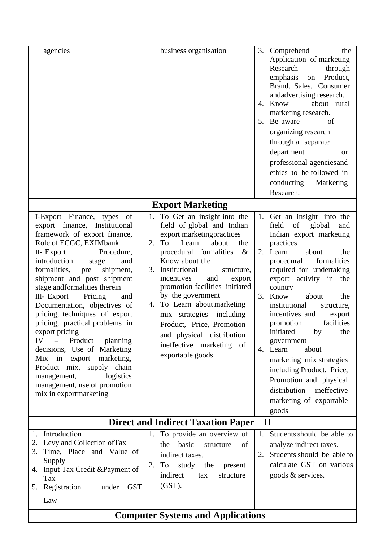| agencies                                                                                                                                                                                                                                                                                                                                                                                                                                                                                                                                                                                                                                              | business organisation                                                                                                                                                                                                                                                                                                                                                                                                                                                             | 3.<br>Comprehend<br>the<br>Application of marketing<br>Research<br>through<br>emphasis<br>Product,<br>on<br>Brand, Sales, Consumer<br>andadvertising research.<br>about rural<br>Know<br>4.<br>marketing research.<br>5. Be aware<br>of<br>organizing research<br>through a separate<br>department<br><b>or</b><br>professional agencies and<br>ethics to be followed in<br>conducting Marketing<br>Research.                                                                                                                                           |  |  |  |  |
|-------------------------------------------------------------------------------------------------------------------------------------------------------------------------------------------------------------------------------------------------------------------------------------------------------------------------------------------------------------------------------------------------------------------------------------------------------------------------------------------------------------------------------------------------------------------------------------------------------------------------------------------------------|-----------------------------------------------------------------------------------------------------------------------------------------------------------------------------------------------------------------------------------------------------------------------------------------------------------------------------------------------------------------------------------------------------------------------------------------------------------------------------------|---------------------------------------------------------------------------------------------------------------------------------------------------------------------------------------------------------------------------------------------------------------------------------------------------------------------------------------------------------------------------------------------------------------------------------------------------------------------------------------------------------------------------------------------------------|--|--|--|--|
|                                                                                                                                                                                                                                                                                                                                                                                                                                                                                                                                                                                                                                                       | <b>Export Marketing</b>                                                                                                                                                                                                                                                                                                                                                                                                                                                           |                                                                                                                                                                                                                                                                                                                                                                                                                                                                                                                                                         |  |  |  |  |
| I-Export Finance, types of<br>export finance, Institutional<br>framework of export finance,<br>Role of ECGC, EXIMbank<br>II- Export<br>Procedure,<br>introduction<br>and<br>stage<br>formalities,<br>shipment,<br>pre<br>shipment and post shipment<br>stage andformalities therein<br>Pricing<br>III- Export<br>and<br>Documentation, objectives of<br>pricing, techniques of export<br>pricing, practical problems in<br>export pricing<br>IV – Product planning<br>decisions, Use of Marketing<br>$Mix$ in<br>export marketing,<br>Product mix, supply chain<br>logistics<br>management,<br>management, use of promotion<br>mix in exportmarketing | To Get an insight into the<br>field of global and Indian<br>export marketingpractices<br>about<br>2.<br>To<br>Learn<br>the<br>procedural formalities<br>$\&$<br>Know about the<br>Institutional<br>3.<br>structure,<br>incentives<br>and<br>export<br>promotion facilities initiated<br>by the government<br>To Learn about marketing<br>4.<br>mix strategies including<br>Product, Price, Promotion<br>and physical distribution<br>ineffective marketing of<br>exportable goods | 1. Get an insight into the<br>field of global<br>and<br>Indian export marketing<br>practices<br>2. Learn<br>about<br>the<br>formalities<br>procedural<br>required for undertaking<br>export activity in the<br>country<br>3. Know<br>about<br>the<br>institutional<br>structure,<br>incentives and<br>export<br>facilities<br>promotion<br>initiated<br>by<br>the<br>government<br>4. Learn<br>about<br>marketing mix strategies<br>including Product, Price,<br>Promotion and physical<br>distribution ineffective<br>marketing of exportable<br>goods |  |  |  |  |
|                                                                                                                                                                                                                                                                                                                                                                                                                                                                                                                                                                                                                                                       | Direct and Indirect Taxation Paper – II                                                                                                                                                                                                                                                                                                                                                                                                                                           |                                                                                                                                                                                                                                                                                                                                                                                                                                                                                                                                                         |  |  |  |  |
| Introduction<br>1.<br>2. Levy and Collection of Tax<br>Time, Place and Value of<br>3.<br>Supply<br>Input Tax Credit & Payment of<br>4.<br>Tax<br>5. Registration<br>under GST<br>Law                                                                                                                                                                                                                                                                                                                                                                                                                                                                  | 1. To provide an overview of<br>basic<br>the<br>structure<br>of<br>indirect taxes.<br>To study the present<br>2.<br>indirect<br>structure<br>tax<br>$(GST)$ .                                                                                                                                                                                                                                                                                                                     | 1. Students should be able to<br>analyze indirect taxes.<br>2. Students should be able to<br>calculate GST on various<br>goods & services.                                                                                                                                                                                                                                                                                                                                                                                                              |  |  |  |  |
| <b>Computer Systems and Applications</b>                                                                                                                                                                                                                                                                                                                                                                                                                                                                                                                                                                                                              |                                                                                                                                                                                                                                                                                                                                                                                                                                                                                   |                                                                                                                                                                                                                                                                                                                                                                                                                                                                                                                                                         |  |  |  |  |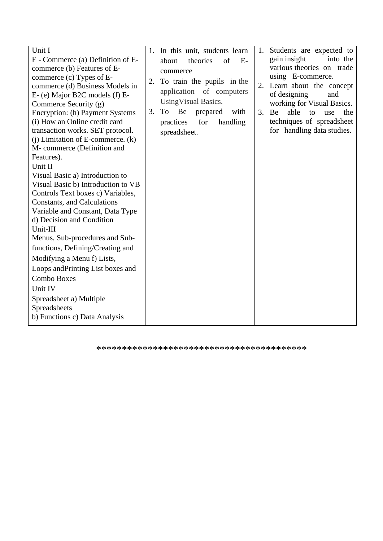\*\*\*\*\*\*\*\*\*\*\*\*\*\*\*\*\*\*\*\*\*\*\*\*\*\*\*\*\*\*\*\*\*\*\*\*\*\*\*\*\*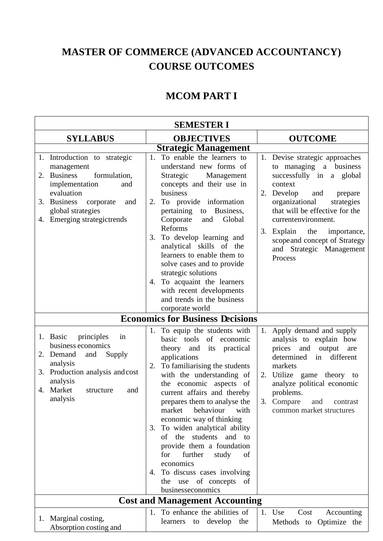# **MASTER OF COMMERCE (ADVANCED ACCOUNTANCY) COURSE OUTCOMES**

### **MCOM PART I**

| <b>SEMESTER I</b>                                                                                                                                                                                                 |                                                                                                                                                                                                                                                                                                                                                                                                                                                                                                                                                      |                                                                                                                                                                                                                                                                                                                                         |  |  |  |  |
|-------------------------------------------------------------------------------------------------------------------------------------------------------------------------------------------------------------------|------------------------------------------------------------------------------------------------------------------------------------------------------------------------------------------------------------------------------------------------------------------------------------------------------------------------------------------------------------------------------------------------------------------------------------------------------------------------------------------------------------------------------------------------------|-----------------------------------------------------------------------------------------------------------------------------------------------------------------------------------------------------------------------------------------------------------------------------------------------------------------------------------------|--|--|--|--|
| <b>SYLLABUS</b>                                                                                                                                                                                                   | <b>OUTCOME</b>                                                                                                                                                                                                                                                                                                                                                                                                                                                                                                                                       |                                                                                                                                                                                                                                                                                                                                         |  |  |  |  |
|                                                                                                                                                                                                                   | <b>Strategic Management</b>                                                                                                                                                                                                                                                                                                                                                                                                                                                                                                                          |                                                                                                                                                                                                                                                                                                                                         |  |  |  |  |
| 1. Introduction to strategic<br>management<br><b>Business</b><br>2.<br>formulation,<br>implementation<br>and<br>evaluation<br>3. Business<br>corporate<br>and<br>global strategies<br>4. Emerging strategictrends | To enable the learners to<br>1.<br>understand new forms of<br>Strategic<br>Management<br>concepts and their use in<br>business<br>To provide information<br>2.<br>to Business,<br>pertaining<br>Corporate<br>Global<br>and<br>Reforms<br>To develop learning and<br>3.<br>analytical skills of the<br>learners to enable them to<br>solve cases and to provide<br>strategic solutions<br>To acquaint the learners<br>4.<br>with recent developments<br>and trends in the business<br>corporate world                                                 | 1. Devise strategic approaches<br>to managing a business<br>successfully in a global<br>context<br>Develop<br>2.<br>and<br>prepare<br>organizational<br>strategies<br>that will be effective for the<br>currentenvironment.<br>3. Explain<br>the<br>importance,<br>scope and concept of Strategy<br>and Strategic Management<br>Process |  |  |  |  |
|                                                                                                                                                                                                                   | <b>Economics for Business Decisions</b>                                                                                                                                                                                                                                                                                                                                                                                                                                                                                                              |                                                                                                                                                                                                                                                                                                                                         |  |  |  |  |
| principles<br>1. Basic<br>in<br>business economics<br>Demand<br>and<br>Supply<br>2.<br>analysis<br>Production analysis and cost<br>3.<br>analysis<br>Market<br>4.<br>structure<br>and<br>analysis                 | 1. To equip the students with<br>basic tools of economic<br>theory and<br>its practical<br>applications<br>To familiarising the students<br>2.<br>with the understanding of<br>the economic aspects of<br>current affairs and thereby<br>prepares them to analyse the<br>market behaviour<br>with<br>economic way of thinking<br>3. To widen analytical ability<br>of the students and to<br>provide them a foundation<br>further<br>for<br>study<br>of<br>economics<br>4. To discuss cases involving<br>the use of concepts of<br>businesseconomics | Apply demand and supply<br>1.<br>analysis to explain how<br>prices and output<br>are<br>determined<br>in different<br>markets<br>2. Utilize game theory to<br>analyze political economic<br>problems.<br>3. Compare and contrast<br>common market structures                                                                            |  |  |  |  |
|                                                                                                                                                                                                                   | <b>Cost and Management Accounting</b>                                                                                                                                                                                                                                                                                                                                                                                                                                                                                                                |                                                                                                                                                                                                                                                                                                                                         |  |  |  |  |
| 1. Marginal costing,<br>Absorption costing and                                                                                                                                                                    | 1. To enhance the abilities of<br>learners to develop the                                                                                                                                                                                                                                                                                                                                                                                                                                                                                            | 1. Use<br>Cost<br>Accounting<br>Methods to Optimize the                                                                                                                                                                                                                                                                                 |  |  |  |  |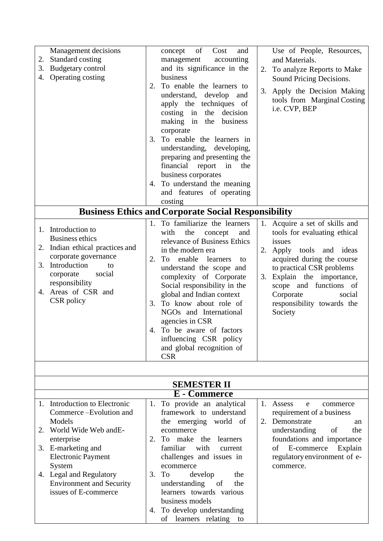| 2.<br>3.<br>4. | Management decisions<br>Standard costing<br>Budgetary control<br>Operating costing                                                                                                                          |          | of<br>Cost<br>and<br>concept<br>accounting<br>management<br>and its significance in the<br>business                                                                                                                                                                                                                                                                                                                                                |          | Use of People, Resources,<br>and Materials.<br>2. To analyze Reports to Make<br>Sound Pricing Decisions.                                                                                                                                                                          |
|----------------|-------------------------------------------------------------------------------------------------------------------------------------------------------------------------------------------------------------|----------|----------------------------------------------------------------------------------------------------------------------------------------------------------------------------------------------------------------------------------------------------------------------------------------------------------------------------------------------------------------------------------------------------------------------------------------------------|----------|-----------------------------------------------------------------------------------------------------------------------------------------------------------------------------------------------------------------------------------------------------------------------------------|
|                |                                                                                                                                                                                                             | 2.<br>3. | To enable the learners to<br>understand, develop and<br>apply the techniques of<br>decision<br>$\cos$ ting in<br>the<br>making in<br>the<br>business<br>corporate<br>To enable the learners in<br>understanding, developing,<br>preparing and presenting the<br>financial report in<br>the<br>business corporates                                                                                                                                  | 3.       | Apply the Decision Making<br>tools from Marginal Costing<br>i.e. CVP, BEP                                                                                                                                                                                                         |
|                |                                                                                                                                                                                                             |          | 4. To understand the meaning                                                                                                                                                                                                                                                                                                                                                                                                                       |          |                                                                                                                                                                                                                                                                                   |
|                |                                                                                                                                                                                                             |          | and features of operating                                                                                                                                                                                                                                                                                                                                                                                                                          |          |                                                                                                                                                                                                                                                                                   |
|                |                                                                                                                                                                                                             |          | costing<br><b>Business Ethics and Corporate Social Responsibility</b>                                                                                                                                                                                                                                                                                                                                                                              |          |                                                                                                                                                                                                                                                                                   |
|                |                                                                                                                                                                                                             |          |                                                                                                                                                                                                                                                                                                                                                                                                                                                    |          |                                                                                                                                                                                                                                                                                   |
| 2.             | 1. Introduction to<br><b>Business ethics</b><br>Indian ethical practices and<br>corporate governance<br>3. Introduction<br>to<br>corporate<br>social<br>responsibility<br>4. Areas of CSR and<br>CSR policy | 2.<br>3. | 1. To familiarize the learners<br>the<br>with<br>concept<br>and<br>relevance of Business Ethics<br>in the modern era<br>To<br>enable<br>learners<br>to<br>understand the scope and<br>complexity of Corporate<br>Social responsibility in the<br>global and Indian context<br>To know about role of<br>NGOs and International<br>agencies in CSR<br>4. To be aware of factors<br>influencing CSR policy<br>and global recognition of<br><b>CSR</b> | 1.<br>2. | Acquire a set of skills and<br>tools for evaluating ethical<br>issues<br>Apply tools and ideas<br>acquired during the course<br>to practical CSR problems<br>3. Explain the importance,<br>scope and functions of<br>Corporate<br>social<br>responsibility towards the<br>Society |
|                |                                                                                                                                                                                                             |          | <b>SEMESTER II</b>                                                                                                                                                                                                                                                                                                                                                                                                                                 |          |                                                                                                                                                                                                                                                                                   |
|                |                                                                                                                                                                                                             |          | E - Commerce                                                                                                                                                                                                                                                                                                                                                                                                                                       |          |                                                                                                                                                                                                                                                                                   |
|                | 1. Introduction to Electronic                                                                                                                                                                               | 1.       | To provide an analytical                                                                                                                                                                                                                                                                                                                                                                                                                           |          | 1. Assess<br>e<br>commerce                                                                                                                                                                                                                                                        |
|                | Commerce-Evolution and<br>Models                                                                                                                                                                            |          | framework to understand<br>world of<br>the emerging                                                                                                                                                                                                                                                                                                                                                                                                | 2.       | requirement of a business<br>Demonstrate<br>an                                                                                                                                                                                                                                    |
| 2.             | World Wide Web and E-                                                                                                                                                                                       |          | ecommerce                                                                                                                                                                                                                                                                                                                                                                                                                                          |          | understanding<br>of<br>the                                                                                                                                                                                                                                                        |
|                | enterprise                                                                                                                                                                                                  | 2.       | To<br>make the<br>learners                                                                                                                                                                                                                                                                                                                                                                                                                         |          | foundations and importance                                                                                                                                                                                                                                                        |
|                | 3. E-marketing and                                                                                                                                                                                          |          | familiar<br>with<br>current                                                                                                                                                                                                                                                                                                                                                                                                                        |          | E-commerce<br>Explain<br>οf                                                                                                                                                                                                                                                       |
|                | <b>Electronic Payment</b>                                                                                                                                                                                   |          | challenges and issues in                                                                                                                                                                                                                                                                                                                                                                                                                           |          | regulatory environment of e-                                                                                                                                                                                                                                                      |
|                | System                                                                                                                                                                                                      |          | ecommerce                                                                                                                                                                                                                                                                                                                                                                                                                                          |          | commerce.                                                                                                                                                                                                                                                                         |
|                | 4. Legal and Regulatory                                                                                                                                                                                     |          | 3. To<br>develop<br>the                                                                                                                                                                                                                                                                                                                                                                                                                            |          |                                                                                                                                                                                                                                                                                   |

understanding of the learners towards various

4. To develop understanding of learners relating to

business models

Environment and Security issues of E-commerce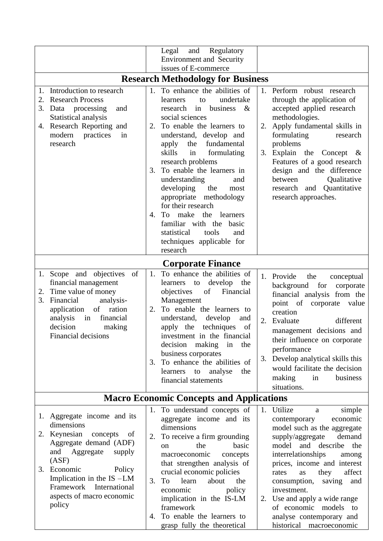|                                                                                                                                                                     |                                                                                                                                           |                      | and<br>Regulatory<br>Legal<br><b>Environment and Security</b>                                                                                                                                                                                                                                                                                                                                                                                                                                                                          |          |                                                                                                                                                                                                                                                                                                                                                                                                                                 |
|---------------------------------------------------------------------------------------------------------------------------------------------------------------------|-------------------------------------------------------------------------------------------------------------------------------------------|----------------------|----------------------------------------------------------------------------------------------------------------------------------------------------------------------------------------------------------------------------------------------------------------------------------------------------------------------------------------------------------------------------------------------------------------------------------------------------------------------------------------------------------------------------------------|----------|---------------------------------------------------------------------------------------------------------------------------------------------------------------------------------------------------------------------------------------------------------------------------------------------------------------------------------------------------------------------------------------------------------------------------------|
|                                                                                                                                                                     |                                                                                                                                           |                      | issues of E-commerce                                                                                                                                                                                                                                                                                                                                                                                                                                                                                                                   |          |                                                                                                                                                                                                                                                                                                                                                                                                                                 |
|                                                                                                                                                                     |                                                                                                                                           |                      | <b>Research Methodology for Business</b>                                                                                                                                                                                                                                                                                                                                                                                                                                                                                               |          |                                                                                                                                                                                                                                                                                                                                                                                                                                 |
| Introduction to research<br><b>Research Process</b><br>2.<br>3.<br>Data processing<br>Statistical analysis<br>4. Research Reporting and<br>modern<br>research       | and<br>practices<br>in                                                                                                                    | 1.<br>2.<br>3.<br>4. | To enhance the abilities of<br>undertake<br>learners<br>to<br>business<br>$-\&$<br>research<br>in<br>social sciences<br>To enable the learners to<br>understand, develop and<br>fundamental<br>the<br>apply<br>skills<br>formulating<br>in<br>research problems<br>To enable the learners in<br>understanding<br>and<br>developing<br>the<br>most<br>appropriate methodology<br>for their research<br>To<br>make<br>the<br>learners<br>familiar with the basic<br>statistical<br>tools<br>and<br>techniques applicable for<br>research |          | 1. Perform robust research<br>through the application of<br>accepted applied research<br>methodologies.<br>2. Apply fundamental skills in<br>formulating<br>research<br>problems<br>3. Explain the Concept $\&$<br>Features of a good research<br>design and the difference<br>Qualitative<br>between<br>research and Quantitative<br>research approaches.                                                                      |
|                                                                                                                                                                     |                                                                                                                                           |                      | <b>Corporate Finance</b>                                                                                                                                                                                                                                                                                                                                                                                                                                                                                                               |          |                                                                                                                                                                                                                                                                                                                                                                                                                                 |
| 1. Scope and objectives<br>financial management<br>Time value of money<br>2.<br>3.<br>Financial<br>application<br>analysis<br>in<br>decision<br>Financial decisions | of<br>analysis-<br>of ration<br>financial<br>making                                                                                       | 2.<br>3.             | 1. To enhance the abilities of<br>develop<br>to<br>learners<br>the<br>objectives<br>of<br>Financial<br>Management<br>To enable the learners to<br>understand,<br>develop<br>and<br>techniques<br>apply the<br>of<br>investment in the financial<br>decision making<br>in<br>the<br>business corporates<br>To enhance the abilities of<br>analyse<br>learners<br>to<br>the<br>financial statements                                                                                                                                      | 2.       | 1. Provide<br>the<br>conceptual<br>background for<br>corporate<br>financial analysis from the<br>point of<br>corporate<br>value<br>creation<br>different<br>Evaluate<br>management decisions and<br>their influence on corporate<br>performance<br>3. Develop analytical skills this<br>would facilitate the decision<br>making<br>in<br>business<br>situations.                                                                |
|                                                                                                                                                                     |                                                                                                                                           |                      | <b>Macro Economic Concepts and Applications</b>                                                                                                                                                                                                                                                                                                                                                                                                                                                                                        |          |                                                                                                                                                                                                                                                                                                                                                                                                                                 |
| 1. Aggregate income and its<br>dimensions<br>2. Keynesian<br>and<br>Aggregate<br>(ASF)<br>Economic<br>3.<br>Framework<br>policy                                     | concepts<br>of<br>Aggregate demand (ADF)<br>supply<br>Policy<br>Implication in the $IS$ -LM<br>International<br>aspects of macro economic | 1.<br>2.<br>3.<br>4. | To understand concepts of<br>aggregate income and its<br>dimensions<br>To receive a firm grounding<br>the<br>basic<br>on<br>macroeconomic<br>concepts<br>that strengthen analysis of<br>crucial economic policies<br>To<br>about<br>the<br>learn<br>economic<br>policy<br>implication in the IS-LM<br>framework<br>To enable the learners to<br>grasp fully the theoretical                                                                                                                                                            | 1.<br>2. | Utilize<br>simple<br>a<br>economic<br>contemporary<br>model such as the aggregate<br>demand<br>supply/aggregate<br>model and describe<br>the<br>interrelationships<br>among<br>prices, income and interest<br>affect<br>they<br>rates<br>as<br>consumption, saving<br>and<br>investment.<br>Use and apply a wide range<br>of economic models<br>$\overline{\mathbf{t}}$<br>analyse contemporary and<br>historical macroeconomic |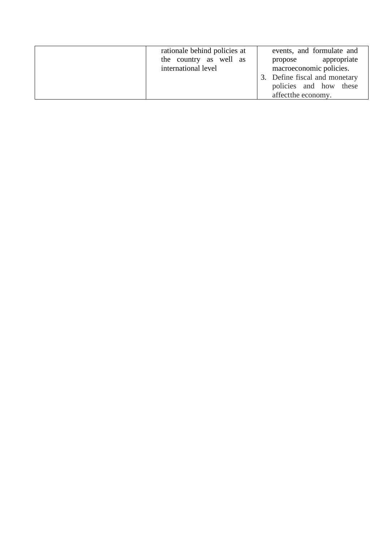| rationale behind policies at<br>the country as well as<br>international level | events, and formulate and<br>propose appropriate<br>macroeconomic policies.<br>3. Define fiscal and monetary<br>policies and how these |
|-------------------------------------------------------------------------------|----------------------------------------------------------------------------------------------------------------------------------------|
|                                                                               | affect the economy.                                                                                                                    |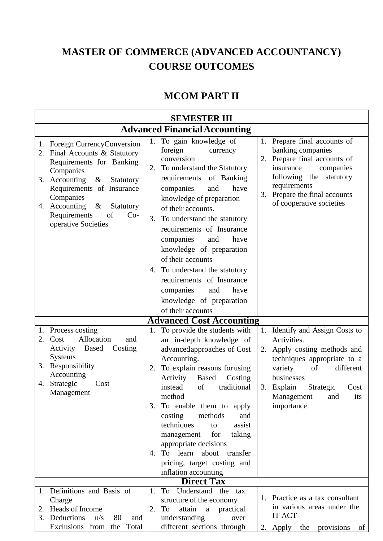## **MASTER OF COMMERCE (ADVANCED ACCOUNTANCY) COURSE OUTCOMES**

#### **MCOM PART II**

|          |                                                                                                                                                                                                                                                                               |                | <b>SEMESTER III</b>                                                                                                                                                                                                                                                                                                                                                                                                                                                                    |          |                                                                                                                                                                                                                               |
|----------|-------------------------------------------------------------------------------------------------------------------------------------------------------------------------------------------------------------------------------------------------------------------------------|----------------|----------------------------------------------------------------------------------------------------------------------------------------------------------------------------------------------------------------------------------------------------------------------------------------------------------------------------------------------------------------------------------------------------------------------------------------------------------------------------------------|----------|-------------------------------------------------------------------------------------------------------------------------------------------------------------------------------------------------------------------------------|
|          |                                                                                                                                                                                                                                                                               |                | <b>Advanced Financial Accounting</b>                                                                                                                                                                                                                                                                                                                                                                                                                                                   |          |                                                                                                                                                                                                                               |
| 2.<br>4. | 1. Foreign CurrencyConversion<br>Final Accounts & Statutory<br>Requirements for Banking<br>Companies<br>3. Accounting<br>Statutory<br>$\&$<br>Requirements of Insurance<br>Companies<br>Accounting<br>$\&$<br>Statutory<br>Requirements<br>of<br>$Co-$<br>operative Societies | 1.<br>2.<br>3. | To gain knowledge of<br>foreign<br>currency<br>conversion<br>To understand the Statutory<br>requirements of Banking<br>companies<br>and<br>have<br>knowledge of preparation<br>of their accounts.<br>To understand the statutory<br>requirements of Insurance<br>companies<br>and<br>have<br>knowledge of preparation<br>of their accounts<br>4. To understand the statutory<br>requirements of Insurance<br>companies<br>and<br>have<br>knowledge of preparation<br>of their accounts | 3.       | 1. Prepare final accounts of<br>banking companies<br>2. Prepare final accounts of<br>companies<br>insurance<br>following the statutory<br>requirements<br>Prepare the final accounts<br>of cooperative societies              |
|          |                                                                                                                                                                                                                                                                               |                | <b>Advanced Cost Accounting</b>                                                                                                                                                                                                                                                                                                                                                                                                                                                        |          |                                                                                                                                                                                                                               |
| 2.<br>4. | 1. Process costing<br>Allocation<br>Cost<br>and<br>Activity<br>Based<br>Costing<br>Systems<br>3. Responsibility<br>Accounting<br>Strategic<br>Cost<br>Management                                                                                                              | 1.<br>2.       | To provide the students with<br>an in-depth knowledge of<br>advancedapproaches of Cost<br>Accounting.<br>To explain reasons for using<br>Based<br>Activity<br>Costing<br>traditional<br>instead<br>of<br>method<br>3. To enable them to apply<br>costing<br>methods<br>and<br>techniques<br>assist<br>to<br>management<br>for<br>taking<br>appropriate decisions<br>4. To learn about<br>transfer<br>pricing, target costing and<br>inflation accounting                               | 2.<br>3. | 1. Identify and Assign Costs to<br>Activities.<br>Apply costing methods and<br>techniques appropriate to a<br>variety<br>of<br>different<br>businesses<br>Strategic<br>Explain<br>Cost<br>Management and<br>its<br>importance |
|          |                                                                                                                                                                                                                                                                               |                | <b>Direct Tax</b>                                                                                                                                                                                                                                                                                                                                                                                                                                                                      |          |                                                                                                                                                                                                                               |
| 3.       | 1. Definitions and Basis of<br>Charge<br>2. Heads of Income<br>Deductions<br>u/s<br>80<br>and<br>Exclusions from<br>the Total                                                                                                                                                 | 1.<br>2.       | To Understand the<br>tax<br>structure of the economy<br>To<br>attain a practical<br>understanding<br>over<br>different sections through                                                                                                                                                                                                                                                                                                                                                |          | 1. Practice as a tax consultant<br>in various areas under the<br><b>IT ACT</b><br>2. Apply the provisions<br>of                                                                                                               |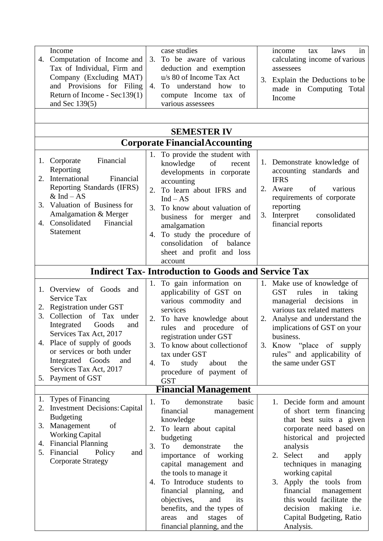| Income<br>Computation of Income and<br>4.<br>Tax of Individual, Firm and<br>Company (Excluding MAT)<br>and Provisions for Filing<br>Return of Income - Sec139(1)<br>and Sec $139(5)$                                                                                                                   | case studies<br>To be aware of various<br>3.<br>deduction and exemption<br>u/s 80 of Income Tax Act<br>4. To understand how<br>$\overline{t}$<br>compute Income tax of<br>various assessees                                                                                                                                                                                                     | in<br>laws<br>income<br>tax<br>calculating income of various<br>assessees<br>Explain the Deductions to be<br>3.<br>made in Computing Total<br>Income                                                                                                                                                                                                                         |  |
|--------------------------------------------------------------------------------------------------------------------------------------------------------------------------------------------------------------------------------------------------------------------------------------------------------|-------------------------------------------------------------------------------------------------------------------------------------------------------------------------------------------------------------------------------------------------------------------------------------------------------------------------------------------------------------------------------------------------|------------------------------------------------------------------------------------------------------------------------------------------------------------------------------------------------------------------------------------------------------------------------------------------------------------------------------------------------------------------------------|--|
|                                                                                                                                                                                                                                                                                                        |                                                                                                                                                                                                                                                                                                                                                                                                 |                                                                                                                                                                                                                                                                                                                                                                              |  |
|                                                                                                                                                                                                                                                                                                        |                                                                                                                                                                                                                                                                                                                                                                                                 |                                                                                                                                                                                                                                                                                                                                                                              |  |
|                                                                                                                                                                                                                                                                                                        | <b>SEMESTER IV</b>                                                                                                                                                                                                                                                                                                                                                                              |                                                                                                                                                                                                                                                                                                                                                                              |  |
|                                                                                                                                                                                                                                                                                                        | <b>Corporate Financial Accounting</b>                                                                                                                                                                                                                                                                                                                                                           |                                                                                                                                                                                                                                                                                                                                                                              |  |
| Financial<br>1. Corporate<br>Reporting                                                                                                                                                                                                                                                                 | 1. To provide the student with<br>knowledge<br>of<br>recent                                                                                                                                                                                                                                                                                                                                     | 1. Demonstrate knowledge of                                                                                                                                                                                                                                                                                                                                                  |  |
| International<br>Financial<br>2.<br>Reporting Standards (IFRS)                                                                                                                                                                                                                                         | developments in corporate<br>accounting                                                                                                                                                                                                                                                                                                                                                         | accounting standards and<br><b>IFRS</b><br>Aware<br>of                                                                                                                                                                                                                                                                                                                       |  |
| $&$ Ind $-$ AS<br>3. Valuation of Business for                                                                                                                                                                                                                                                         | To learn about IFRS and<br>2.<br>$Ind - AS$                                                                                                                                                                                                                                                                                                                                                     | 2.<br>various<br>requirements of corporate<br>reporting                                                                                                                                                                                                                                                                                                                      |  |
| Amalgamation & Merger<br>4. Consolidated<br>Financial                                                                                                                                                                                                                                                  | To know about valuation of<br>3.<br>business for merger and                                                                                                                                                                                                                                                                                                                                     | Interpret<br>consolidated<br>3.<br>financial reports                                                                                                                                                                                                                                                                                                                         |  |
| <b>Statement</b>                                                                                                                                                                                                                                                                                       | amalgamation<br>To study the procedure of<br>4.<br>consolidation of<br>balance                                                                                                                                                                                                                                                                                                                  |                                                                                                                                                                                                                                                                                                                                                                              |  |
|                                                                                                                                                                                                                                                                                                        | sheet and profit and loss<br>account                                                                                                                                                                                                                                                                                                                                                            |                                                                                                                                                                                                                                                                                                                                                                              |  |
| <b>Indirect Tax-Introduction to Goods and Service Tax</b>                                                                                                                                                                                                                                              |                                                                                                                                                                                                                                                                                                                                                                                                 |                                                                                                                                                                                                                                                                                                                                                                              |  |
| 1. Overview of Goods<br>and<br>Service Tax<br>2. Registration under GST<br>Collection of Tax under<br>3.<br>Integrated<br>Goods<br>and<br>Services Tax Act, 2017<br>4. Place of supply of goods<br>or services or both under<br>Integrated Goods<br>and<br>Services Tax Act, 2017<br>5. Payment of GST | To gain information on<br>1.<br>applicability of GST on<br>various commodity and<br>services<br>2.<br>To have knowledge about<br>rules and procedure of<br>registration under GST<br>To know about collection of<br>3.<br>tax under GST<br>To<br>study<br>4.<br>about<br>the<br>procedure of payment of<br><b>GST</b>                                                                           | 1. Make use of knowledge of<br><b>GST</b><br>rules<br>taking<br>in<br>managerial decisions<br>in<br>various tax related matters<br>Analyse and understand the<br>2.<br>implications of GST on your<br>business.<br>Know "place of supply<br>3.<br>rules" and applicability of<br>the same under GST                                                                          |  |
|                                                                                                                                                                                                                                                                                                        | <b>Financial Management</b>                                                                                                                                                                                                                                                                                                                                                                     |                                                                                                                                                                                                                                                                                                                                                                              |  |
| 1. Types of Financing<br>2. Investment Decisions: Capital<br><b>Budgeting</b><br>Management<br>3.<br>of<br><b>Working Capital</b><br>4. Financial Planning<br>Financial<br>Policy<br>5.<br>and<br><b>Corporate Strategy</b>                                                                            | To<br>demonstrate<br>basic<br>1.<br>financial<br>management<br>knowledge<br>To learn about capital<br>2.<br>budgeting<br>demonstrate<br>3.<br>To<br>the<br>importance of working<br>capital management and<br>the tools to manage it<br>To Introduce students to<br>4.<br>financial planning,<br>and<br>objectives,<br>and<br>its<br>benefits, and the types of<br>and<br>stages<br>of<br>areas | 1. Decide form and amount<br>of short term financing<br>that best suits a given<br>corporate need based on<br>historical and projected<br>analysis<br>Select<br>2.<br>and<br>apply<br>techniques in managing<br>working capital<br>3. Apply the tools from<br>financial<br>management<br>this would facilitate the<br>decision<br>making<br>i.e.<br>Capital Budgeting, Ratio |  |
|                                                                                                                                                                                                                                                                                                        | financial planning, and the                                                                                                                                                                                                                                                                                                                                                                     | Analysis.                                                                                                                                                                                                                                                                                                                                                                    |  |